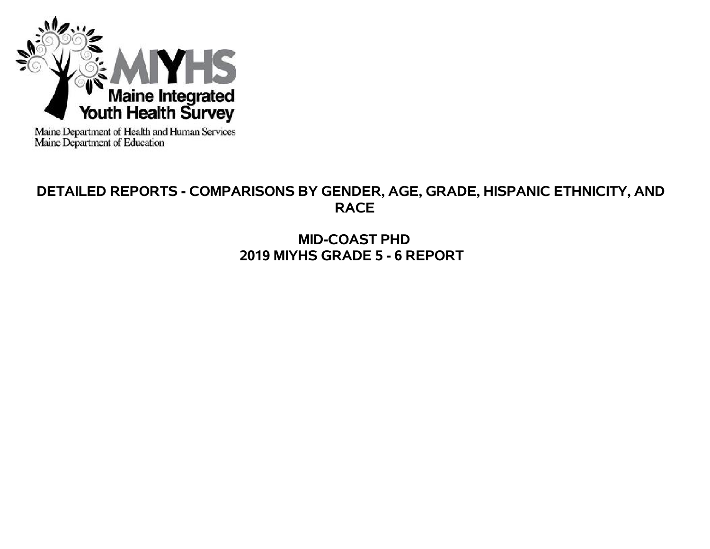

Maine Department of Health and Human Services<br>Maine Department of Education

# **DETAILED REPORTS - COMPARISONS BY GENDER, AGE, GRADE, HISPANIC ETHNICITY, AND RACE**

**MID-COAST PHD 2019 MIYHS GRADE 5 - 6 REPORT**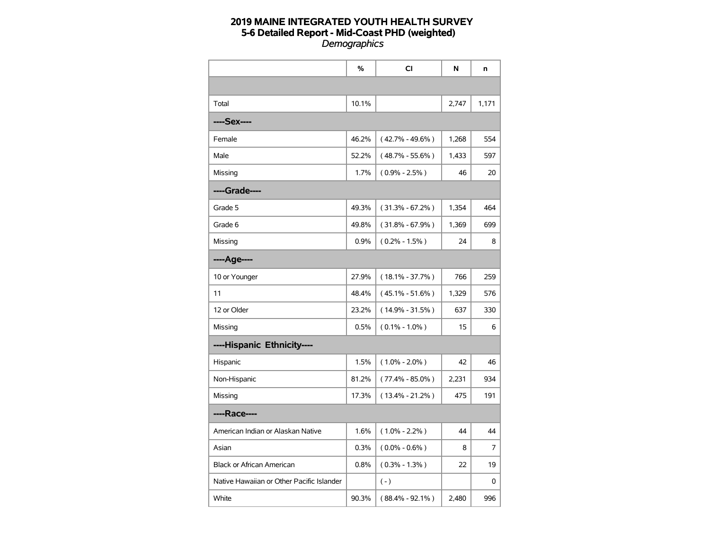|                                           | %     | CI                  | N     | n     |
|-------------------------------------------|-------|---------------------|-------|-------|
|                                           |       |                     |       |       |
| Total                                     | 10.1% |                     | 2,747 | 1,171 |
| ----Sex----                               |       |                     |       |       |
| Female                                    | 46.2% | $(42.7\% - 49.6\%)$ | 1,268 | 554   |
| Male                                      | 52.2% | $(48.7\% - 55.6\%)$ | 1,433 | 597   |
| Missing                                   | 1.7%  | $(0.9\% - 2.5\%)$   | 46    | 20    |
| ----Grade----                             |       |                     |       |       |
| Grade 5                                   | 49.3% | $(31.3\% - 67.2\%)$ | 1,354 | 464   |
| Grade 6                                   | 49.8% | $(31.8\% - 67.9\%)$ | 1,369 | 699   |
| Missing                                   | 0.9%  | $(0.2\% - 1.5\%)$   | 24    | 8     |
| ----Age----                               |       |                     |       |       |
| 10 or Younger                             | 27.9% | $(18.1\% - 37.7\%)$ | 766   | 259   |
| 11                                        | 48.4% | $(45.1\% - 51.6\%)$ | 1,329 | 576   |
| 12 or Older                               | 23.2% | $(14.9\% - 31.5\%)$ | 637   | 330   |
| Missing                                   | 0.5%  | $(0.1\% - 1.0\%)$   | 15    | 6     |
| ----Hispanic Ethnicity----                |       |                     |       |       |
| Hispanic                                  | 1.5%  | $(1.0\% - 2.0\%)$   | 42    | 46    |
| Non-Hispanic                              | 81.2% | $(77.4\% - 85.0\%)$ | 2,231 | 934   |
| Missing                                   | 17.3% | $(13.4\% - 21.2\%)$ | 475   | 191   |
| ----Race----                              |       |                     |       |       |
| American Indian or Alaskan Native         | 1.6%  | $(1.0\% - 2.2\%)$   | 44    | 44    |
| Asian                                     | 0.3%  | $(0.0\% - 0.6\%)$   | 8     | 7     |
| <b>Black or African American</b>          | 0.8%  | $(0.3\% - 1.3\%)$   | 22    | 19    |
| Native Hawaiian or Other Pacific Islander |       | $(-)$               |       | 0     |
| White                                     | 90.3% | $(88.4\% - 92.1\%)$ | 2,480 | 996   |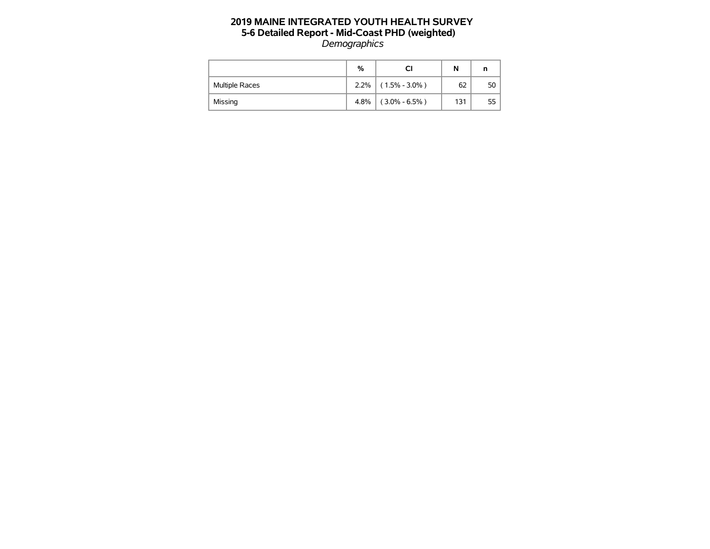|                       | %    | СI                | N   | n  |
|-----------------------|------|-------------------|-----|----|
| <b>Multiple Races</b> | 2.2% | $(1.5\% - 3.0\%)$ | 62  | 50 |
| Missing               | 4.8% | $(3.0\% - 6.5\%)$ | 131 | 55 |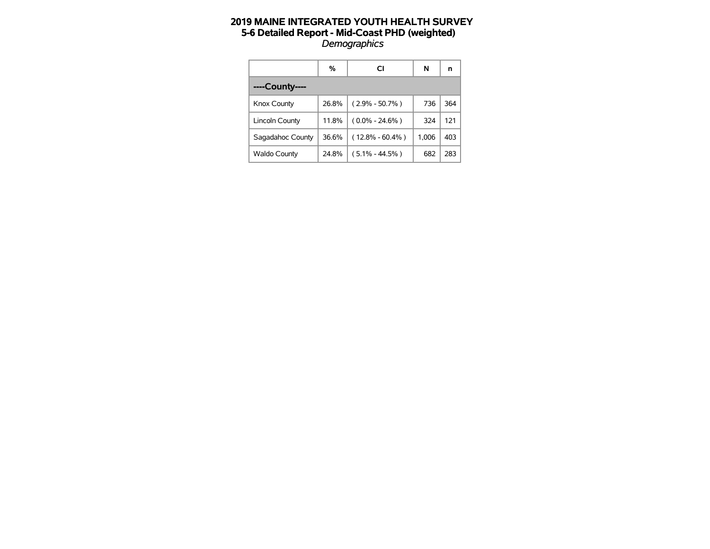|                     | %     | CI                  | N     | n   |
|---------------------|-------|---------------------|-------|-----|
| ----County----      |       |                     |       |     |
| Knox County         | 26.8% | $(2.9\% - 50.7\%)$  | 736   | 364 |
| Lincoln County      | 11.8% | $(0.0\% - 24.6\%)$  | 324   | 121 |
| Sagadahoc County    | 36.6% | $(12.8\% - 60.4\%)$ | 1.006 | 403 |
| <b>Waldo County</b> | 24.8% | $(5.1\% - 44.5\%)$  | 682   | 283 |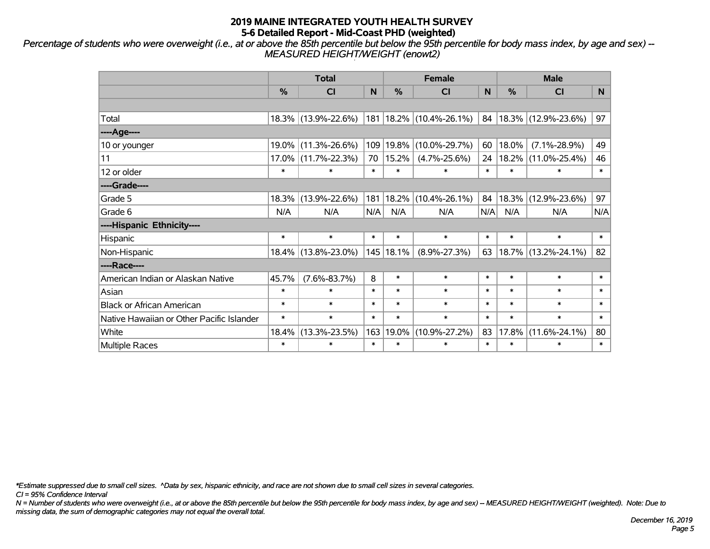*Percentage of students who were overweight (i.e., at or above the 85th percentile but below the 95th percentile for body mass index, by age and sex) -- MEASURED HEIGHT/WEIGHT (enowt2)*

|                                           |               | <b>Total</b>        |        |               | <b>Female</b>               |        | <b>Male</b> |                     |                |  |
|-------------------------------------------|---------------|---------------------|--------|---------------|-----------------------------|--------|-------------|---------------------|----------------|--|
|                                           | $\frac{0}{0}$ | CI                  | N      | $\frac{0}{0}$ | <b>CI</b>                   | N      | %           | <b>CI</b>           | N <sub>1</sub> |  |
|                                           |               |                     |        |               |                             |        |             |                     |                |  |
| Total                                     |               | 18.3% (13.9%-22.6%) |        |               | 181   18.2%   (10.4%-26.1%) | 84     |             | 18.3% (12.9%-23.6%) | 97             |  |
| ----Age----                               |               |                     |        |               |                             |        |             |                     |                |  |
| 10 or younger                             | 19.0%         | $(11.3\% - 26.6\%)$ | 109    | 19.8%         | $(10.0\% - 29.7\%)$         | 60     | 18.0%       | $(7.1\% - 28.9\%)$  | 49             |  |
| 11                                        | 17.0%         | $(11.7\% - 22.3\%)$ | 70     | 15.2%         | $(4.7\% - 25.6\%)$          | 24     | 18.2%       | $(11.0\% - 25.4\%)$ | 46             |  |
| 12 or older                               | $\ast$        | $\ast$              | $\ast$ | $\ast$        | $\ast$                      | $\ast$ | $\ast$      | $\ast$              | $\ast$         |  |
| ----Grade----                             |               |                     |        |               |                             |        |             |                     |                |  |
| Grade 5                                   | 18.3%         | $(13.9\% - 22.6\%)$ | 181    | 18.2%         | $(10.4\% - 26.1\%)$         | 84     | 18.3%       | $(12.9\% - 23.6\%)$ | 97             |  |
| Grade 6                                   | N/A           | N/A                 | N/A    | N/A           | N/A                         | N/A    | N/A         | N/A                 | N/A            |  |
| ----Hispanic Ethnicity----                |               |                     |        |               |                             |        |             |                     |                |  |
| Hispanic                                  | $\ast$        | $\ast$              | $\ast$ | $\ast$        | $\ast$                      | $\ast$ | $\ast$      | $\ast$              | $\ast$         |  |
| Non-Hispanic                              |               | 18.4% (13.8%-23.0%) |        | 145   18.1%   | $(8.9\% - 27.3\%)$          | 63     | 18.7%       | $(13.2\% - 24.1\%)$ | 82             |  |
| ----Race----                              |               |                     |        |               |                             |        |             |                     |                |  |
| American Indian or Alaskan Native         | 45.7%         | $(7.6\% - 83.7\%)$  | 8      | $\ast$        | $\ast$                      | $\ast$ | $\ast$      | $\ast$              | $\ast$         |  |
| Asian                                     | $\ast$        | $\ast$              | $\ast$ | $\ast$        | $\ast$                      | $\ast$ | $\ast$      | $\ast$              | $\ast$         |  |
| <b>Black or African American</b>          | $\ast$        | $\ast$              | $\ast$ | $\ast$        | $\ast$                      | $\ast$ | $\ast$      | $\ast$              | $\ast$         |  |
| Native Hawaiian or Other Pacific Islander | $\ast$        | $\ast$              | $\ast$ | $\ast$        | $\ast$                      | $\ast$ | $\ast$      | $\ast$              | $\ast$         |  |
| White                                     | 18.4%         | $(13.3\% - 23.5\%)$ | 163    | 19.0%         | $(10.9\% - 27.2\%)$         | 83     | 17.8%       | $(11.6\% - 24.1\%)$ | 80             |  |
| <b>Multiple Races</b>                     | $\ast$        | $\ast$              | $\ast$ | $\ast$        | $\ast$                      | $\ast$ | $\ast$      | $\ast$              | $\ast$         |  |

*\*Estimate suppressed due to small cell sizes. ^Data by sex, hispanic ethnicity, and race are not shown due to small cell sizes in several categories.*

*CI = 95% Confidence Interval*

*N = Number of students who were overweight (i.e., at or above the 85th percentile but below the 95th percentile for body mass index, by age and sex) -- MEASURED HEIGHT/WEIGHT (weighted). Note: Due to missing data, the sum of demographic categories may not equal the overall total.*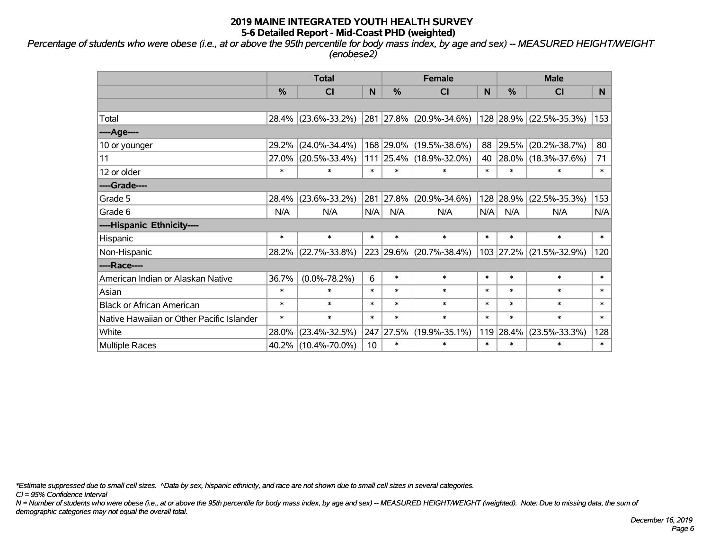*Percentage of students who were obese (i.e., at or above the 95th percentile for body mass index, by age and sex) -- MEASURED HEIGHT/WEIGHT (enobese2)*

|                                           |        | <b>Total</b>        |        |        | <b>Female</b>            |        | <b>Male</b> |                         |        |  |
|-------------------------------------------|--------|---------------------|--------|--------|--------------------------|--------|-------------|-------------------------|--------|--|
|                                           | %      | <b>CI</b>           | N      | %      | CI                       | N      | %           | <b>CI</b>               | N.     |  |
|                                           |        |                     |        |        |                          |        |             |                         |        |  |
| Total                                     |        | 28.4% (23.6%-33.2%) |        |        | 281 27.8% (20.9%-34.6%)  |        |             | 128 28.9% (22.5%-35.3%) | 153    |  |
| ----Age----                               |        |                     |        |        |                          |        |             |                         |        |  |
| 10 or younger                             | 29.2%  | $(24.0\% - 34.4\%)$ |        |        | 168 29.0% (19.5%-38.6%)  | 88     | 29.5%       | $(20.2\% - 38.7\%)$     | 80     |  |
| 11                                        | 27.0%  | $(20.5\% - 33.4\%)$ | 111    |        | $ 25.4\% $ (18.9%-32.0%) | 40     | 28.0%       | $(18.3\% - 37.6\%)$     | 71     |  |
| 12 or older                               | $\ast$ | $\ast$              | $\ast$ | $\ast$ | $\ast$                   | $\ast$ | $\ast$      | $\ast$                  | $\ast$ |  |
| ----Grade----                             |        |                     |        |        |                          |        |             |                         |        |  |
| Grade 5                                   | 28.4%  | $(23.6\% - 33.2\%)$ | 281    | 27.8%  | $(20.9\% - 34.6\%)$      | 128    | 28.9%       | $(22.5\% - 35.3\%)$     | 153    |  |
| Grade 6                                   | N/A    | N/A                 | N/A    | N/A    | N/A                      | N/A    | N/A         | N/A                     | N/A    |  |
| ----Hispanic Ethnicity----                |        |                     |        |        |                          |        |             |                         |        |  |
| Hispanic                                  | $\ast$ | $\ast$              | $\ast$ | $\ast$ | $\ast$                   | $\ast$ | $\ast$      | $\ast$                  | $\ast$ |  |
| Non-Hispanic                              |        | 28.2% (22.7%-33.8%) |        |        | 223 29.6% (20.7%-38.4%)  |        | 103 27.2%   | $(21.5\% - 32.9\%)$     | 120    |  |
| ----Race----                              |        |                     |        |        |                          |        |             |                         |        |  |
| American Indian or Alaskan Native         | 36.7%  | $(0.0\% - 78.2\%)$  | 6      | $\ast$ | $\ast$                   | $\ast$ | $\ast$      | $\ast$                  | $\ast$ |  |
| Asian                                     | $\ast$ | $\ast$              | $\ast$ | $\ast$ | $\ast$                   | $\ast$ | $\ast$      | $\ast$                  | $\ast$ |  |
| <b>Black or African American</b>          | $\ast$ | $\ast$              | $\ast$ | $\ast$ | $\ast$                   | $\ast$ | $\ast$      | $\ast$                  | $\ast$ |  |
| Native Hawaiian or Other Pacific Islander | $\ast$ | $\ast$              | $\ast$ | $\ast$ | $\ast$                   | $\ast$ | $\ast$      | $\ast$                  | $\ast$ |  |
| White                                     | 28.0%  | $(23.4\% - 32.5\%)$ | 247    | 27.5%  | $(19.9\% - 35.1\%)$      | 119    | 28.4%       | $(23.5\% - 33.3\%)$     | 128    |  |
| <b>Multiple Races</b>                     |        | 40.2% (10.4%-70.0%) | 10     | $\ast$ | *                        | $\ast$ | $\ast$      | $\ast$                  | $\ast$ |  |

*\*Estimate suppressed due to small cell sizes. ^Data by sex, hispanic ethnicity, and race are not shown due to small cell sizes in several categories.*

*CI = 95% Confidence Interval*

*N = Number of students who were obese (i.e., at or above the 95th percentile for body mass index, by age and sex) -- MEASURED HEIGHT/WEIGHT (weighted). Note: Due to missing data, the sum of demographic categories may not equal the overall total.*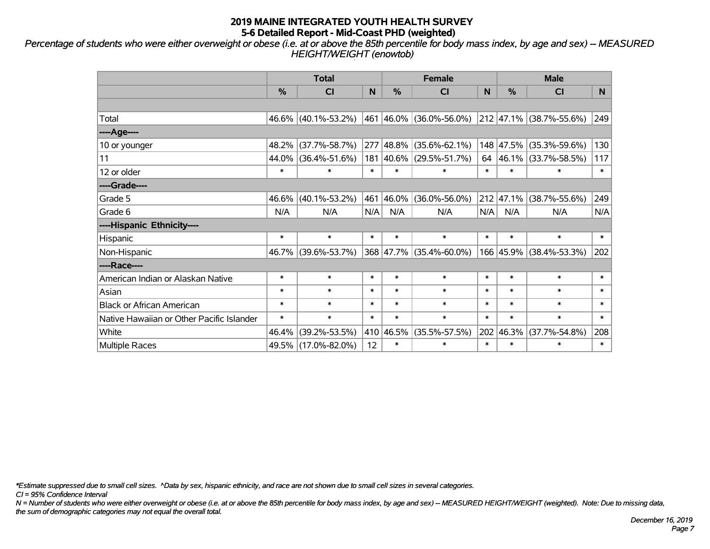*Percentage of students who were either overweight or obese (i.e. at or above the 85th percentile for body mass index, by age and sex) -- MEASURED HEIGHT/WEIGHT (enowtob)*

|                                           |        | <b>Total</b>        |        |               | <b>Female</b>              |        | <b>Male</b>       |                            |        |  |
|-------------------------------------------|--------|---------------------|--------|---------------|----------------------------|--------|-------------------|----------------------------|--------|--|
|                                           | %      | <b>CI</b>           | N      | $\frac{0}{0}$ | <b>CI</b>                  | N      | %                 | <b>CI</b>                  | N.     |  |
|                                           |        |                     |        |               |                            |        |                   |                            |        |  |
| Total                                     |        | 46.6% (40.1%-53.2%) |        |               | 461  46.0%   (36.0%-56.0%) |        |                   | 212 47.1% (38.7%-55.6%)    | 249    |  |
| ----Age----                               |        |                     |        |               |                            |        |                   |                            |        |  |
| 10 or younger                             | 48.2%  | $(37.7\% - 58.7\%)$ | 277    | $ 48.8\% $    | $(35.6\% - 62.1\%)$        |        | 148 47.5%         | $(35.3\% - 59.6\%)$        | 130    |  |
| 11                                        | 44.0%  | $(36.4\% - 51.6\%)$ | 181    |               | 40.6% (29.5%-51.7%)        | 64     |                   | 46.1% (33.7%-58.5%)        | 117    |  |
| 12 or older                               | $\ast$ | $\ast$              | $\ast$ | $\ast$        | $\ast$                     | $\ast$ | $\ast$            | $\ast$                     | $\ast$ |  |
| ----Grade----                             |        |                     |        |               |                            |        |                   |                            |        |  |
| Grade 5                                   | 46.6%  | $(40.1\% - 53.2\%)$ | 461    | 46.0%         | $(36.0\% - 56.0\%)$        |        | $212 \mid 47.1\%$ | $(38.7\% - 55.6\%)$        | 249    |  |
| Grade 6                                   | N/A    | N/A                 | N/A    | N/A           | N/A                        | N/A    | N/A               | N/A                        | N/A    |  |
| ----Hispanic Ethnicity----                |        |                     |        |               |                            |        |                   |                            |        |  |
| Hispanic                                  | $\ast$ | $\ast$              | $\ast$ | $\ast$        | $\ast$                     | $\ast$ | $\ast$            | $\ast$                     | $\ast$ |  |
| Non-Hispanic                              | 46.7%  | $(39.6\% - 53.7\%)$ |        |               | 368 47.7% (35.4%-60.0%)    |        | 166 45.9%         | $(38.4\% - 53.3\%)$        | 202    |  |
| ----Race----                              |        |                     |        |               |                            |        |                   |                            |        |  |
| American Indian or Alaskan Native         | $\ast$ | $\ast$              | $\ast$ | $\ast$        | $\ast$                     | $\ast$ | $\ast$            | $\ast$                     | $\ast$ |  |
| Asian                                     | $\ast$ | $\ast$              | $\ast$ | $\ast$        | $\ast$                     | $\ast$ | $\ast$            | $\ast$                     | $\ast$ |  |
| <b>Black or African American</b>          | $\ast$ | $\ast$              | $\ast$ | $\ast$        | $\ast$                     | $\ast$ | $\ast$            | $\ast$                     | $\ast$ |  |
| Native Hawaiian or Other Pacific Islander | $\ast$ | $\ast$              | $\ast$ | $\ast$        | $\ast$                     | $\ast$ | $\ast$            | $\ast$                     | $\ast$ |  |
| White                                     | 46.4%  | $(39.2\% - 53.5\%)$ |        | 410 46.5%     | $(35.5\% - 57.5\%)$        | 202    | 46.3%             | 208<br>$(37.7\% - 54.8\%)$ |        |  |
| <b>Multiple Races</b>                     |        | 49.5% (17.0%-82.0%) | 12     | $\ast$        | $\ast$                     | $\ast$ | $\ast$            | $\ast$                     | $\ast$ |  |

*\*Estimate suppressed due to small cell sizes. ^Data by sex, hispanic ethnicity, and race are not shown due to small cell sizes in several categories.*

*CI = 95% Confidence Interval*

*N = Number of students who were either overweight or obese (i.e. at or above the 85th percentile for body mass index, by age and sex) -- MEASURED HEIGHT/WEIGHT (weighted). Note: Due to missing data, the sum of demographic categories may not equal the overall total.*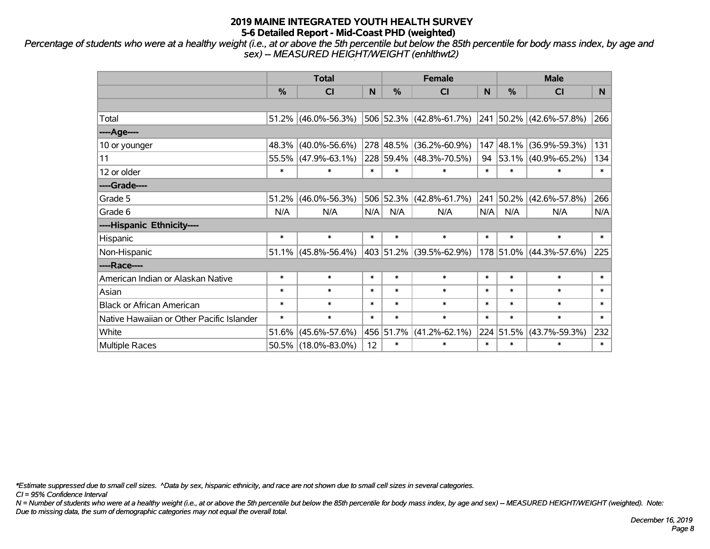*Percentage of students who were at a healthy weight (i.e., at or above the 5th percentile but below the 85th percentile for body mass index, by age and sex) -- MEASURED HEIGHT/WEIGHT (enhlthwt2)*

|                                           |                                                                    | <b>Total</b>           |        |               | <b>Female</b>           |        | <b>Male</b> |                            |        |  |
|-------------------------------------------|--------------------------------------------------------------------|------------------------|--------|---------------|-------------------------|--------|-------------|----------------------------|--------|--|
|                                           | %                                                                  | <b>CI</b>              | N      | $\frac{0}{0}$ | CI                      | N      | %           | <b>CI</b>                  | N.     |  |
|                                           |                                                                    |                        |        |               |                         |        |             |                            |        |  |
| Total                                     |                                                                    | $51.2\%$ (46.0%-56.3%) |        |               | 506 52.3% (42.8%-61.7%) |        |             | 241 50.2% (42.6%-57.8%)    | 266    |  |
| ----Age----                               |                                                                    |                        |        |               |                         |        |             |                            |        |  |
| 10 or younger                             | 48.3%                                                              | $(40.0\% - 56.6\%)$    |        |               | 278 48.5% (36.2%-60.9%) | 147    | 48.1%       | $(36.9\% - 59.3\%)$        | 131    |  |
| 11                                        |                                                                    | 55.5% (47.9%-63.1%)    |        |               | 228 59.4% (48.3%-70.5%) | 94     | 53.1%       | $(40.9\% - 65.2\%)$        | 134    |  |
| 12 or older                               | $\ast$                                                             | $\ast$                 | $\ast$ | $\ast$        | $\ast$                  | $\ast$ | $\ast$      | $\ast$                     | $\ast$ |  |
| ----Grade----                             |                                                                    |                        |        |               |                         |        |             |                            |        |  |
| Grade 5                                   | 51.2%                                                              | $(46.0\% - 56.3\%)$    |        |               | 506 52.3% (42.8%-61.7%) | 241    | 50.2%       | $(42.6\% - 57.8\%)$        | 266    |  |
| Grade 6                                   | N/A                                                                | N/A                    | N/A    | N/A           | N/A                     | N/A    | N/A         | N/A                        | N/A    |  |
| ----Hispanic Ethnicity----                |                                                                    |                        |        |               |                         |        |             |                            |        |  |
| Hispanic                                  | $\ast$                                                             | $\ast$                 | $\ast$ | $\ast$        | $\ast$                  | $\ast$ | $\ast$      | $\ast$                     | $\ast$ |  |
| Non-Hispanic                              |                                                                    | $51.1\%$ (45.8%-56.4%) |        |               | 403 51.2% (39.5%-62.9%) |        | 178 51.0%   | $(44.3\% - 57.6\%)$        | 225    |  |
| ----Race----                              |                                                                    |                        |        |               |                         |        |             |                            |        |  |
| American Indian or Alaskan Native         | $\ast$                                                             | $\ast$                 | $\ast$ | $\ast$        | $\ast$                  | $\ast$ | $\ast$      | $\ast$                     | $\ast$ |  |
| Asian                                     | $\ast$                                                             | $\ast$                 | $\ast$ | $\ast$        | $\ast$                  | $\ast$ | $\ast$      | $\ast$                     | $\ast$ |  |
| <b>Black or African American</b>          | $\ast$                                                             | $\ast$                 | $\ast$ | $\ast$        | $\ast$                  | $\ast$ | $\ast$      | $\ast$                     | $\ast$ |  |
| Native Hawaiian or Other Pacific Islander | $\ast$<br>$\ast$<br>$\ast$<br>$\ast$<br>$\ast$<br>$\ast$<br>$\ast$ |                        | $\ast$ | $\ast$        |                         |        |             |                            |        |  |
| White                                     | 51.6%                                                              | $(45.6\% - 57.6\%)$    |        | 456 51.7%     | $(41.2\% - 62.1\%)$     | 224    | 51.5%       | 232<br>$(43.7\% - 59.3\%)$ |        |  |
| <b>Multiple Races</b>                     |                                                                    | 50.5% (18.0%-83.0%)    | 12     | $\ast$        | $\ast$                  | $\ast$ | $\ast$      | $\ast$                     | $\ast$ |  |

*\*Estimate suppressed due to small cell sizes. ^Data by sex, hispanic ethnicity, and race are not shown due to small cell sizes in several categories.*

*CI = 95% Confidence Interval*

*N = Number of students who were at a healthy weight (i.e., at or above the 5th percentile but below the 85th percentile for body mass index, by age and sex) -- MEASURED HEIGHT/WEIGHT (weighted). Note: Due to missing data, the sum of demographic categories may not equal the overall total.*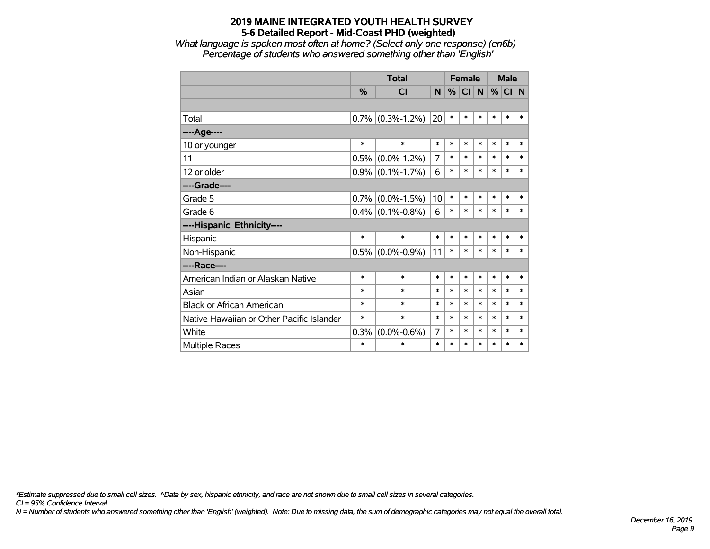*What language is spoken most often at home? (Select only one response) (en6b) Percentage of students who answered something other than 'English'*

|                                           |               | <b>Total</b>        |        |        | <b>Female</b> |        | <b>Male</b> |        |        |
|-------------------------------------------|---------------|---------------------|--------|--------|---------------|--------|-------------|--------|--------|
|                                           | $\frac{0}{0}$ | <b>CI</b>           | N      | %      | <b>CI</b>     | N      | %           | CI N   |        |
|                                           |               |                     |        |        |               |        |             |        |        |
| Total                                     |               | $0.7\%$ (0.3%-1.2%) | 20     | $\ast$ | *             | $\ast$ | *           | $\ast$ | $\ast$ |
| ---- Age----                              |               |                     |        |        |               |        |             |        |        |
| 10 or younger                             | $\ast$        | $\ast$              | $\ast$ | $\ast$ | $\ast$        | $\ast$ | *           | $\ast$ | $\ast$ |
| 11                                        | 0.5%          | $(0.0\% - 1.2\%)$   | 7      | $\ast$ | $\ast$        | $\ast$ | *           | $\ast$ | $\ast$ |
| 12 or older                               |               | $0.9\%$ (0.1%-1.7%) | 6      | $\ast$ | $\ast$        | *      | $\ast$      | $\ast$ | $\ast$ |
| ----Grade----                             |               |                     |        |        |               |        |             |        |        |
| Grade 5                                   | 0.7%          | $(0.0\% - 1.5\%)$   | 10     | $\ast$ | $\ast$        | $\ast$ | $\ast$      | $\ast$ | $\ast$ |
| Grade 6                                   |               | $0.4\%$ (0.1%-0.8%) | 6      | *      | $\ast$        | $\ast$ | $\ast$      | $\ast$ | $\ast$ |
| ----Hispanic Ethnicity----                |               |                     |        |        |               |        |             |        |        |
| Hispanic                                  | $\ast$        | $\ast$              | $\ast$ | $\ast$ | *             | $\ast$ | *           | $\ast$ | $\ast$ |
| Non-Hispanic                              |               | $0.5\%$ (0.0%-0.9%) | 11     | $\ast$ | $\ast$        | *      | *           | $\ast$ | $\ast$ |
| ----Race----                              |               |                     |        |        |               |        |             |        |        |
| American Indian or Alaskan Native         | $\ast$        | $\ast$              | $\ast$ | $\ast$ | $\ast$        | $\ast$ | $\ast$      | $\ast$ | $\ast$ |
| Asian                                     | $\ast$        | $\ast$              | $\ast$ | $\ast$ | $\ast$        | $\ast$ | *           | $\ast$ | $\ast$ |
| <b>Black or African American</b>          | $\ast$        | $\ast$              | $\ast$ | $\ast$ | $\ast$        | $\ast$ | $\ast$      | $\ast$ | $\ast$ |
| Native Hawaiian or Other Pacific Islander | $\ast$        | $\ast$              | $\ast$ | $\ast$ | $\ast$        | $\ast$ | $\ast$      | $\ast$ | $\ast$ |
| White                                     | 0.3%          | $(0.0\% - 0.6\%)$   | 7      | $\ast$ | $\ast$        | $\ast$ | *           | $\ast$ | $\ast$ |
| <b>Multiple Races</b>                     | $\ast$        | $\ast$              | $\ast$ | $\ast$ | $\ast$        | $\ast$ | $\ast$      | $\ast$ | $\ast$ |

*\*Estimate suppressed due to small cell sizes. ^Data by sex, hispanic ethnicity, and race are not shown due to small cell sizes in several categories.*

*CI = 95% Confidence Interval*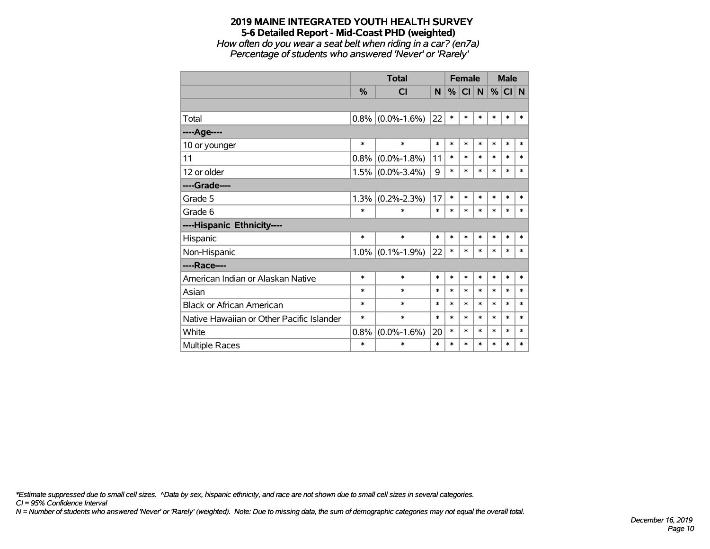*How often do you wear a seat belt when riding in a car? (en7a) Percentage of students who answered 'Never' or 'Rarely'*

|                                           |               | <b>Total</b>      |        |        | <b>Female</b> |           | <b>Male</b> |        |        |
|-------------------------------------------|---------------|-------------------|--------|--------|---------------|-----------|-------------|--------|--------|
|                                           | $\frac{0}{0}$ | CI                | N      | %      | <b>CI</b>     | ${\sf N}$ | %           | CI N   |        |
|                                           |               |                   |        |        |               |           |             |        |        |
| Total                                     | 0.8%          | $(0.0\% - 1.6\%)$ | 22     | $\ast$ | $\ast$        | $\ast$    | $\ast$      | $\ast$ | $\ast$ |
| ----Age----                               |               |                   |        |        |               |           |             |        |        |
| 10 or younger                             | $\ast$        | $\ast$            | $\ast$ | $\ast$ | $\ast$        | $\ast$    | $\ast$      | $\ast$ | $\ast$ |
| 11                                        | 0.8%          | $(0.0\% - 1.8\%)$ | 11     | $\ast$ | $\ast$        | $\ast$    | $\ast$      | $\ast$ | $\ast$ |
| 12 or older                               | 1.5%          | $(0.0\% - 3.4\%)$ | 9      | $\ast$ | $\ast$        | $\ast$    | $\ast$      | $\ast$ | $\ast$ |
| ----Grade----                             |               |                   |        |        |               |           |             |        |        |
| Grade 5                                   | 1.3%          | $(0.2\% - 2.3\%)$ | 17     | $\ast$ | *             | $\ast$    | $\ast$      | $\ast$ | *      |
| Grade 6                                   | $\ast$        | $\ast$            | $\ast$ | $\ast$ | *             | $\ast$    | $\ast$      | $\ast$ | $\ast$ |
| ----Hispanic Ethnicity----                |               |                   |        |        |               |           |             |        |        |
| Hispanic                                  | $\ast$        | $\ast$            | $\ast$ | $\ast$ | $\ast$        | $\ast$    | $\ast$      | $\ast$ | $\ast$ |
| Non-Hispanic                              | $1.0\%$       | $(0.1\% - 1.9\%)$ | 22     | $\ast$ | $\ast$        | $\ast$    | $\ast$      | $\ast$ | $\ast$ |
| ----Race----                              |               |                   |        |        |               |           |             |        |        |
| American Indian or Alaskan Native         | $\ast$        | $\ast$            | $\ast$ | $\ast$ | *             | $\ast$    | $\ast$      | $\ast$ | $\ast$ |
| Asian                                     | $\ast$        | $\ast$            | $\ast$ | $\ast$ | $\ast$        | $\ast$    | $\ast$      | $\ast$ | $\ast$ |
| <b>Black or African American</b>          | $\ast$        | $\ast$            | $\ast$ | $\ast$ | $\ast$        | $\ast$    | $\ast$      | $\ast$ | $\ast$ |
| Native Hawaiian or Other Pacific Islander | $\ast$        | $\ast$            | $\ast$ | $\ast$ | $\ast$        | $\ast$    | $\ast$      | $\ast$ | $\ast$ |
| White                                     | 0.8%          | $(0.0\% - 1.6\%)$ | 20     | $\ast$ | $\ast$        | $\ast$    | $\ast$      | $\ast$ | $\ast$ |
| <b>Multiple Races</b>                     | $\ast$        | $\ast$            | $\ast$ | $\ast$ | *             | $\ast$    | $\ast$      | $\ast$ | $\ast$ |

*\*Estimate suppressed due to small cell sizes. ^Data by sex, hispanic ethnicity, and race are not shown due to small cell sizes in several categories.*

*CI = 95% Confidence Interval*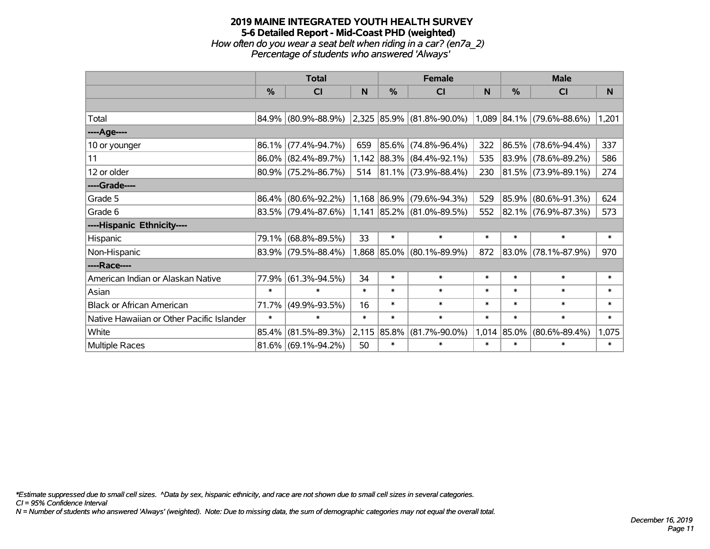#### **2019 MAINE INTEGRATED YOUTH HEALTH SURVEY 5-6 Detailed Report - Mid-Coast PHD (weighted)** *How often do you wear a seat belt when riding in a car? (en7a\_2) Percentage of students who answered 'Always'*

|                                           |               | <b>Total</b>                                     |        |               | <b>Female</b>               |        |        | <b>Male</b>               |        |
|-------------------------------------------|---------------|--------------------------------------------------|--------|---------------|-----------------------------|--------|--------|---------------------------|--------|
|                                           | $\frac{0}{0}$ | <b>CI</b>                                        | N      | $\frac{0}{0}$ | <b>CI</b>                   | N      | %      | <b>CI</b>                 | N      |
|                                           |               |                                                  |        |               |                             |        |        |                           |        |
| Total                                     |               | $84.9\%$ (80.9%-88.9%) 2,325 85.9% (81.8%-90.0%) |        |               |                             |        |        | 1,089 84.1% (79.6%-88.6%) | 1,201  |
| ----Age----                               |               |                                                  |        |               |                             |        |        |                           |        |
| 10 or younger                             | 86.1%         | $(77.4\% - 94.7\%)$                              | 659    |               | 85.6% (74.8%-96.4%)         | 322    | 86.5%  | $(78.6\% - 94.4\%)$       | 337    |
| 11                                        |               | $86.0\%$ (82.4%-89.7%)                           |        |               | $1,142$ 88.3% (84.4%-92.1%) | 535    |        | 83.9% (78.6%-89.2%)       | 586    |
| 12 or older                               |               | $80.9\%$ (75.2%-86.7%)                           | 514    |               | $ 81.1\% $ (73.9%-88.4%)    | 230    |        | $ 81.5\% $ (73.9%-89.1%)  | 274    |
| ----Grade----                             |               |                                                  |        |               |                             |        |        |                           |        |
| Grade 5                                   | 86.4%         | $(80.6\% - 92.2\%)$                              |        |               | $1,168$ 86.9% (79.6%-94.3%) | 529    | 85.9%  | $(80.6\% - 91.3\%)$       | 624    |
| Grade 6                                   |               | $83.5\%$ (79.4%-87.6%)                           |        |               | $1,141$ 85.2% (81.0%-89.5%) | 552    |        | 82.1% (76.9%-87.3%)       | 573    |
| ----Hispanic Ethnicity----                |               |                                                  |        |               |                             |        |        |                           |        |
| Hispanic                                  | 79.1%         | $(68.8\% - 89.5\%)$                              | 33     | $\ast$        | $\ast$                      | $\ast$ | $\ast$ | $\ast$                    | $\ast$ |
| Non-Hispanic                              |               | 83.9% (79.5%-88.4%)                              |        |               | 1,868 85.0% (80.1%-89.9%)   | 872    |        | 83.0% (78.1%-87.9%)       | 970    |
| ----Race----                              |               |                                                  |        |               |                             |        |        |                           |        |
| American Indian or Alaskan Native         | 77.9%         | $(61.3\% - 94.5\%)$                              | 34     | $\ast$        | $\ast$                      | $\ast$ | $\ast$ | $\ast$                    | $\ast$ |
| Asian                                     | $\ast$        | $\ast$                                           | $\ast$ | $\ast$        | $\ast$                      | $\ast$ | $\ast$ | $\ast$                    | $\ast$ |
| <b>Black or African American</b>          | 71.7%         | $(49.9\% - 93.5\%)$                              | 16     | $\ast$        | $\ast$                      | $\ast$ | $\ast$ | $\ast$                    | ∗      |
| Native Hawaiian or Other Pacific Islander | $\ast$        | $\ast$                                           | $\ast$ | $\ast$        | $\ast$                      | $\ast$ | $\ast$ | $\ast$                    | $\ast$ |
| White                                     | 85.4%         | $(81.5\% - 89.3\%)$                              |        | 2,115 85.8%   | $(81.7\% - 90.0\%)$         | 1,014  | 85.0%  | $(80.6\% - 89.4\%)$       | 1,075  |
| <b>Multiple Races</b>                     |               | $81.6\%$ (69.1%-94.2%)                           | 50     | $\ast$        | $\ast$                      | $\ast$ | $\ast$ | $\ast$                    | $\ast$ |

*\*Estimate suppressed due to small cell sizes. ^Data by sex, hispanic ethnicity, and race are not shown due to small cell sizes in several categories.*

*CI = 95% Confidence Interval*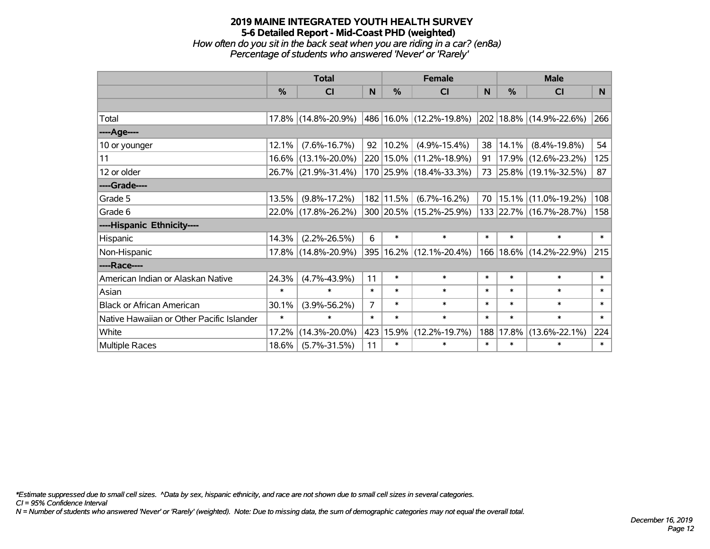*How often do you sit in the back seat when you are riding in a car? (en8a) Percentage of students who answered 'Never' or 'Rarely'*

|                                           |               | <b>Total</b>        |                |               | <b>Female</b>               |          | <b>Male</b> |                             |        |
|-------------------------------------------|---------------|---------------------|----------------|---------------|-----------------------------|----------|-------------|-----------------------------|--------|
|                                           | $\frac{0}{0}$ | CI                  | N              | $\frac{0}{0}$ | CI                          | <b>N</b> | %           | <b>CI</b>                   | N      |
|                                           |               |                     |                |               |                             |          |             |                             |        |
| Total                                     |               | 17.8% (14.8%-20.9%) |                |               | 486 16.0% (12.2%-19.8%)     |          |             | 202   18.8%   (14.9%-22.6%) | 266    |
| ----Age----                               |               |                     |                |               |                             |          |             |                             |        |
| 10 or younger                             | 12.1%         | $(7.6\% - 16.7\%)$  | 92             | $ 10.2\% $    | $(4.9\% - 15.4\%)$          | 38       | 14.1%       | $(8.4\% - 19.8\%)$          | 54     |
| 11                                        |               | 16.6% (13.1%-20.0%) |                |               | 220   15.0%   (11.2%-18.9%) | 91       |             | 17.9% (12.6%-23.2%)         | 125    |
| 12 or older                               |               | 26.7% (21.9%-31.4%) |                |               | 170 25.9% (18.4%-33.3%)     | 73       |             | 25.8% (19.1%-32.5%)         | 87     |
| ----Grade----                             |               |                     |                |               |                             |          |             |                             |        |
| Grade 5                                   | 13.5%         | $(9.8\% - 17.2\%)$  |                | 182 11.5%     | $(6.7\% - 16.2\%)$          | 70       | 15.1%       | $(11.0\% - 19.2\%)$         | 108    |
| Grade 6                                   |               | 22.0% (17.8%-26.2%) |                |               | 300 20.5% (15.2%-25.9%)     |          |             | 133 22.7% (16.7%-28.7%)     | 158    |
| ----Hispanic Ethnicity----                |               |                     |                |               |                             |          |             |                             |        |
| Hispanic                                  | 14.3%         | $(2.2\% - 26.5\%)$  | 6              | $\ast$        | $\ast$                      | $\ast$   | $\ast$      | $\ast$                      | $\ast$ |
| Non-Hispanic                              |               | 17.8% (14.8%-20.9%) |                |               | 395   16.2%   (12.1%-20.4%) | 166      |             | 18.6% (14.2%-22.9%)         | 215    |
| ----Race----                              |               |                     |                |               |                             |          |             |                             |        |
| American Indian or Alaskan Native         | 24.3%         | $(4.7\% - 43.9\%)$  | 11             | $\ast$        | $\ast$                      | $\ast$   | $\ast$      | $\ast$                      | $\ast$ |
| Asian                                     | $\ast$        | $\ast$              | $\ast$         | $\ast$        | $\ast$                      | $\ast$   | $\ast$      | $\ast$                      | $\ast$ |
| <b>Black or African American</b>          | 30.1%         | $(3.9\% - 56.2\%)$  | $\overline{7}$ | $\ast$        | $\ast$                      | $\ast$   | $\ast$      | $\ast$                      | $\ast$ |
| Native Hawaiian or Other Pacific Islander | $\ast$        | $\ast$              | $\ast$         | $\ast$        | $\ast$                      | $\ast$   | $\ast$      | $\ast$                      | $\ast$ |
| White                                     | 17.2%         | $(14.3\% - 20.0\%)$ | 423            | 15.9%         | $(12.2\% - 19.7\%)$         | 188      | 17.8%       | $(13.6\% - 22.1\%)$         | 224    |
| <b>Multiple Races</b>                     | 18.6%         | $(5.7\% - 31.5\%)$  | 11             | $\ast$        | $\ast$                      | $\ast$   | $\ast$      | $\ast$                      | $\ast$ |

*\*Estimate suppressed due to small cell sizes. ^Data by sex, hispanic ethnicity, and race are not shown due to small cell sizes in several categories.*

*CI = 95% Confidence Interval*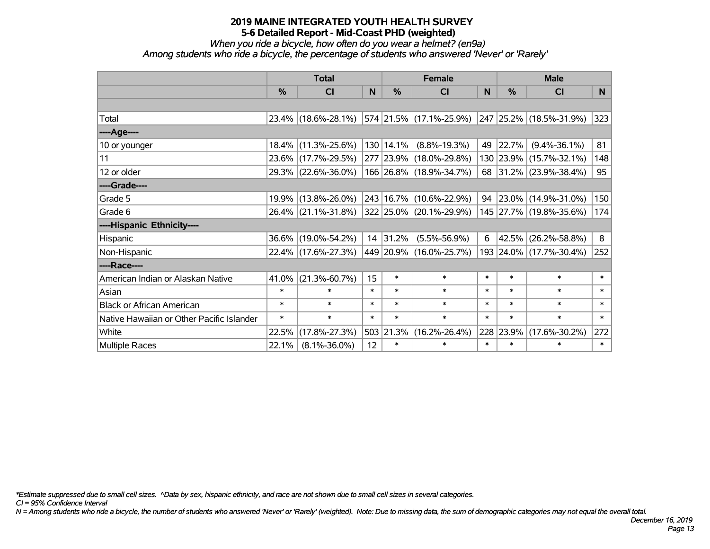*When you ride a bicycle, how often do you wear a helmet? (en9a)*

*Among students who ride a bicycle, the percentage of students who answered 'Never' or 'Rarely'*

|                                           |               | <b>Total</b>                                |        |           | <b>Female</b>               |        |               | <b>Male</b>              |        |
|-------------------------------------------|---------------|---------------------------------------------|--------|-----------|-----------------------------|--------|---------------|--------------------------|--------|
|                                           | $\frac{0}{0}$ | <b>CI</b>                                   | N      | %         | <b>CI</b>                   | N      | $\frac{0}{0}$ | <b>CI</b>                | N.     |
|                                           |               |                                             |        |           |                             |        |               |                          |        |
| Total                                     |               | 23.4% (18.6%-28.1%) 574 21.5% (17.1%-25.9%) |        |           |                             |        |               | 247 25.2% (18.5%-31.9%)  | 323    |
| ----Age----                               |               |                                             |        |           |                             |        |               |                          |        |
| 10 or younger                             |               | 18.4% (11.3%-25.6%)                         |        | 130 14.1% | $(8.8\% - 19.3\%)$          | 49     | 22.7%         | $(9.4\% - 36.1\%)$       | 81     |
| 11                                        |               | 23.6% (17.7%-29.5%)                         |        |           | 277 23.9% (18.0%-29.8%)     |        |               | 130 23.9% (15.7%-32.1%)  | 148    |
| 12 or older                               |               | 29.3% (22.6%-36.0%)                         |        |           | 166 26.8% (18.9%-34.7%)     |        |               | 68 31.2% (23.9%-38.4%)   | 95     |
| ----Grade----                             |               |                                             |        |           |                             |        |               |                          |        |
| Grade 5                                   |               | 19.9% (13.8%-26.0%)                         |        |           | 243   16.7%   (10.6%-22.9%) | 94     |               | $ 23.0\% $ (14.9%-31.0%) | 150    |
| Grade 6                                   |               | 26.4% (21.1%-31.8%) 322 25.0% (20.1%-29.9%) |        |           |                             |        |               | 145 27.7% (19.8%-35.6%)  | 174    |
| ----Hispanic Ethnicity----                |               |                                             |        |           |                             |        |               |                          |        |
| Hispanic                                  |               | 36.6% (19.0%-54.2%)                         |        | 14 31.2%  | $(5.5\% - 56.9\%)$          | 6      | 42.5%         | $(26.2\% - 58.8\%)$      | 8      |
| Non-Hispanic                              |               | 22.4% (17.6%-27.3%)                         |        |           | 449 20.9% (16.0%-25.7%)     |        |               | 193 24.0% (17.7%-30.4%)  | 252    |
| ----Race----                              |               |                                             |        |           |                             |        |               |                          |        |
| American Indian or Alaskan Native         | 41.0%         | $(21.3\% - 60.7\%)$                         | 15     | $\ast$    | $\ast$                      | $\ast$ | $\ast$        | $\ast$                   | $\ast$ |
| Asian                                     | $\ast$        | $\ast$                                      | $\ast$ | $\ast$    | $\ast$                      | $\ast$ | $\ast$        | $\ast$                   | $\ast$ |
| <b>Black or African American</b>          | $\ast$        | $\ast$                                      | $\ast$ | $\ast$    | $\ast$                      | $\ast$ | $\ast$        | $\ast$                   | $\ast$ |
| Native Hawaiian or Other Pacific Islander | $\ast$        | $\ast$                                      | $\ast$ | $\ast$    | $\ast$                      | $\ast$ | $\ast$        | $\ast$                   | $\ast$ |
| White                                     | 22.5%         | $(17.8\% - 27.3\%)$                         |        | 503 21.3% | $(16.2\% - 26.4\%)$         |        | 228 23.9%     | $(17.6\% - 30.2\%)$      | 272    |
| Multiple Races                            | 22.1%         | $(8.1\% - 36.0\%)$                          | 12     | $\ast$    | $\ast$                      | $\ast$ | $\ast$        | $\ast$                   | $\ast$ |

*\*Estimate suppressed due to small cell sizes. ^Data by sex, hispanic ethnicity, and race are not shown due to small cell sizes in several categories.*

*CI = 95% Confidence Interval*

*N = Among students who ride a bicycle, the number of students who answered 'Never' or 'Rarely' (weighted). Note: Due to missing data, the sum of demographic categories may not equal the overall total.*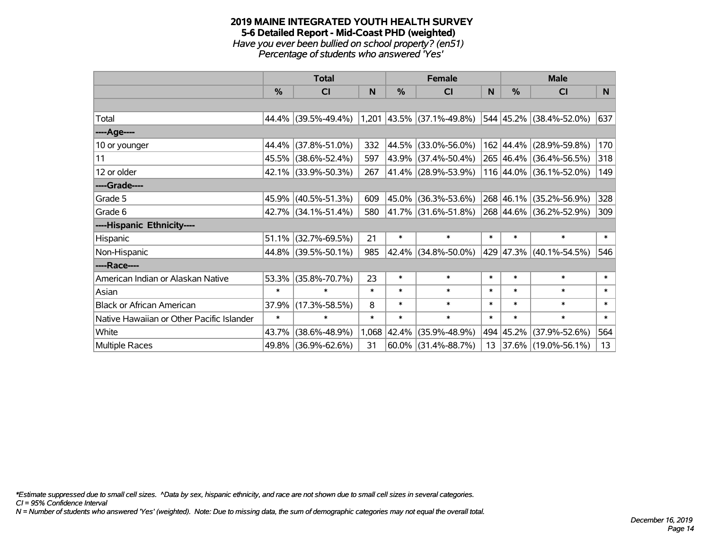#### **2019 MAINE INTEGRATED YOUTH HEALTH SURVEY 5-6 Detailed Report - Mid-Coast PHD (weighted)** *Have you ever been bullied on school property? (en51) Percentage of students who answered 'Yes'*

|                                           | <b>Total</b> |                     |        | <b>Female</b> | <b>Male</b>                 |        |           |                         |        |
|-------------------------------------------|--------------|---------------------|--------|---------------|-----------------------------|--------|-----------|-------------------------|--------|
|                                           | %            | CI                  | N      | %             | <b>CI</b>                   | N      | %         | <b>CI</b>               | N      |
|                                           |              |                     |        |               |                             |        |           |                         |        |
| Total                                     |              | 44.4% (39.5%-49.4%) |        |               | $1,201$ 43.5% (37.1%-49.8%) |        |           | 544 45.2% (38.4%-52.0%) | 637    |
| ----Age----                               |              |                     |        |               |                             |        |           |                         |        |
| 10 or younger                             | 44.4%        | $(37.8\% - 51.0\%)$ | 332    | 44.5%         | $(33.0\% - 56.0\%)$         |        | 162 44.4% | $(28.9\% - 59.8\%)$     | 170    |
| 11                                        |              | 45.5% (38.6%-52.4%) | 597    | 43.9%         | $(37.4\% - 50.4\%)$         |        |           | 265 46.4% (36.4%-56.5%) | 318    |
| 12 or older                               |              | 42.1% (33.9%-50.3%) | 267    |               | 41.4% (28.9%-53.9%)         |        |           | 116 44.0% (36.1%-52.0%) | 149    |
| ----Grade----                             |              |                     |        |               |                             |        |           |                         |        |
| Grade 5                                   |              | 45.9% (40.5%-51.3%) | 609    | 45.0%         | $(36.3\% - 53.6\%)$         |        | 268 46.1% | $(35.2\% - 56.9\%)$     | 328    |
| Grade 6                                   |              | 42.7% (34.1%-51.4%) | 580    |               | 41.7% (31.6%-51.8%)         |        |           | 268 44.6% (36.2%-52.9%) | 309    |
| ----Hispanic Ethnicity----                |              |                     |        |               |                             |        |           |                         |        |
| Hispanic                                  | 51.1%        | $(32.7\% - 69.5\%)$ | 21     | $\ast$        | $\ast$                      | $\ast$ | $\ast$    | $\ast$                  | $\ast$ |
| Non-Hispanic                              |              | 44.8% (39.5%-50.1%) | 985    | 42.4%         | $(34.8\% - 50.0\%)$         |        | 429 47.3% | $(40.1\% - 54.5\%)$     | 546    |
| ----Race----                              |              |                     |        |               |                             |        |           |                         |        |
| American Indian or Alaskan Native         | 53.3%        | $(35.8\% - 70.7\%)$ | 23     | $\ast$        | $\ast$                      | $\ast$ | $\ast$    | $\ast$                  | $\ast$ |
| Asian                                     | $\ast$       | $\ast$              | $\ast$ | $\ast$        | $\ast$                      | $\ast$ | $\ast$    | $\ast$                  | $\ast$ |
| <b>Black or African American</b>          | 37.9%        | $(17.3\% - 58.5\%)$ | 8      | $\ast$        | $\ast$                      | $\ast$ | $\ast$    | $\ast$                  | $\ast$ |
| Native Hawaiian or Other Pacific Islander | $\ast$       | $\ast$              | $\ast$ | $\ast$        | $\ast$                      | $\ast$ | $\ast$    | $\ast$                  | $\ast$ |
| White                                     | 43.7%        | $(38.6\% - 48.9\%)$ | 1,068  | 42.4%         | $(35.9\% - 48.9\%)$         | 494    | 45.2%     | $(37.9\% - 52.6\%)$     | 564    |
| Multiple Races                            |              | 49.8% (36.9%-62.6%) | 31     | 60.0%         | $(31.4\% - 88.7\%)$         | 13     |           | 37.6% (19.0%-56.1%)     | 13     |

*\*Estimate suppressed due to small cell sizes. ^Data by sex, hispanic ethnicity, and race are not shown due to small cell sizes in several categories.*

*CI = 95% Confidence Interval*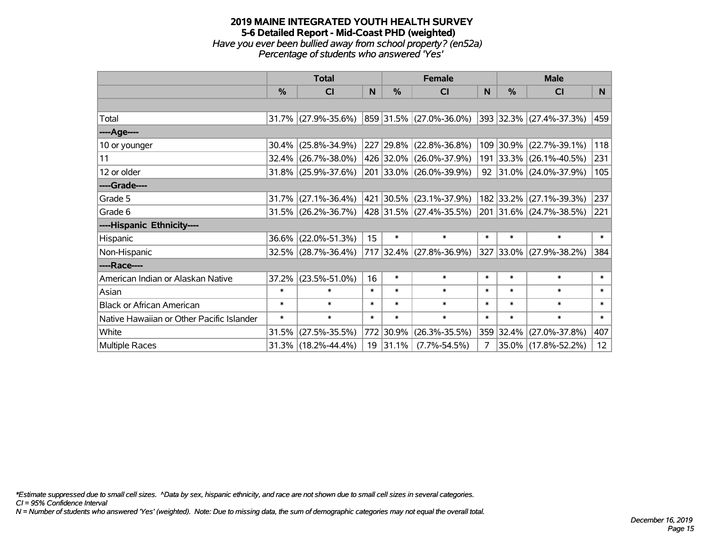#### **2019 MAINE INTEGRATED YOUTH HEALTH SURVEY 5-6 Detailed Report - Mid-Coast PHD (weighted)** *Have you ever been bullied away from school property? (en52a) Percentage of students who answered 'Yes'*

|                                           | <b>Total</b>  |                        |        | <b>Female</b> | <b>Male</b>                  |              |           |                          |        |
|-------------------------------------------|---------------|------------------------|--------|---------------|------------------------------|--------------|-----------|--------------------------|--------|
|                                           | $\frac{0}{2}$ | CI                     | N      | $\%$          | <b>CI</b>                    | <sub>N</sub> | $\%$      | CI                       | N      |
|                                           |               |                        |        |               |                              |              |           |                          |        |
| Total                                     |               | 31.7% (27.9%-35.6%)    |        |               | $ 859 31.5\% $ (27.0%-36.0%) |              |           | 393 32.3% (27.4%-37.3%)  | 459    |
| ----Age----                               |               |                        |        |               |                              |              |           |                          |        |
| 10 or younger                             | 30.4%         | $(25.8\% - 34.9\%)$    |        |               | 227 29.8% (22.8%-36.8%)      |              | 109 30.9% | $(22.7\% - 39.1\%)$      | 118    |
| 11                                        |               | $32.4\%$ (26.7%-38.0%) |        |               | 426 32.0% (26.0%-37.9%)      |              |           | 191 33.3% (26.1%-40.5%)  | 231    |
| 12 or older                               |               | $31.8\%$ (25.9%-37.6%) |        |               | 201 33.0% (26.0%-39.9%)      |              |           | $92$ 31.0% (24.0%-37.9%) | 105    |
| ----Grade----                             |               |                        |        |               |                              |              |           |                          |        |
| Grade 5                                   | 31.7%         | $(27.1\% - 36.4\%)$    |        |               | 421 30.5% (23.1%-37.9%)      |              | 182 33.2% | $(27.1\% - 39.3\%)$      | 237    |
| Grade 6                                   |               | $31.5\%$ (26.2%-36.7%) |        |               | 428 31.5% (27.4%-35.5%)      |              |           | 201 31.6% (24.7%-38.5%)  | 221    |
| ----Hispanic Ethnicity----                |               |                        |        |               |                              |              |           |                          |        |
| Hispanic                                  | 36.6%         | $(22.0\% - 51.3\%)$    | 15     | $\ast$        | $\ast$                       | $\ast$       | $\ast$    | $\ast$                   | $\ast$ |
| Non-Hispanic                              |               | $32.5\%$ (28.7%-36.4%) |        |               | 717 32.4% (27.8%-36.9%)      |              |           | 327 33.0% (27.9%-38.2%)  | 384    |
| ----Race----                              |               |                        |        |               |                              |              |           |                          |        |
| American Indian or Alaskan Native         | 37.2%         | $(23.5\% - 51.0\%)$    | 16     | $\ast$        | $\ast$                       | $\ast$       | $\ast$    | $\ast$                   | $\ast$ |
| Asian                                     | $\ast$        | $\ast$                 | $\ast$ | $\ast$        | $\ast$                       | $\ast$       | $\ast$    | $\ast$                   | $\ast$ |
| <b>Black or African American</b>          | $\ast$        | $\ast$                 | $\ast$ | $\ast$        | $\ast$                       | $\ast$       | $\ast$    | $\ast$                   | $\ast$ |
| Native Hawaiian or Other Pacific Islander | $\ast$        | $\ast$                 | $\ast$ | $\ast$        | $\ast$                       | $\ast$       | $\ast$    | $\ast$                   | $\ast$ |
| White                                     | 31.5%         | $(27.5\% - 35.5\%)$    |        | 772 30.9%     | $(26.3\% - 35.5\%)$          |              | 359 32.4% | $(27.0\% - 37.8\%)$      | 407    |
| Multiple Races                            |               | 31.3% (18.2%-44.4%)    |        | $19$ 31.1%    | $(7.7\% - 54.5\%)$           | 7            |           | 35.0% (17.8%-52.2%)      | 12     |

*\*Estimate suppressed due to small cell sizes. ^Data by sex, hispanic ethnicity, and race are not shown due to small cell sizes in several categories.*

*CI = 95% Confidence Interval*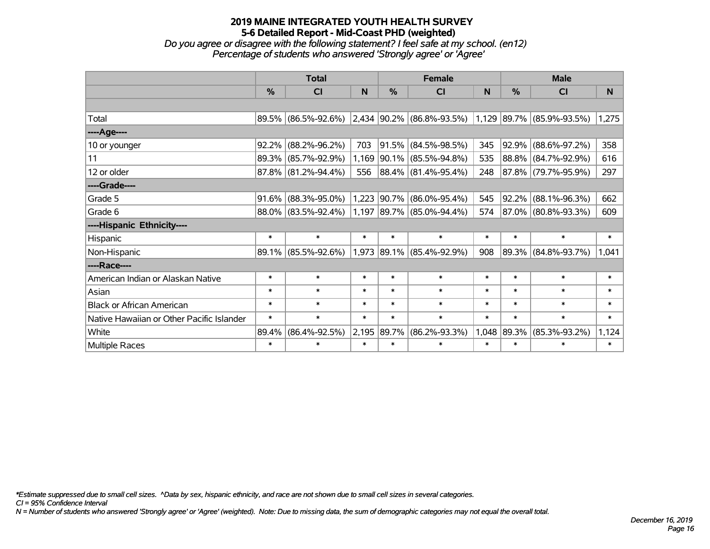*Do you agree or disagree with the following statement? I feel safe at my school. (en12) Percentage of students who answered 'Strongly agree' or 'Agree'*

|                                           | <b>Total</b> |                        |        |               | <b>Female</b>                                                                                       |        | <b>Male</b> |                     |        |  |
|-------------------------------------------|--------------|------------------------|--------|---------------|-----------------------------------------------------------------------------------------------------|--------|-------------|---------------------|--------|--|
|                                           | $\%$         | <b>CI</b>              | N      | $\frac{0}{0}$ | <b>CI</b>                                                                                           | N      | %           | <b>CI</b>           | N      |  |
|                                           |              |                        |        |               |                                                                                                     |        |             |                     |        |  |
| Total                                     |              | 89.5% (86.5%-92.6%)    |        |               | $\vert 2.434 \vert 90.2\% \vert (86.8\% - 93.5\%) \vert 1.129 \vert 89.7\% \vert (85.9\% - 93.5\%)$ |        |             |                     | 1,275  |  |
| ----Age----                               |              |                        |        |               |                                                                                                     |        |             |                     |        |  |
| 10 or younger                             | 92.2%        | $(88.2\% - 96.2\%)$    | 703    | $ 91.5\% $    | $(84.5\% - 98.5\%)$                                                                                 | 345    | 92.9%       | $(88.6\% - 97.2\%)$ | 358    |  |
| 11                                        |              | 89.3% (85.7%-92.9%)    | 1,169  |               | $ 90.1\% $ (85.5%-94.8%)                                                                            | 535    |             | 88.8% (84.7%-92.9%) | 616    |  |
| 12 or older                               |              | $87.8\%$ (81.2%-94.4%) | 556    |               | 88.4% (81.4%-95.4%)                                                                                 | 248    |             | 87.8% (79.7%-95.9%) | 297    |  |
| ----Grade----                             |              |                        |        |               |                                                                                                     |        |             |                     |        |  |
| Grade 5                                   | 91.6%        | $(88.3\% - 95.0\%)$    | 1,223  | $ 90.7\% $    | $(86.0\% - 95.4\%)$                                                                                 | 545    | $ 92.2\% $  | $(88.1\% - 96.3\%)$ | 662    |  |
| Grade 6                                   |              | 88.0% (83.5%-92.4%)    |        |               | 1,197 89.7% (85.0%-94.4%)                                                                           | 574    |             | 87.0% (80.8%-93.3%) | 609    |  |
| ----Hispanic Ethnicity----                |              |                        |        |               |                                                                                                     |        |             |                     |        |  |
| Hispanic                                  | $\ast$       | $\ast$                 | $\ast$ | $\ast$        | $\ast$                                                                                              | $\ast$ | $\ast$      | $\ast$              | $\ast$ |  |
| Non-Hispanic                              |              | 89.1% (85.5%-92.6%)    |        |               | 1,973 89.1% (85.4%-92.9%)                                                                           | 908    | $ 89.3\% $  | $(84.8\% - 93.7\%)$ | 1,041  |  |
| ----Race----                              |              |                        |        |               |                                                                                                     |        |             |                     |        |  |
| American Indian or Alaskan Native         | $\ast$       | $\ast$                 | $\ast$ | $\ast$        | $\ast$                                                                                              | $\ast$ | $\ast$      | $\ast$              | $\ast$ |  |
| Asian                                     | $\ast$       | $\ast$                 | $\ast$ | $\ast$        | $\ast$                                                                                              | $\ast$ | $\ast$      | $\ast$              | $\ast$ |  |
| <b>Black or African American</b>          | $\ast$       | $\ast$                 | $\ast$ | $\ast$        | $\ast$                                                                                              | $\ast$ | $\ast$      | $\ast$              | $\ast$ |  |
| Native Hawaiian or Other Pacific Islander | $\ast$       | $\ast$                 | $\ast$ | $\ast$        | $\ast$                                                                                              | $\ast$ | $\ast$      | $\ast$              | $\ast$ |  |
| White                                     | 89.4%        | $(86.4\% - 92.5\%)$    | 2,195  | 89.7%         | $(86.2\% - 93.3\%)$                                                                                 | 1,048  | 89.3%       | $(85.3\% - 93.2\%)$ | 1,124  |  |
| Multiple Races                            | $\ast$       | $\ast$                 | $\ast$ | $\ast$        | $\ast$                                                                                              | $\ast$ | $\ast$      | $\ast$              | $\ast$ |  |

*\*Estimate suppressed due to small cell sizes. ^Data by sex, hispanic ethnicity, and race are not shown due to small cell sizes in several categories.*

*CI = 95% Confidence Interval*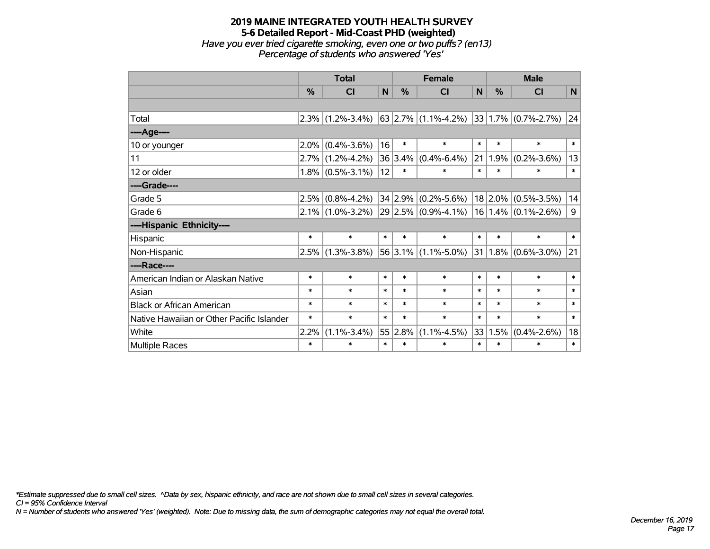# **2019 MAINE INTEGRATED YOUTH HEALTH SURVEY 5-6 Detailed Report - Mid-Coast PHD (weighted)** *Have you ever tried cigarette smoking, even one or two puffs? (en13) Percentage of students who answered 'Yes'*

|                                           | <b>Total</b> |                     |        | <b>Female</b> |                                                   |        | <b>Male</b> |                              |        |  |
|-------------------------------------------|--------------|---------------------|--------|---------------|---------------------------------------------------|--------|-------------|------------------------------|--------|--|
|                                           | %            | CI                  | N      | %             | <b>CI</b>                                         | N      | %           | <b>CI</b>                    | N      |  |
|                                           |              |                     |        |               |                                                   |        |             |                              |        |  |
| Total                                     |              | $2.3\%$ (1.2%-3.4%) |        |               | $63$ 2.7% (1.1%-4.2%)                             |        |             | $ 33 1.7\% $ (0.7%-2.7%)     | 24     |  |
| ----Age----                               |              |                     |        |               |                                                   |        |             |                              |        |  |
| 10 or younger                             | 2.0%         | $(0.4\% - 3.6\%)$   | 16     | $\ast$        | $\ast$                                            | $\ast$ | $\ast$      | $\ast$                       | $\ast$ |  |
| 11                                        |              | $2.7\%$ (1.2%-4.2%) |        |               | $36 3.4\% $ (0.4%-6.4%)                           | 21     | 1.9%        | $(0.2\% - 3.6\%)$            | 13     |  |
| 12 or older                               |              | $1.8\%$ (0.5%-3.1%) | 12     | $\ast$        | $\ast$                                            | $\ast$ | $\ast$      | $\ast$                       | $\ast$ |  |
| ----Grade----                             |              |                     |        |               |                                                   |        |             |                              |        |  |
| Grade 5                                   | 2.5%         | $(0.8\% - 4.2\%)$   |        |               | 34 2.9% (0.2%-5.6%)                               |        | $18$ 2.0%   | $(0.5\% - 3.5\%)$            | 14     |  |
| Grade 6                                   |              | $2.1\%$ (1.0%-3.2%) |        |               | $29 2.5\% $ (0.9%-4.1%)   16   1.4%   (0.1%-2.6%) |        |             |                              | 9      |  |
| ----Hispanic Ethnicity----                |              |                     |        |               |                                                   |        |             |                              |        |  |
| Hispanic                                  | $\ast$       | $\ast$              | $\ast$ | $\ast$        | $\ast$                                            | $\ast$ | $\ast$      | $\ast$                       | $\ast$ |  |
| Non-Hispanic                              | 2.5%         | $(1.3\% - 3.8\%)$   |        |               | $56 3.1\% $ (1.1%-5.0%)                           |        |             | $ 31 1.8\%  (0.6\% - 3.0\%)$ | 21     |  |
| ----Race----                              |              |                     |        |               |                                                   |        |             |                              |        |  |
| American Indian or Alaskan Native         | $\ast$       | $\ast$              | $\ast$ | $\ast$        | $\ast$                                            | $\ast$ | $\ast$      | $\ast$                       | $\ast$ |  |
| Asian                                     | $\ast$       | $\ast$              | $\ast$ | $\ast$        | $\ast$                                            | $\ast$ | $\ast$      | $\ast$                       | $\ast$ |  |
| <b>Black or African American</b>          | $\ast$       | $\ast$              | $\ast$ | $\ast$        | $\ast$                                            | $\ast$ | $\ast$      | $\ast$                       | $\ast$ |  |
| Native Hawaiian or Other Pacific Islander | $\ast$       | $\ast$              | $\ast$ | $\ast$        | $\ast$                                            | $\ast$ | $\ast$      | $\ast$                       | $\ast$ |  |
| White                                     | 2.2%         | $(1.1\% - 3.4\%)$   |        | 55 2.8%       | $(1.1\% - 4.5\%)$                                 | 33     | 1.5%        | $(0.4\% - 2.6\%)$            | 18     |  |
| Multiple Races                            | $\ast$       | $\ast$              | $\ast$ | $\ast$        | $\ast$                                            | $\ast$ | $\ast$      | $\ast$                       | $\ast$ |  |

*\*Estimate suppressed due to small cell sizes. ^Data by sex, hispanic ethnicity, and race are not shown due to small cell sizes in several categories.*

*CI = 95% Confidence Interval*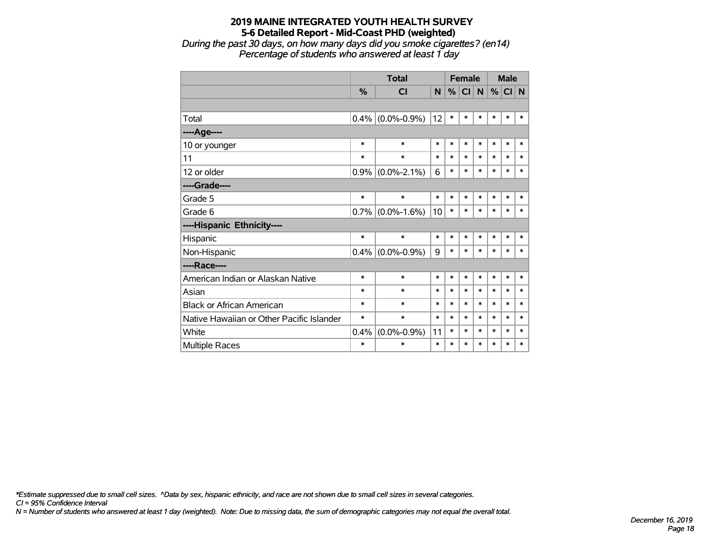*During the past 30 days, on how many days did you smoke cigarettes? (en14) Percentage of students who answered at least 1 day*

|                                           |               | <b>Total</b>      |        | <b>Female</b> |           |        | <b>Male</b> |        |        |
|-------------------------------------------|---------------|-------------------|--------|---------------|-----------|--------|-------------|--------|--------|
|                                           | $\frac{9}{6}$ | <b>CI</b>         | N      | %             | <b>CI</b> | N      | %           | CI N   |        |
|                                           |               |                   |        |               |           |        |             |        |        |
| Total                                     | 0.4%          | $(0.0\% - 0.9\%)$ | 12     | $\ast$        | $\ast$    | $\ast$ | $\ast$      | *      | *      |
| ---- Age----                              |               |                   |        |               |           |        |             |        |        |
| 10 or younger                             | *             | $\ast$            | $\ast$ | $\ast$        | $\ast$    | $\ast$ | $\ast$      | $\ast$ | $\ast$ |
| 11                                        | *             | $\ast$            | $\ast$ | $\ast$        | $\ast$    | $\ast$ | $\ast$      | $\ast$ | $\ast$ |
| 12 or older                               | 0.9%          | $(0.0\% - 2.1\%)$ | 6      | $\ast$        | $\ast$    | $\ast$ | $\ast$      | $\ast$ | $\ast$ |
| ----Grade----                             |               |                   |        |               |           |        |             |        |        |
| Grade 5                                   | $\ast$        | $\ast$            | $\ast$ | $\ast$        | $\ast$    | $\ast$ | $\ast$      | $\ast$ | $\ast$ |
| Grade 6                                   | 0.7%          | $(0.0\% - 1.6\%)$ | 10     | $\ast$        | $\ast$    | $\ast$ | $\ast$      | $\ast$ | $\ast$ |
| ----Hispanic Ethnicity----                |               |                   |        |               |           |        |             |        |        |
| Hispanic                                  | $\ast$        | $\ast$            | *      | $\ast$        | $\ast$    | $\ast$ | *           | $\ast$ | *      |
| Non-Hispanic                              | 0.4%          | $(0.0\% - 0.9\%)$ | 9      | $\ast$        | $\ast$    | $\ast$ | $\ast$      | *      | $\ast$ |
| ----Race----                              |               |                   |        |               |           |        |             |        |        |
| American Indian or Alaskan Native         | $\ast$        | $\ast$            | *      | $\ast$        | $\ast$    | $\ast$ | $\ast$      | $\ast$ | $\ast$ |
| Asian                                     | *             | $\ast$            | $\ast$ | *             | $\ast$    | $\ast$ | $\ast$      | *      | $\ast$ |
| <b>Black or African American</b>          | *             | $\ast$            | $\ast$ | $\ast$        | $\ast$    | $\ast$ | $\ast$      | $\ast$ | $\ast$ |
| Native Hawaiian or Other Pacific Islander | *             | $\ast$            | $\ast$ | *             | $\ast$    | $\ast$ | $\ast$      | *      | $\ast$ |
| White                                     | 0.4%          | $(0.0\% - 0.9\%)$ | 11     | $\ast$        | $\ast$    | $\ast$ | $\ast$      | *      | $\ast$ |
| Multiple Races                            | *             | $\ast$            | $\ast$ | *             | $\ast$    | $\ast$ | $\ast$      | *      | $\ast$ |

*\*Estimate suppressed due to small cell sizes. ^Data by sex, hispanic ethnicity, and race are not shown due to small cell sizes in several categories.*

*CI = 95% Confidence Interval*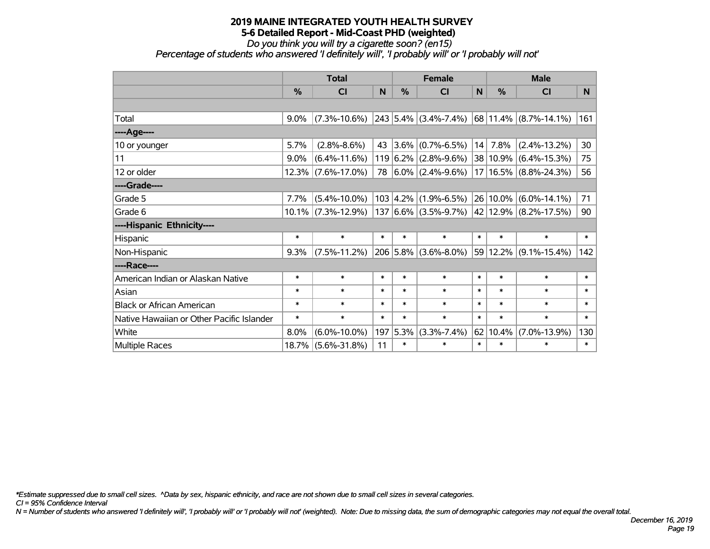*Do you think you will try a cigarette soon? (en15)*

*Percentage of students who answered 'I definitely will', 'I probably will' or 'I probably will not'*

|                                           | <b>Total</b> |                       |          |           | <b>Female</b>              |        | <b>Male</b>   |                                                          |        |  |
|-------------------------------------------|--------------|-----------------------|----------|-----------|----------------------------|--------|---------------|----------------------------------------------------------|--------|--|
|                                           | %            | CI                    | <b>N</b> | %         | <b>CI</b>                  | N      | $\frac{0}{0}$ | <b>CI</b>                                                | N.     |  |
|                                           |              |                       |          |           |                            |        |               |                                                          |        |  |
| Total                                     | 9.0%         | $(7.3\% - 10.6\%)$    |          |           | $243$ 5.4% (3.4%-7.4%)     |        |               | 68 11.4% (8.7%-14.1%)                                    | 161    |  |
| ---- Age----                              |              |                       |          |           |                            |        |               |                                                          |        |  |
| 10 or younger                             | 5.7%         | $(2.8\% - 8.6\%)$     | 43       |           | $ 3.6\% $ (0.7%-6.5%)      | 14     | 7.8%          | $(2.4\% - 13.2\%)$                                       | 30     |  |
| 11                                        | 9.0%         | $(6.4\% - 11.6\%)$    |          |           | $119 6.2\% $ (2.8%-9.6%)   |        | 38 10.9%      | $(6.4\% - 15.3\%)$                                       | 75     |  |
| 12 or older                               |              | 12.3% (7.6%-17.0%)    | 78       |           | $ 6.0\% $ (2.4%-9.6%)      |        |               | 17   16.5%   (8.8%-24.3%)                                | 56     |  |
| ----Grade----                             |              |                       |          |           |                            |        |               |                                                          |        |  |
| Grade 5                                   | 7.7%         | $(5.4\% - 10.0\%)$    |          |           | $103$   4.2%   (1.9%-6.5%) |        | 26 10.0%      | $(6.0\% - 14.1\%)$                                       | 71     |  |
| Grade 6                                   |              | $10.1\%$ (7.3%-12.9%) |          |           |                            |        |               | 137 $ 6.6\% $ (3.5%-9.7%) $ 42 $ 12.9% $ (8.2\%$ -17.5%) | 90     |  |
| ----Hispanic Ethnicity----                |              |                       |          |           |                            |        |               |                                                          |        |  |
| Hispanic                                  | $\ast$       | $\ast$                | $\ast$   | $\ast$    | $\ast$                     | $\ast$ | $\ast$        | $\ast$                                                   | $\ast$ |  |
| Non-Hispanic                              | 9.3%         | $(7.5\% - 11.2\%)$    |          |           | $206$ 5.8% (3.6%-8.0%)     |        | 59 12.2%      | $(9.1\% - 15.4\%)$                                       | 142    |  |
| ----Race----                              |              |                       |          |           |                            |        |               |                                                          |        |  |
| American Indian or Alaskan Native         | $\ast$       | $\ast$                | $\ast$   | $\ast$    | $\ast$                     | $\ast$ | $\ast$        | $\ast$                                                   | $\ast$ |  |
| Asian                                     | $\ast$       | $\ast$                | $\ast$   | $\ast$    | $\ast$                     | $\ast$ | $\ast$        | $\ast$                                                   | $\ast$ |  |
| <b>Black or African American</b>          | $\ast$       | $\ast$                | $\ast$   | $\ast$    | $\ast$                     | $\ast$ | $\ast$        | $\ast$                                                   | $\ast$ |  |
| Native Hawaiian or Other Pacific Islander | $\ast$       | $\ast$                | $\ast$   | $\ast$    | $\ast$                     | $\ast$ | $\ast$        | $\ast$                                                   | $\ast$ |  |
| White                                     | 8.0%         | $(6.0\% - 10.0\%)$    | 197      | $ 5.3\% $ | $(3.3\% - 7.4\%)$          | 62     | 10.4%         | $(7.0\% - 13.9\%)$                                       | 130    |  |
| Multiple Races                            |              | 18.7% (5.6%-31.8%)    | 11       | $\ast$    | $\ast$                     | $\ast$ | $\ast$        | $\ast$                                                   | $\ast$ |  |

*\*Estimate suppressed due to small cell sizes. ^Data by sex, hispanic ethnicity, and race are not shown due to small cell sizes in several categories.*

*CI = 95% Confidence Interval*

*N = Number of students who answered 'I definitely will', 'I probably will' or 'I probably will not' (weighted). Note: Due to missing data, the sum of demographic categories may not equal the overall total.*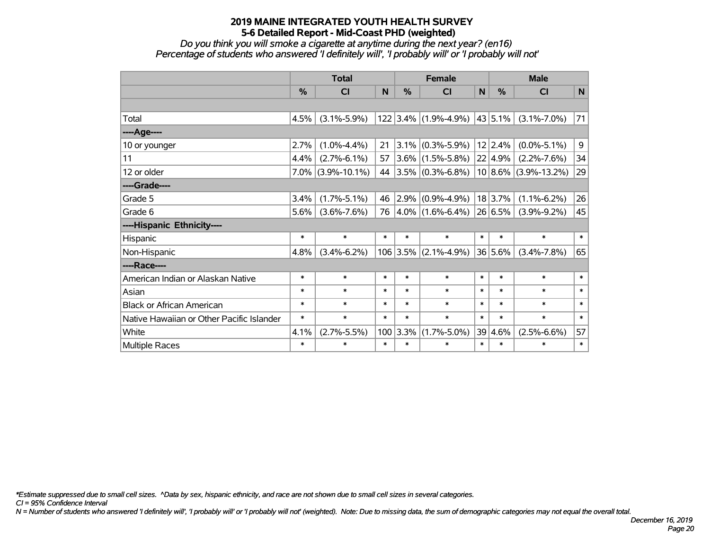*Do you think you will smoke a cigarette at anytime during the next year? (en16) Percentage of students who answered 'I definitely will', 'I probably will' or 'I probably will not'*

|                                           | <b>Total</b> |                    |        |            | <b>Female</b>        |             | <b>Male</b>  |                          |        |
|-------------------------------------------|--------------|--------------------|--------|------------|----------------------|-------------|--------------|--------------------------|--------|
|                                           | %            | <b>CI</b>          | N      | $\%$       | <b>CI</b>            | $\mathbf N$ | %            | CI                       | N      |
|                                           |              |                    |        |            |                      |             |              |                          |        |
| Total                                     | 4.5%         | $(3.1\% - 5.9\%)$  |        |            | 122 3.4% (1.9%-4.9%) |             | $ 43 5.1\% $ | $(3.1\% - 7.0\%)$        | 71     |
| ----Age----                               |              |                    |        |            |                      |             |              |                          |        |
| 10 or younger                             | 2.7%         | $(1.0\% - 4.4\%)$  | 21     |            | $3.1\%$ (0.3%-5.9%)  |             | 12 2.4%      | $(0.0\% - 5.1\%)$        | 9      |
| 11                                        | 4.4%         | $(2.7\% - 6.1\%)$  | 57     |            | $3.6\%$ (1.5%-5.8%)  |             | 22 4.9%      | $(2.2\% - 7.6\%)$        | 34     |
| 12 or older                               | 7.0%         | $(3.9\% - 10.1\%)$ | 44     |            | $3.5\%$ (0.3%-6.8%)  |             |              | $10 8.6\% $ (3.9%-13.2%) | 29     |
| ----Grade----                             |              |                    |        |            |                      |             |              |                          |        |
| Grade 5                                   | 3.4%         | $(1.7\% - 5.1\%)$  | 46     |            | $2.9\%$ (0.9%-4.9%)  |             | 18 3.7%      | $(1.1\% - 6.2\%)$        | 26     |
| Grade 6                                   | 5.6%         | $(3.6\% - 7.6\%)$  | 76     |            | $4.0\%$ (1.6%-6.4%)  |             | 26 6.5%      | $(3.9\% - 9.2\%)$        | 45     |
| ----Hispanic Ethnicity----                |              |                    |        |            |                      |             |              |                          |        |
| Hispanic                                  | $\ast$       | $\ast$             | $\ast$ | $\ast$     | $\ast$               | $\ast$      | $\ast$       | $\ast$                   | $\ast$ |
| Non-Hispanic                              | 4.8%         | $(3.4\% - 6.2\%)$  |        | $106$ 3.5% | $(2.1\% - 4.9\%)$    |             | 36 5.6%      | $(3.4\% - 7.8\%)$        | 65     |
| ----Race----                              |              |                    |        |            |                      |             |              |                          |        |
| American Indian or Alaskan Native         | $\ast$       | $\ast$             | $\ast$ | $\ast$     | $\ast$               | $\ast$      | $\ast$       | $\ast$                   | $\ast$ |
| Asian                                     | $\ast$       | $\ast$             | $\ast$ | $\ast$     | $\ast$               | $\ast$      | $\ast$       | $\ast$                   | $\ast$ |
| <b>Black or African American</b>          | $\ast$       | $\ast$             | $\ast$ | $\ast$     | $\ast$               | $\ast$      | $\ast$       | $\ast$                   | $\ast$ |
| Native Hawaiian or Other Pacific Islander | $\ast$       | $\ast$             | $\ast$ | $\ast$     | $\ast$               | $\ast$      | $\ast$       | $\ast$                   | $\ast$ |
| White                                     | 4.1%         | $(2.7\% - 5.5\%)$  |        | $100$ 3.3% | $(1.7\% - 5.0\%)$    |             | 39 4.6%      | $(2.5\% - 6.6\%)$        | 57     |
| Multiple Races                            | $\ast$       | $\ast$             | $\ast$ | $\ast$     | $\ast$               | $\ast$      | $\ast$       | $\ast$                   | $\ast$ |

*\*Estimate suppressed due to small cell sizes. ^Data by sex, hispanic ethnicity, and race are not shown due to small cell sizes in several categories.*

*CI = 95% Confidence Interval*

*N = Number of students who answered 'I definitely will', 'I probably will' or 'I probably will not' (weighted). Note: Due to missing data, the sum of demographic categories may not equal the overall total.*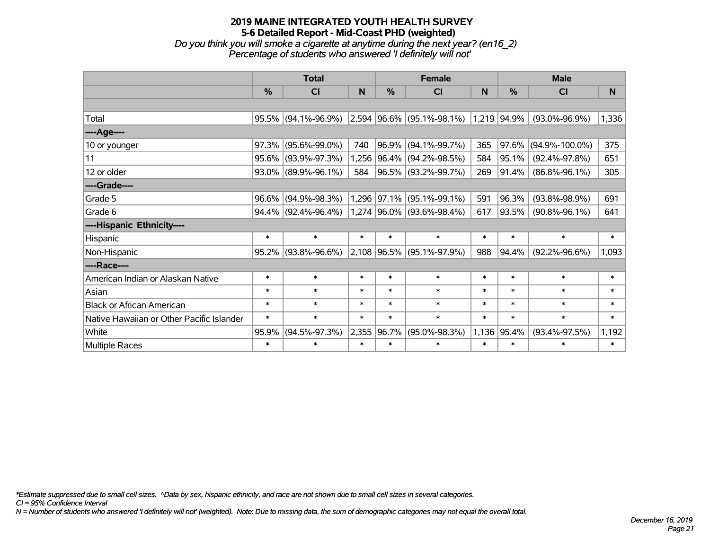#### **2019 MAINE INTEGRATED YOUTH HEALTH SURVEY 5-6 Detailed Report - Mid-Coast PHD (weighted)** *Do you think you will smoke a cigarette at anytime during the next year? (en16\_2) Percentage of students who answered 'I definitely will not'*

|                                           |        | <b>Total</b>           |        |               | <b>Female</b>                      |        | <b>Male</b> |                      |        |  |
|-------------------------------------------|--------|------------------------|--------|---------------|------------------------------------|--------|-------------|----------------------|--------|--|
|                                           | $\%$   | <b>CI</b>              | N      | $\frac{0}{0}$ | CI                                 | N      | %           | <b>CI</b>            | N      |  |
|                                           |        |                        |        |               |                                    |        |             |                      |        |  |
| Total                                     |        | $95.5\%$ (94.1%-96.9%) |        |               | $ 2,594 96.6\%  (95.1\% - 98.1\%)$ |        | 1,219 94.9% | $(93.0\% - 96.9\%)$  | 1,336  |  |
| ----Age----                               |        |                        |        |               |                                    |        |             |                      |        |  |
| 10 or younger                             | 97.3%  | $(95.6\% - 99.0\%)$    | 740    |               | 96.9% (94.1%-99.7%)                | 365    | 97.6%       | $(94.9\% - 100.0\%)$ | 375    |  |
| 11                                        | 95.6%  | $(93.9\% - 97.3\%)$    | 1,256  |               | 96.4% (94.2%-98.5%)                | 584    | 95.1%       | $(92.4\% - 97.8\%)$  | 651    |  |
| 12 or older                               |        | 93.0% (89.9%-96.1%)    | 584    |               | 96.5% (93.2%-99.7%)                | 269    | 91.4%       | $(86.8\% - 96.1\%)$  | 305    |  |
| ----Grade----                             |        |                        |        |               |                                    |        |             |                      |        |  |
| Grade 5                                   | 96.6%  | $(94.9\% - 98.3\%)$    |        |               | 1,296 97.1% (95.1%-99.1%)          | 591    | 96.3%       | $(93.8\% - 98.9\%)$  | 691    |  |
| Grade 6                                   |        | $94.4\%$ (92.4%-96.4%) |        |               | 1,274 96.0% (93.6%-98.4%)          | 617    | 93.5%       | $(90.8\% - 96.1\%)$  | 641    |  |
| ----Hispanic Ethnicity----                |        |                        |        |               |                                    |        |             |                      |        |  |
| Hispanic                                  | $\ast$ | $\ast$                 | $\ast$ | $\ast$        | $\ast$                             | $\ast$ | $\ast$      | $\ast$               | $\ast$ |  |
| Non-Hispanic                              |        | $95.2\%$ (93.8%-96.6%) |        |               | 2,108 96.5% (95.1%-97.9%)          | 988    | 94.4%       | $(92.2\% - 96.6\%)$  | 1,093  |  |
| ----Race----                              |        |                        |        |               |                                    |        |             |                      |        |  |
| American Indian or Alaskan Native         | $\ast$ | $\ast$                 | $\ast$ | $\ast$        | $\ast$                             | $\ast$ | $\ast$      | $\ast$               | $\ast$ |  |
| Asian                                     | $\ast$ | $\ast$                 | $\ast$ | $\ast$        | $\ast$                             | $\ast$ | $\ast$      | $\ast$               | $\ast$ |  |
| <b>Black or African American</b>          | $\ast$ | $\ast$                 | $\ast$ | $\ast$        | $\ast$                             | $\ast$ | $\ast$      | $\ast$               | $\ast$ |  |
| Native Hawaiian or Other Pacific Islander | $\ast$ | $\ast$                 | $\ast$ | $\ast$        | $\ast$                             | $\ast$ | $\ast$      | $\ast$               | $\ast$ |  |
| White                                     | 95.9%  | $(94.5\% - 97.3\%)$    | 2,355  | 96.7%         | $(95.0\% - 98.3\%)$                | 1,136  | 95.4%       | $(93.4\% - 97.5\%)$  | 1,192  |  |
| <b>Multiple Races</b>                     | $\ast$ | $\ast$                 | $\ast$ | $\ast$        | $\ast$                             | $\ast$ | $\ast$      | $\ast$               | $\ast$ |  |

*\*Estimate suppressed due to small cell sizes. ^Data by sex, hispanic ethnicity, and race are not shown due to small cell sizes in several categories.*

*CI = 95% Confidence Interval*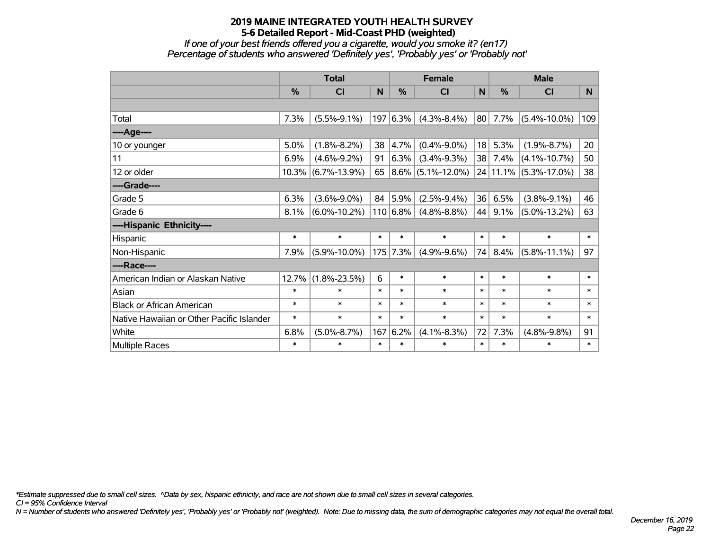*If one of your best friends offered you a cigarette, would you smoke it? (en17) Percentage of students who answered 'Definitely yes', 'Probably yes' or 'Probably not'*

|                                           | <b>Total</b> |                    |        |              | <b>Female</b>          |             |        | <b>Male</b>           |        |  |  |
|-------------------------------------------|--------------|--------------------|--------|--------------|------------------------|-------------|--------|-----------------------|--------|--|--|
|                                           | %            | <b>CI</b>          | N      | %            | <b>CI</b>              | $\mathbf N$ | %      | <b>CI</b>             | N      |  |  |
|                                           |              |                    |        |              |                        |             |        |                       |        |  |  |
| Total                                     | 7.3%         | $(5.5\% - 9.1\%)$  |        | 197 6.3%     | $(4.3\% - 8.4\%)$      | 80          | 7.7%   | $(5.4\% - 10.0\%)$    | 109    |  |  |
| ----Age----                               |              |                    |        |              |                        |             |        |                       |        |  |  |
| 10 or younger                             | 5.0%         | $(1.8\% - 8.2\%)$  | 38     | 4.7%         | $(0.4\% - 9.0\%)$      | 18          | 5.3%   | $(1.9\% - 8.7\%)$     | 20     |  |  |
| 11                                        | 6.9%         | $(4.6\% - 9.2\%)$  | 91     | $6.3\%$      | $(3.4\% - 9.3\%)$      | 38          | 7.4%   | $(4.1\% - 10.7\%)$    | 50     |  |  |
| 12 or older                               | 10.3%        | $(6.7\% - 13.9\%)$ | 65     |              | $ 8.6\% $ (5.1%-12.0%) |             |        | 24 11.1% (5.3%-17.0%) | 38     |  |  |
| ----Grade----                             |              |                    |        |              |                        |             |        |                       |        |  |  |
| Grade 5                                   | 6.3%         | $(3.6\% - 9.0\%)$  | 84     | 5.9%         | $(2.5\% - 9.4\%)$      | 36          | 6.5%   | $(3.8\% - 9.1\%)$     | 46     |  |  |
| Grade 6                                   | 8.1%         | $(6.0\% - 10.2\%)$ |        | $110 6.8\% $ | $(4.8\% - 8.8\%)$      | 44          | 9.1%   | $(5.0\% - 13.2\%)$    | 63     |  |  |
| ----Hispanic Ethnicity----                |              |                    |        |              |                        |             |        |                       |        |  |  |
| Hispanic                                  | $\ast$       | $\ast$             | $\ast$ | $\ast$       | $\ast$                 | $\ast$      | $\ast$ | $\ast$                | $\ast$ |  |  |
| Non-Hispanic                              | 7.9%         | $(5.9\% - 10.0\%)$ |        | $175$ 7.3%   | $(4.9\% - 9.6\%)$      | 74          | 8.4%   | $(5.8\% - 11.1\%)$    | 97     |  |  |
| ----Race----                              |              |                    |        |              |                        |             |        |                       |        |  |  |
| American Indian or Alaskan Native         | 12.7%        | $(1.8\% - 23.5\%)$ | 6      | $\ast$       | $\ast$                 | $\ast$      | $\ast$ | $\ast$                | $\ast$ |  |  |
| Asian                                     | $\ast$       | $\ast$             | $\ast$ | $\ast$       | $\ast$                 | $\ast$      | $\ast$ | $\ast$                | $\ast$ |  |  |
| <b>Black or African American</b>          | $\ast$       | $\ast$             | $\ast$ | $\ast$       | $\ast$                 | $\ast$      | $\ast$ | $\ast$                | $\ast$ |  |  |
| Native Hawaiian or Other Pacific Islander | $\ast$       | $\ast$             | $\ast$ | $\ast$       | $\ast$                 | $\ast$      | $\ast$ | $\ast$                | $\ast$ |  |  |
| White                                     | 6.8%         | $(5.0\% - 8.7\%)$  | 167    | 6.2%         | $(4.1\% - 8.3\%)$      | 72          | 7.3%   | $(4.8\% - 9.8\%)$     | 91     |  |  |
| <b>Multiple Races</b>                     | $\ast$       | $\ast$             | $\ast$ | $\ast$       | $\ast$                 | $\ast$      | $\ast$ | $\ast$                | $\ast$ |  |  |

*\*Estimate suppressed due to small cell sizes. ^Data by sex, hispanic ethnicity, and race are not shown due to small cell sizes in several categories.*

*CI = 95% Confidence Interval*

*N = Number of students who answered 'Definitely yes', 'Probably yes' or 'Probably not' (weighted). Note: Due to missing data, the sum of demographic categories may not equal the overall total.*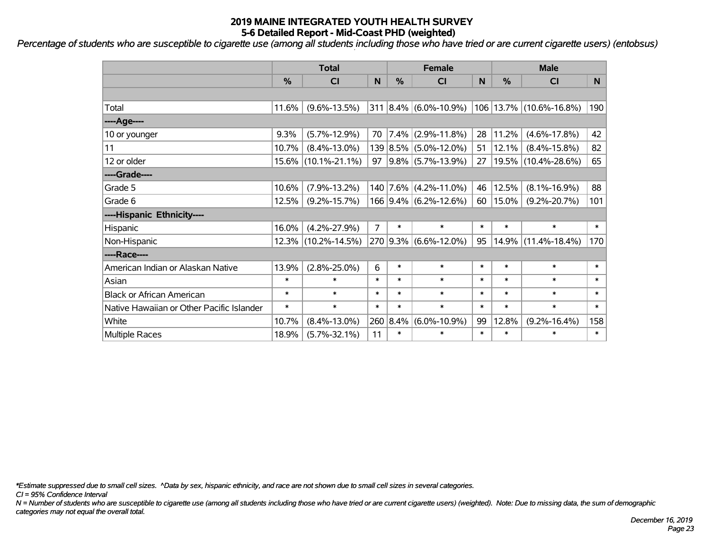*Percentage of students who are susceptible to cigarette use (among all students including those who have tried or are current cigarette users) (entobsus)*

|                                           | <b>Total</b>  |                     |        |          | <b>Female</b>          |        | <b>Male</b>   |                             |        |  |
|-------------------------------------------|---------------|---------------------|--------|----------|------------------------|--------|---------------|-----------------------------|--------|--|
|                                           | $\frac{0}{0}$ | C <sub>l</sub>      | N      | %        | <b>CI</b>              | N      | $\frac{0}{0}$ | <b>CI</b>                   | N      |  |
|                                           |               |                     |        |          |                        |        |               |                             |        |  |
| Total                                     | 11.6%         | $(9.6\% - 13.5\%)$  | 311    |          | $ 8.4\% $ (6.0%-10.9%) |        |               | 106   13.7%   (10.6%-16.8%) | 190    |  |
| ----Age----                               |               |                     |        |          |                        |        |               |                             |        |  |
| 10 or younger                             | 9.3%          | $(5.7\% - 12.9\%)$  | 70     | $7.4\%$  | $(2.9\% - 11.8\%)$     | 28     | 11.2%         | $(4.6\% - 17.8\%)$          | 42     |  |
| 11                                        | 10.7%         | $(8.4\% - 13.0\%)$  |        |          | 139 8.5% (5.0%-12.0%)  | 51     | 12.1%         | $(8.4\% - 15.8\%)$          | 82     |  |
| 12 or older                               | 15.6%         | $(10.1\% - 21.1\%)$ | 97     |          | $9.8\%$ (5.7%-13.9%)   | 27     | 19.5%         | $(10.4\% - 28.6\%)$         | 65     |  |
| ----Grade----                             |               |                     |        |          |                        |        |               |                             |        |  |
| Grade 5                                   | 10.6%         | $(7.9\% - 13.2\%)$  |        |          | 140 7.6% (4.2%-11.0%)  | 46     | 12.5%         | $(8.1\% - 16.9\%)$          | 88     |  |
| Grade 6                                   | 12.5%         | $(9.2\% - 15.7\%)$  |        |          | 166 9.4% (6.2%-12.6%)  | 60     | 15.0%         | $(9.2\% - 20.7\%)$          | 101    |  |
| ----Hispanic Ethnicity----                |               |                     |        |          |                        |        |               |                             |        |  |
| Hispanic                                  | 16.0%         | $(4.2\% - 27.9\%)$  | 7      | $\ast$   | $\ast$                 | $\ast$ | $\ast$        | $\ast$                      | $\ast$ |  |
| Non-Hispanic                              |               | 12.3% (10.2%-14.5%) |        | 270 9.3% | $(6.6\% - 12.0\%)$     | 95     | 14.9%         | $(11.4\% - 18.4\%)$         | 170    |  |
| ----Race----                              |               |                     |        |          |                        |        |               |                             |        |  |
| American Indian or Alaskan Native         | 13.9%         | $(2.8\% - 25.0\%)$  | 6      | $\ast$   | $\ast$                 | $\ast$ | $\ast$        | $\ast$                      | $\ast$ |  |
| Asian                                     | $\ast$        | $\ast$              | $\ast$ | $\ast$   | $\ast$                 | $\ast$ | $\ast$        | $\ast$                      | $\ast$ |  |
| <b>Black or African American</b>          | $\ast$        | $\ast$              | $\ast$ | $\ast$   | $\ast$                 | $\ast$ | $\ast$        | $\ast$                      | $\ast$ |  |
| Native Hawaiian or Other Pacific Islander | $\ast$        | $\ast$              | $\ast$ | $\ast$   | $\ast$                 | $\ast$ | $\ast$        | $\ast$                      | $\ast$ |  |
| White                                     | 10.7%         | $(8.4\% - 13.0\%)$  |        | 260 8.4% | $(6.0\% - 10.9\%)$     | 99     | 12.8%         | $(9.2\% - 16.4\%)$          | 158    |  |
| Multiple Races                            | 18.9%         | $(5.7\% - 32.1\%)$  | 11     | $\ast$   | $\ast$                 | $\ast$ | $\ast$        | $\ast$                      | $\ast$ |  |

*\*Estimate suppressed due to small cell sizes. ^Data by sex, hispanic ethnicity, and race are not shown due to small cell sizes in several categories.*

*CI = 95% Confidence Interval*

*N = Number of students who are susceptible to cigarette use (among all students including those who have tried or are current cigarette users) (weighted). Note: Due to missing data, the sum of demographic categories may not equal the overall total.*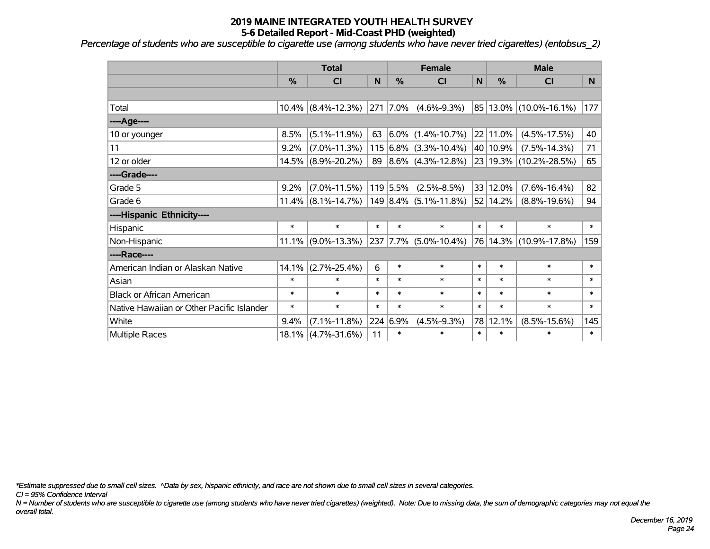*Percentage of students who are susceptible to cigarette use (among students who have never tried cigarettes) (entobsus\_2)*

|                                           | <b>Total</b>  |                    |        |          | <b>Female</b>              |        | <b>Male</b> |                        |        |  |
|-------------------------------------------|---------------|--------------------|--------|----------|----------------------------|--------|-------------|------------------------|--------|--|
|                                           | $\frac{0}{0}$ | <b>CI</b>          | N      | %        | <b>CI</b>                  | N      | %           | <b>CI</b>              | N      |  |
|                                           |               |                    |        |          |                            |        |             |                        |        |  |
| Total                                     | $10.4\%$      | $(8.4\% - 12.3\%)$ |        | 271 7.0% | $(4.6\% - 9.3\%)$          |        |             | 85 13.0% (10.0%-16.1%) | 177    |  |
| ----Age----                               |               |                    |        |          |                            |        |             |                        |        |  |
| 10 or younger                             | 8.5%          | $(5.1\% - 11.9\%)$ | 63     | $6.0\%$  | $(1.4\% - 10.7\%)$         |        | 22 11.0%    | $(4.5\% - 17.5\%)$     | 40     |  |
| 11                                        | 9.2%          | $(7.0\% - 11.3\%)$ |        |          | $115 6.8\% $ (3.3%-10.4%)  |        | 40 10.9%    | $(7.5\% - 14.3\%)$     | 71     |  |
| 12 or older                               | 14.5%         | $(8.9\% - 20.2\%)$ | 89     |          | $ 8.6\% $ (4.3%-12.8%)     |        |             | 23 19.3% (10.2%-28.5%) | 65     |  |
| ----Grade----                             |               |                    |        |          |                            |        |             |                        |        |  |
| Grade 5                                   | 9.2%          | $(7.0\% - 11.5\%)$ |        | 119 5.5% | $(2.5\% - 8.5\%)$          |        | 33 12.0%    | $(7.6\% - 16.4\%)$     | 82     |  |
| Grade 6                                   | $11.4\%$      | $(8.1\% - 14.7\%)$ |        |          | $ 149 8.4\% $ (5.1%-11.8%) |        | 52 14.2%    | $(8.8\% - 19.6\%)$     | 94     |  |
| ----Hispanic Ethnicity----                |               |                    |        |          |                            |        |             |                        |        |  |
| Hispanic                                  | $\ast$        | $\ast$             | $\ast$ | $\ast$   | $\ast$                     | $\ast$ | $\ast$      | $\ast$                 | $\ast$ |  |
| Non-Hispanic                              | 11.1%         | $(9.0\% - 13.3\%)$ |        | 237 7.7% | $(5.0\% - 10.4\%)$         |        |             | 76 14.3% (10.9%-17.8%) | 159    |  |
| ----Race----                              |               |                    |        |          |                            |        |             |                        |        |  |
| American Indian or Alaskan Native         | 14.1%         | $(2.7\% - 25.4\%)$ | 6      | $\ast$   | $\ast$                     | $\ast$ | $\ast$      | $\ast$                 | $\ast$ |  |
| Asian                                     | $\ast$        | $\ast$             | $\ast$ | $\ast$   | $\ast$                     | $\ast$ | $\ast$      | $\ast$                 | $\ast$ |  |
| <b>Black or African American</b>          | $\ast$        | $\ast$             | $\ast$ | $\ast$   | $\ast$                     | $\ast$ | $\ast$      | $\ast$                 | $\ast$ |  |
| Native Hawaiian or Other Pacific Islander | $\ast$        | $\ast$             | $\ast$ | $\ast$   | $\ast$                     | $\ast$ | $\ast$      | $\ast$                 | $\ast$ |  |
| White                                     | $9.4\%$       | $(7.1\% - 11.8\%)$ | 224    | 6.9%     | $(4.5\% - 9.3\%)$          | 78     | 12.1%       | $(8.5\% - 15.6\%)$     | 145    |  |
| Multiple Races                            | 18.1%         | $(4.7\% - 31.6\%)$ | 11     | $\ast$   | $\ast$                     | $\ast$ | $\ast$      | $\ast$                 | $\ast$ |  |

*\*Estimate suppressed due to small cell sizes. ^Data by sex, hispanic ethnicity, and race are not shown due to small cell sizes in several categories.*

*CI = 95% Confidence Interval*

*N = Number of students who are susceptible to cigarette use (among students who have never tried cigarettes) (weighted). Note: Due to missing data, the sum of demographic categories may not equal the overall total.*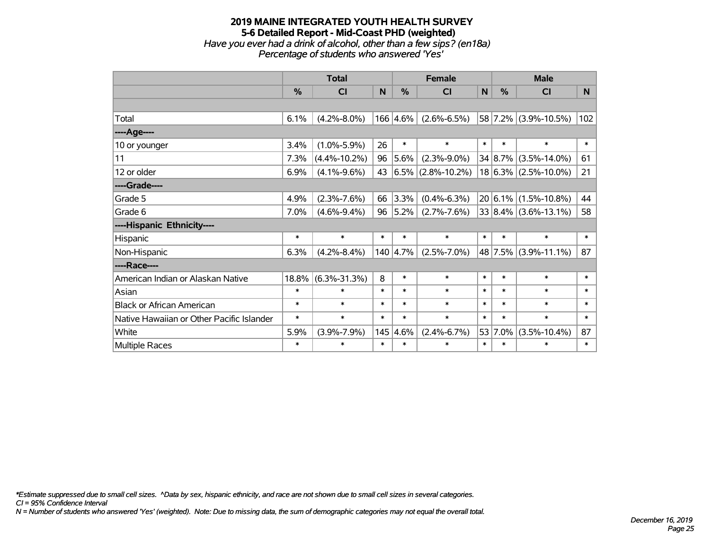#### **2019 MAINE INTEGRATED YOUTH HEALTH SURVEY 5-6 Detailed Report - Mid-Coast PHD (weighted)** *Have you ever had a drink of alcohol, other than a few sips? (en18a) Percentage of students who answered 'Yes'*

|                                           | <b>Total</b>  |                    |        |               | <b>Female</b>          |              | <b>Male</b> |                          |        |  |
|-------------------------------------------|---------------|--------------------|--------|---------------|------------------------|--------------|-------------|--------------------------|--------|--|
|                                           | $\frac{0}{0}$ | C <sub>l</sub>     | N      | $\frac{0}{0}$ | <b>CI</b>              | $\mathsf{N}$ | %           | <b>CI</b>                | N      |  |
|                                           |               |                    |        |               |                        |              |             |                          |        |  |
| Total                                     | 6.1%          | $(4.2\% - 8.0\%)$  |        | 166 4.6%      | $(2.6\% - 6.5\%)$      |              |             | 58 7.2% (3.9%-10.5%)     | 102    |  |
| ---- Age----                              |               |                    |        |               |                        |              |             |                          |        |  |
| 10 or younger                             | 3.4%          | $(1.0\% - 5.9\%)$  | 26     | $\ast$        | $\ast$                 | $\ast$       | $\ast$      | $\ast$                   | $\ast$ |  |
| 11                                        | 7.3%          | $(4.4\% - 10.2\%)$ | 96     | 5.6%          | $(2.3\% - 9.0\%)$      |              | 34 8.7%     | $(3.5\% - 14.0\%)$       | 61     |  |
| 12 or older                               | 6.9%          | $(4.1\% - 9.6\%)$  | 43     |               | $ 6.5\% $ (2.8%-10.2%) |              |             | $18 6.3\% $ (2.5%-10.0%) | 21     |  |
| ----Grade----                             |               |                    |        |               |                        |              |             |                          |        |  |
| Grade 5                                   | 4.9%          | $(2.3\% - 7.6\%)$  | 66     | 3.3%          | $(0.4\% - 6.3\%)$      |              |             | $20 6.1\% $ (1.5%-10.8%) | 44     |  |
| Grade 6                                   | 7.0%          | $(4.6\% - 9.4\%)$  | 96     | $ 5.2\% $     | $(2.7\% - 7.6\%)$      |              |             | $33 8.4\% $ (3.6%-13.1%) | 58     |  |
| ----Hispanic Ethnicity----                |               |                    |        |               |                        |              |             |                          |        |  |
| Hispanic                                  | $\ast$        | $\ast$             | $\ast$ | $\ast$        | $\ast$                 | $\ast$       | $\ast$      | $\ast$                   | $\ast$ |  |
| Non-Hispanic                              | 6.3%          | $(4.2\% - 8.4\%)$  |        | 140 4.7%      | $(2.5\% - 7.0\%)$      |              |             | 48 7.5% (3.9%-11.1%)     | 87     |  |
| ----Race----                              |               |                    |        |               |                        |              |             |                          |        |  |
| American Indian or Alaskan Native         | 18.8%         | $(6.3\% - 31.3\%)$ | 8      | $\ast$        | $\ast$                 | $\ast$       | $\ast$      | $\ast$                   | $\ast$ |  |
| Asian                                     | $\ast$        | $\ast$             | $\ast$ | $\ast$        | $\ast$                 | $\ast$       | $\ast$      | $\ast$                   | $\ast$ |  |
| <b>Black or African American</b>          | $\ast$        | $\ast$             | $\ast$ | $\ast$        | $\ast$                 | $\ast$       | $\ast$      | $\ast$                   | $\ast$ |  |
| Native Hawaiian or Other Pacific Islander | $\ast$        | $\ast$             | $\ast$ | $\ast$        | $\ast$                 | $\ast$       | $\ast$      | $\ast$                   | $\ast$ |  |
| White                                     | 5.9%          | $(3.9\% - 7.9\%)$  |        | 145 4.6%      | $(2.4\% - 6.7\%)$      | 53           | 7.0%        | $(3.5\% - 10.4\%)$       | 87     |  |
| <b>Multiple Races</b>                     | $\ast$        | $\ast$             | $\ast$ | $\ast$        | $\ast$                 | $\ast$       | $\ast$      | $\ast$                   | $\ast$ |  |

*\*Estimate suppressed due to small cell sizes. ^Data by sex, hispanic ethnicity, and race are not shown due to small cell sizes in several categories.*

*CI = 95% Confidence Interval*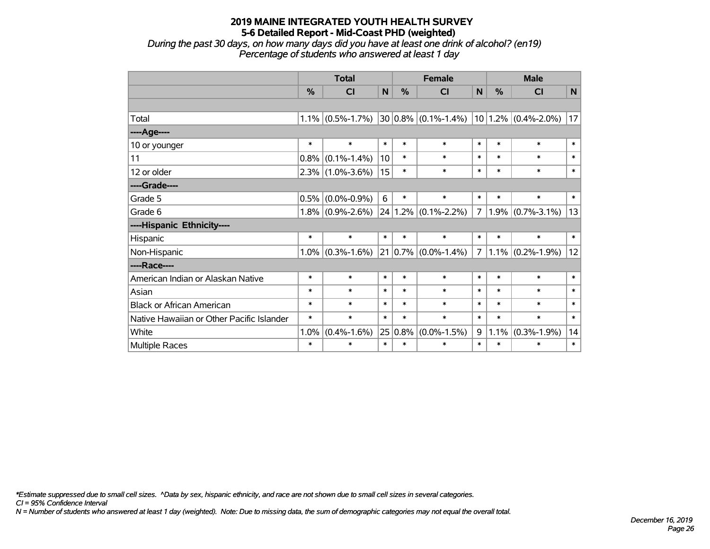*During the past 30 days, on how many days did you have at least one drink of alcohol? (en19) Percentage of students who answered at least 1 day*

|                                           | <b>Total</b> |                     |             |        | <b>Female</b>           | <b>Male</b>    |        |                         |              |
|-------------------------------------------|--------------|---------------------|-------------|--------|-------------------------|----------------|--------|-------------------------|--------------|
|                                           | %            | CI                  | $\mathbf N$ | %      | CI                      | N              | %      | CI                      | $\mathsf{N}$ |
|                                           |              |                     |             |        |                         |                |        |                         |              |
| Total                                     | 1.1%         | $(0.5\% - 1.7\%)$   |             |        | $30 0.8\% $ (0.1%-1.4%) |                |        | $10 1.2\% $ (0.4%-2.0%) | 17           |
| ----Age----                               |              |                     |             |        |                         |                |        |                         |              |
| 10 or younger                             | $\ast$       | $\ast$              | $\ast$      | $\ast$ | $\ast$                  | $\ast$         | $\ast$ | $\ast$                  | $\ast$       |
| 11                                        | 0.8%         | $(0.1\% - 1.4\%)$   | 10          | $\ast$ | $\ast$                  | $\ast$         | $\ast$ | $\ast$                  | $\ast$       |
| 12 or older                               |              | $2.3\%$ (1.0%-3.6%) | 15          | $\ast$ | $\ast$                  | $\ast$         | $\ast$ | $\ast$                  | $\ast$       |
| ----Grade----                             |              |                     |             |        |                         |                |        |                         |              |
| Grade 5                                   | 0.5%         | $(0.0\% - 0.9\%)$   | 6           | $\ast$ | $\ast$                  | $\ast$         | $\ast$ | $\ast$                  | $\ast$       |
| Grade 6                                   |              | $1.8\%$ (0.9%-2.6%) | 24          |        | $1.2\%$ (0.1%-2.2%)     | $\overline{7}$ | 1.9%   | $(0.7\% - 3.1\%)$       | 13           |
| ----Hispanic Ethnicity----                |              |                     |             |        |                         |                |        |                         |              |
| Hispanic                                  | $\ast$       | $\ast$              | $\ast$      | $\ast$ | $\ast$                  | $\ast$         | $\ast$ | $\ast$                  | $\ast$       |
| Non-Hispanic                              | 1.0%         | $(0.3\% - 1.6\%)$   |             |        | $21 0.7\% $ (0.0%-1.4%) | $\overline{7}$ |        | $1.1\%$ (0.2%-1.9%)     | 12           |
| ----Race----                              |              |                     |             |        |                         |                |        |                         |              |
| American Indian or Alaskan Native         | $\ast$       | $\ast$              | $\ast$      | $\ast$ | $\ast$                  | $\ast$         | $\ast$ | $\ast$                  | $\ast$       |
| Asian                                     | $\ast$       | $\ast$              | $\ast$      | $\ast$ | $\ast$                  | $\ast$         | $\ast$ | $\ast$                  | $\ast$       |
| <b>Black or African American</b>          | $\ast$       | $\ast$              | $\ast$      | $\ast$ | $\ast$                  | $\ast$         | $\ast$ | $\ast$                  | $\ast$       |
| Native Hawaiian or Other Pacific Islander | $\ast$       | $\ast$              | $\ast$      | $\ast$ | $\ast$                  | $\ast$         | $\ast$ | $\ast$                  | $\ast$       |
| White                                     | 1.0%         | $(0.4\% - 1.6\%)$   | 25          | 0.8%   | $(0.0\% - 1.5\%)$       | 9              | 1.1%   | $(0.3\% - 1.9\%)$       | 14           |
| <b>Multiple Races</b>                     | $\ast$       | $\ast$              | $\ast$      | $\ast$ | $\ast$                  | $\ast$         | $\ast$ | $\ast$                  | $\ast$       |

*\*Estimate suppressed due to small cell sizes. ^Data by sex, hispanic ethnicity, and race are not shown due to small cell sizes in several categories.*

*CI = 95% Confidence Interval*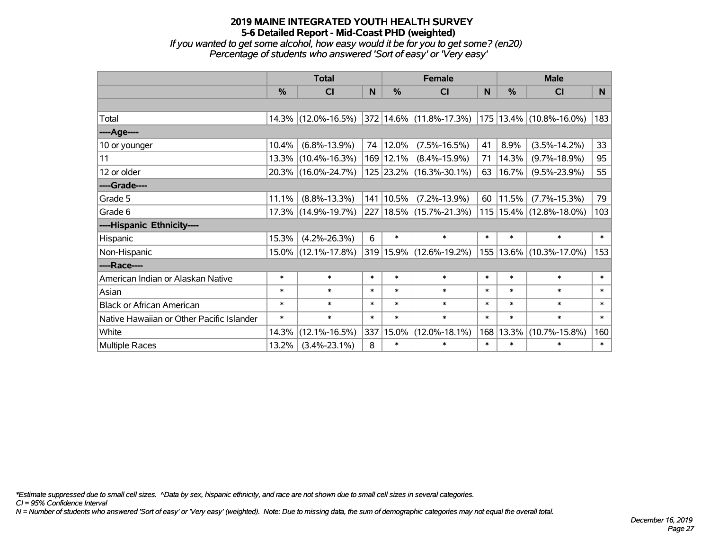*If you wanted to get some alcohol, how easy would it be for you to get some? (en20) Percentage of students who answered 'Sort of easy' or 'Very easy'*

|                                           | <b>Total</b>  |                     |        |               | <b>Female</b>               | <b>Male</b> |        |                             |        |
|-------------------------------------------|---------------|---------------------|--------|---------------|-----------------------------|-------------|--------|-----------------------------|--------|
|                                           | $\frac{0}{0}$ | <b>CI</b>           | N.     | $\frac{0}{0}$ | <b>CI</b>                   | <b>N</b>    | %      | <b>CI</b>                   | N.     |
|                                           |               |                     |        |               |                             |             |        |                             |        |
| Total                                     |               | 14.3% (12.0%-16.5%) |        |               | 372 14.6% (11.8%-17.3%)     |             |        | 175 13.4% (10.8%-16.0%)     | 183    |
| ----Age----                               |               |                     |        |               |                             |             |        |                             |        |
| 10 or younger                             | 10.4%         | $(6.8\% - 13.9\%)$  | 74     | 12.0%         | $(7.5\% - 16.5\%)$          | 41          | 8.9%   | $(3.5\% - 14.2\%)$          | 33     |
| 11                                        |               | 13.3% (10.4%-16.3%) |        | 169 12.1%     | $(8.4\% - 15.9\%)$          | 71          | 14.3%  | $(9.7\% - 18.9\%)$          | 95     |
| 12 or older                               |               | 20.3% (16.0%-24.7%) |        |               | 125 23.2% (16.3%-30.1%)     | 63          | 16.7%  | $(9.5\% - 23.9\%)$          | 55     |
| ----Grade----                             |               |                     |        |               |                             |             |        |                             |        |
| Grade 5                                   | 11.1%         | $(8.8\% - 13.3\%)$  |        | 141 10.5%     | $(7.2\% - 13.9\%)$          | 60          | 11.5%  | $(7.7\% - 15.3\%)$          | 79     |
| Grade 6                                   |               | 17.3% (14.9%-19.7%) |        |               | 227   18.5%   (15.7%-21.3%) |             |        | 115   15.4%   (12.8%-18.0%) | 103    |
| ----Hispanic Ethnicity----                |               |                     |        |               |                             |             |        |                             |        |
| Hispanic                                  | 15.3%         | $(4.2\% - 26.3\%)$  | 6      | $\ast$        | $\ast$                      | $\ast$      | $\ast$ | $\ast$                      | $\ast$ |
| Non-Hispanic                              |               | 15.0% (12.1%-17.8%) |        |               | 319 15.9% (12.6%-19.2%)     |             |        | 155   13.6%   (10.3%-17.0%) | 153    |
| ----Race----                              |               |                     |        |               |                             |             |        |                             |        |
| American Indian or Alaskan Native         | $\ast$        | $\ast$              | $\ast$ | $\ast$        | $\ast$                      | $\ast$      | $\ast$ | $\ast$                      | $\ast$ |
| Asian                                     | $\ast$        | $\ast$              | $\ast$ | $\ast$        | $\ast$                      | $\ast$      | $\ast$ | $\ast$                      | $\ast$ |
| <b>Black or African American</b>          | $\ast$        | $\ast$              | $\ast$ | $\ast$        | $\ast$                      | $\ast$      | $\ast$ | $\ast$                      | $\ast$ |
| Native Hawaiian or Other Pacific Islander | $\ast$        | $\ast$              | $\ast$ | $\ast$        | $\ast$                      | $\ast$      | $\ast$ | $\ast$                      | $\ast$ |
| White                                     | 14.3%         | $(12.1\% - 16.5\%)$ |        | 337 15.0%     | $(12.0\% - 18.1\%)$         | 168         | 13.3%  | $(10.7\% - 15.8\%)$         | 160    |
| <b>Multiple Races</b>                     | 13.2%         | $(3.4\% - 23.1\%)$  | 8      | $\ast$        | $\ast$                      | $\ast$      | $\ast$ | $\ast$                      | $\ast$ |

*\*Estimate suppressed due to small cell sizes. ^Data by sex, hispanic ethnicity, and race are not shown due to small cell sizes in several categories.*

*CI = 95% Confidence Interval*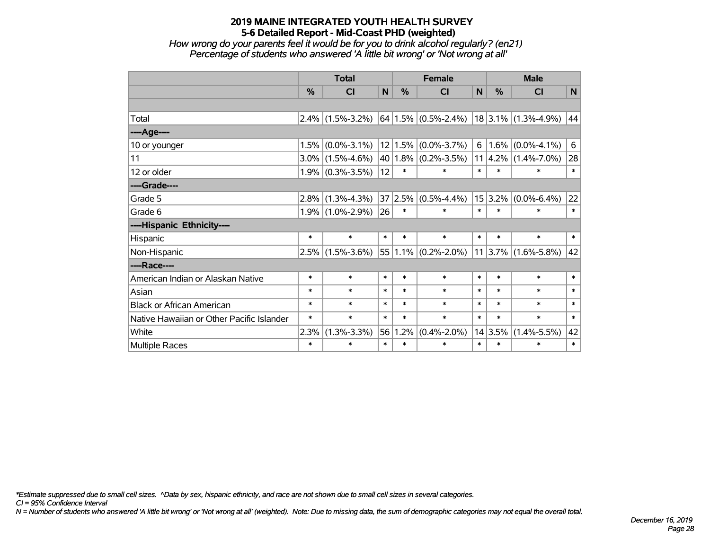*How wrong do your parents feel it would be for you to drink alcohol regularly? (en21) Percentage of students who answered 'A little bit wrong' or 'Not wrong at all'*

|                                           | <b>Total</b>  |                     |             | <b>Female</b> |                              |          | <b>Male</b> |                          |        |
|-------------------------------------------|---------------|---------------------|-------------|---------------|------------------------------|----------|-------------|--------------------------|--------|
|                                           | $\frac{0}{0}$ | <b>CI</b>           | $\mathbf N$ | $\%$          | <b>CI</b>                    | N        | $\%$        | <b>CI</b>                | N      |
|                                           |               |                     |             |               |                              |          |             |                          |        |
| Total                                     |               | $2.4\%$ (1.5%-3.2%) |             |               | $ 64 1.5\%  (0.5\% - 2.4\%)$ |          |             | $ 18 3.1\% $ (1.3%-4.9%) | 44     |
| ----Age----                               |               |                     |             |               |                              |          |             |                          |        |
| 10 or younger                             | 1.5%          | $(0.0\% - 3.1\%)$   | 12          | 1.5%          | $(0.0\% - 3.7\%)$            | $6 \mid$ | 1.6%        | $(0.0\% - 4.1\%)$        | 6      |
| 11                                        |               | $3.0\%$ (1.5%-4.6%) |             |               | $40 1.8\% $ (0.2%-3.5%)      |          | $11 4.2\% $ | $(1.4\% - 7.0\%)$        | 28     |
| 12 or older                               |               | $1.9\%$ (0.3%-3.5%) | 12          | $\ast$        | $\ast$                       | $\ast$   | $\ast$      | $\ast$                   | $\ast$ |
| ----Grade----                             |               |                     |             |               |                              |          |             |                          |        |
| Grade 5                                   | 2.8%          | $(1.3\% - 4.3\%)$   |             |               | $37 2.5\% $ (0.5%-4.4%)      |          | 15 3.2%     | $(0.0\% - 6.4\%)$        | 22     |
| Grade 6                                   |               | $1.9\%$ (1.0%-2.9%) | 26          | $\ast$        | $\ast$                       | $\ast$   | $\ast$      | $\ast$                   | $\ast$ |
| ----Hispanic Ethnicity----                |               |                     |             |               |                              |          |             |                          |        |
| Hispanic                                  | $\ast$        | $\ast$              | $\ast$      | $\ast$        | $\ast$                       | $\ast$   | $\ast$      | $\ast$                   | $\ast$ |
| Non-Hispanic                              | 2.5%          | $(1.5\% - 3.6\%)$   |             |               | $55 1.1\% $ (0.2%-2.0%)      |          | $11$ 3.7%   | $(1.6\% - 5.8\%)$        | 42     |
| ----Race----                              |               |                     |             |               |                              |          |             |                          |        |
| American Indian or Alaskan Native         | $\ast$        | $\ast$              | $\ast$      | $\ast$        | $\ast$                       | $\ast$   | $\ast$      | $\ast$                   | $\ast$ |
| Asian                                     | $\ast$        | $\ast$              | $\ast$      | $\ast$        | $\ast$                       | $\ast$   | $\ast$      | $\ast$                   | $\ast$ |
| <b>Black or African American</b>          | $\ast$        | $\ast$              | $\ast$      | $\ast$        | $\ast$                       | $\ast$   | $\ast$      | $\ast$                   | $\ast$ |
| Native Hawaiian or Other Pacific Islander | $\ast$        | $\ast$              | $\ast$      | $\ast$        | $\ast$                       | $\ast$   | $\ast$      | $\ast$                   | $\ast$ |
| White                                     | 2.3%          | $(1.3\% - 3.3\%)$   | 56          | 1.2%          | $(0.4\% - 2.0\%)$            |          | 14 3.5%     | $(1.4\% - 5.5\%)$        | 42     |
| Multiple Races                            | $\ast$        | $\ast$              | $\ast$      | $\ast$        | $\ast$                       | $\ast$   | $\ast$      | $\ast$                   | $\ast$ |

*\*Estimate suppressed due to small cell sizes. ^Data by sex, hispanic ethnicity, and race are not shown due to small cell sizes in several categories.*

*CI = 95% Confidence Interval*

*N = Number of students who answered 'A little bit wrong' or 'Not wrong at all' (weighted). Note: Due to missing data, the sum of demographic categories may not equal the overall total.*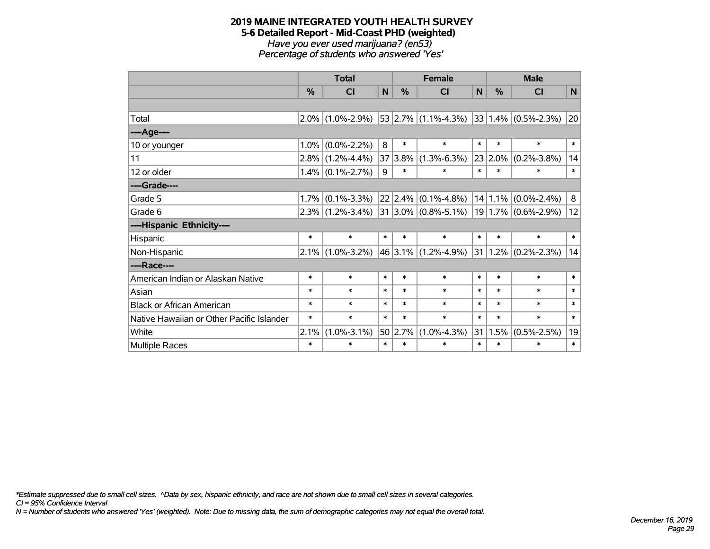#### **2019 MAINE INTEGRATED YOUTH HEALTH SURVEY 5-6 Detailed Report - Mid-Coast PHD (weighted)** *Have you ever used marijuana? (en53) Percentage of students who answered 'Yes'*

|                                           | <b>Total</b> |                     |        |             | <b>Female</b>           | <b>Male</b> |               |                              |              |
|-------------------------------------------|--------------|---------------------|--------|-------------|-------------------------|-------------|---------------|------------------------------|--------------|
|                                           | %            | <b>CI</b>           | N      | %           | <b>CI</b>               | N           | $\frac{9}{6}$ | <b>CI</b>                    | N            |
|                                           |              |                     |        |             |                         |             |               |                              |              |
| Total                                     | 2.0%         | $(1.0\% - 2.9\%)$   |        |             | $53$ 2.7% (1.1%-4.3%)   |             |               | $ 33 1.4\%  (0.5\% - 2.3\%)$ | 20           |
| ----Age----                               |              |                     |        |             |                         |             |               |                              |              |
| 10 or younger                             | 1.0%         | $(0.0\% - 2.2\%)$   | 8      | $\ast$      | $\ast$                  | $\ast$      | $\ast$        | $\ast$                       | $\pmb{\ast}$ |
| 11                                        | 2.8%         | $(1.2\% - 4.4\%)$   | 37     | 3.8%        | $(1.3\% - 6.3\%)$       |             | 23 2.0%       | $(0.2\% - 3.8\%)$            | 14           |
| 12 or older                               |              | $1.4\%$ (0.1%-2.7%) | 9      | $\ast$      | $\ast$                  | $\ast$      | $\ast$        | $\ast$                       | $\ast$       |
| ----Grade----                             |              |                     |        |             |                         |             |               |                              |              |
| Grade 5                                   | 1.7%         | $(0.1\% - 3.3\%)$   |        | $22$   2.4% | $(0.1\% - 4.8\%)$       |             | 14 1.1%       | $(0.0\% - 2.4\%)$            | 8            |
| Grade 6                                   | 2.3%         | $(1.2\% - 3.4\%)$   |        |             | $31 3.0\% $ (0.8%-5.1%) |             |               | $19 1.7\% $ (0.6%-2.9%)      | 12           |
| ----Hispanic Ethnicity----                |              |                     |        |             |                         |             |               |                              |              |
| Hispanic                                  | $\ast$       | $\ast$              | $\ast$ | $\ast$      | $\ast$                  | $\ast$      | $\ast$        | $\ast$                       | $\ast$       |
| Non-Hispanic                              | 2.1%         | $(1.0\% - 3.2\%)$   |        |             | $46 3.1\% $ (1.2%-4.9%) | 31          |               | $1.2\%$ (0.2%-2.3%)          | 14           |
| ----Race----                              |              |                     |        |             |                         |             |               |                              |              |
| American Indian or Alaskan Native         | $\ast$       | $\ast$              | $\ast$ | $\ast$      | $\ast$                  | $\ast$      | $\ast$        | $\ast$                       | $\ast$       |
| Asian                                     | *            | $\ast$              | $\ast$ | $\ast$      | $\ast$                  | $\ast$      | $\ast$        | $\ast$                       | $\ast$       |
| <b>Black or African American</b>          | $\ast$       | $\ast$              | $\ast$ | $\ast$      | $\ast$                  | $\ast$      | $\ast$        | $\ast$                       | $\ast$       |
| Native Hawaiian or Other Pacific Islander | $\ast$       | $\ast$              | $\ast$ | $\ast$      | $\ast$                  | $\ast$      | $\ast$        | $\ast$                       | $\ast$       |
| White                                     | 2.1%         | $(1.0\% - 3.1\%)$   | 50     | 2.7%        | $(1.0\% - 4.3\%)$       | 31          | 1.5%          | $(0.5\% - 2.5\%)$            | 19           |
| <b>Multiple Races</b>                     | $\ast$       | $\ast$              | $\ast$ | $\ast$      | $\ast$                  | $\ast$      | $\ast$        | $\ast$                       | $\ast$       |

*\*Estimate suppressed due to small cell sizes. ^Data by sex, hispanic ethnicity, and race are not shown due to small cell sizes in several categories.*

*CI = 95% Confidence Interval*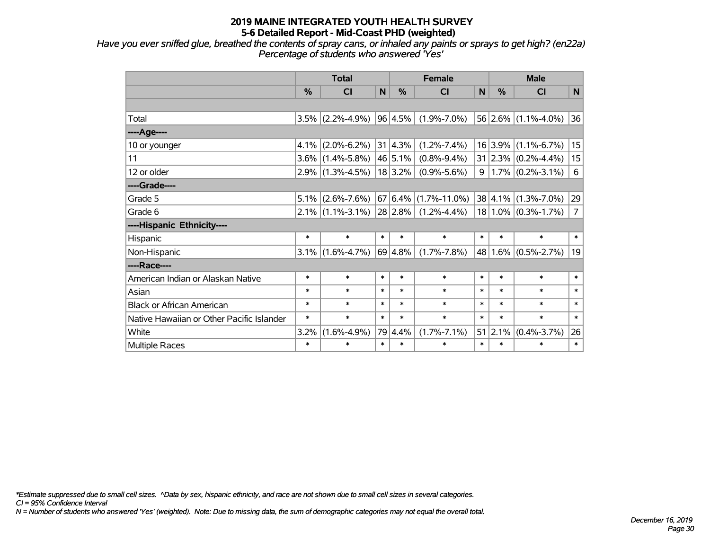*Have you ever sniffed glue, breathed the contents of spray cans, or inhaled any paints or sprays to get high? (en22a) Percentage of students who answered 'Yes'*

|                                           | <b>Total</b> |                             |        | <b>Female</b>   |                    |        | <b>Male</b> |                         |                |  |
|-------------------------------------------|--------------|-----------------------------|--------|-----------------|--------------------|--------|-------------|-------------------------|----------------|--|
|                                           | %            | CI                          | N.     | %               | CI                 | N.     | %           | <b>CI</b>               | N              |  |
|                                           |              |                             |        |                 |                    |        |             |                         |                |  |
| Total                                     |              | $3.5\%$ (2.2%-4.9%)         |        | 96 4.5%         | $(1.9\% - 7.0\%)$  |        |             | $56$ 2.6% (1.1%-4.0%)   | 36             |  |
| ----Age----                               |              |                             |        |                 |                    |        |             |                         |                |  |
| 10 or younger                             | $4.1\%$      | $(2.0\% - 6.2\%)$           |        | $31 \,   4.3\%$ | $(1.2\% - 7.4\%)$  |        | 16 3.9%     | $(1.1\% - 6.7\%)$       | 15             |  |
| 11                                        |              | $3.6\%$ (1.4%-5.8%)         |        | 46 5.1%         | $(0.8\% - 9.4\%)$  |        |             | $31 2.3\% $ (0.2%-4.4%) | 15             |  |
| 12 or older                               |              | $2.9\%$ (1.3%-4.5%)         |        | 18 3.2%         | $(0.9\% - 5.6\%)$  | 9      |             | $1.7\%$ (0.2%-3.1%)     | 6              |  |
| ----Grade----                             |              |                             |        |                 |                    |        |             |                         |                |  |
| Grade 5                                   | $5.1\%$      | $(2.6\% - 7.6\%)$           |        | 67 6.4%         | $(1.7\% - 11.0\%)$ |        | 38 4.1%     | $(1.3\% - 7.0\%)$       | 29             |  |
| Grade 6                                   |              | $2.1\%$ (1.1%-3.1%) 28 2.8% |        |                 | $(1.2\% - 4.4\%)$  |        |             | $18 1.0\% $ (0.3%-1.7%) | $\overline{7}$ |  |
| ----Hispanic Ethnicity----                |              |                             |        |                 |                    |        |             |                         |                |  |
| Hispanic                                  | $\ast$       | $\ast$                      | $\ast$ | $\ast$          | $\ast$             | $\ast$ | $\ast$      | $\ast$                  | $\ast$         |  |
| Non-Hispanic                              |              | $3.1\%$ (1.6%-4.7%)         |        | 69 4.8%         | $(1.7\% - 7.8\%)$  |        | 48 1.6%     | $(0.5\% - 2.7\%)$       | 19             |  |
| ----Race----                              |              |                             |        |                 |                    |        |             |                         |                |  |
| American Indian or Alaskan Native         | $\ast$       | $\ast$                      | $\ast$ | $\ast$          | $\ast$             | $\ast$ | $\ast$      | $\ast$                  | $\ast$         |  |
| Asian                                     | $\ast$       | $\ast$                      | $\ast$ | $\ast$          | $\ast$             | $\ast$ | $\ast$      | $\ast$                  | $\ast$         |  |
| <b>Black or African American</b>          | $\ast$       | $\ast$                      | $\ast$ | $\ast$          | $\ast$             | $\ast$ | $\ast$      | $\ast$                  | $\ast$         |  |
| Native Hawaiian or Other Pacific Islander | $\ast$       | $\ast$                      | $\ast$ | $\ast$          | $\ast$             | $\ast$ | $\ast$      | $\ast$                  | $\ast$         |  |
| White                                     | 3.2%         | $(1.6\% - 4.9\%)$           |        | 79 4.4%         | $(1.7\% - 7.1\%)$  | 51     | 2.1%        | $(0.4\% - 3.7\%)$       | 26             |  |
| Multiple Races                            | $\ast$       | $\ast$                      | $\ast$ | $\ast$          | $\ast$             | $\ast$ | $\ast$      | $\ast$                  | $\ast$         |  |

*\*Estimate suppressed due to small cell sizes. ^Data by sex, hispanic ethnicity, and race are not shown due to small cell sizes in several categories.*

*CI = 95% Confidence Interval*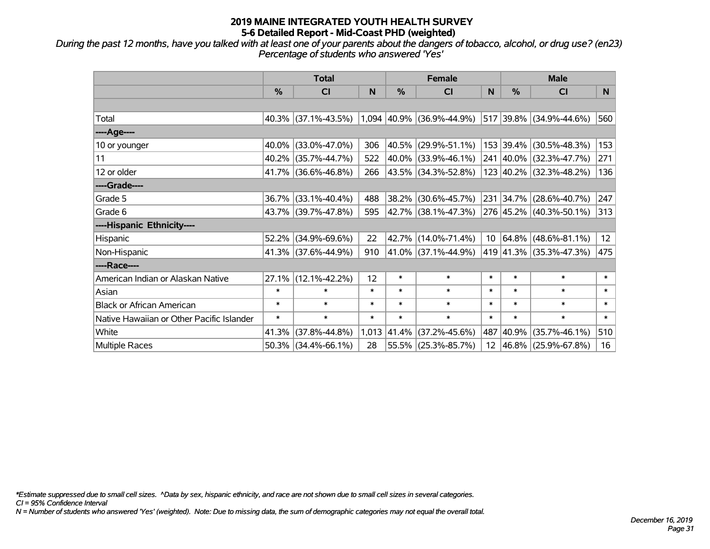*During the past 12 months, have you talked with at least one of your parents about the dangers of tobacco, alcohol, or drug use? (en23) Percentage of students who answered 'Yes'*

|                                           | <b>Total</b>  |                        |        |        | <b>Female</b>               |                 | <b>Male</b> |                         |                |  |
|-------------------------------------------|---------------|------------------------|--------|--------|-----------------------------|-----------------|-------------|-------------------------|----------------|--|
|                                           | $\frac{0}{0}$ | CI                     | N      | %      | <b>CI</b>                   | N               | %           | <b>CI</b>               | N <sub>1</sub> |  |
|                                           |               |                        |        |        |                             |                 |             |                         |                |  |
| Total                                     |               | $40.3\%$ (37.1%-43.5%) |        |        | $1,094$ 40.9% (36.9%-44.9%) |                 |             | 517 39.8% (34.9%-44.6%) | 560            |  |
| ----Age----                               |               |                        |        |        |                             |                 |             |                         |                |  |
| 10 or younger                             | 40.0%         | $(33.0\% - 47.0\%)$    | 306    | 40.5%  | $(29.9\% - 51.1\%)$         |                 |             | 153 39.4% (30.5%-48.3%) | 153            |  |
| 11                                        |               | 40.2% (35.7%-44.7%)    | 522    |        | 40.0% (33.9%-46.1%)         |                 |             | 241 40.0% (32.3%-47.7%) | 271            |  |
| 12 or older                               |               | 41.7% (36.6%-46.8%)    | 266    |        | 43.5% (34.3%-52.8%)         |                 |             | 123 40.2% (32.3%-48.2%) | 136            |  |
| ----Grade----                             |               |                        |        |        |                             |                 |             |                         |                |  |
| Grade 5                                   | 36.7%         | $(33.1\% - 40.4\%)$    | 488    | 38.2%  | $(30.6\% - 45.7\%)$         |                 |             | 231 34.7% (28.6%-40.7%) | 247            |  |
| Grade 6                                   |               | 43.7% (39.7%-47.8%)    | 595    |        | 42.7% (38.1%-47.3%)         |                 |             | 276 45.2% (40.3%-50.1%) | 313            |  |
| ----Hispanic Ethnicity----                |               |                        |        |        |                             |                 |             |                         |                |  |
| Hispanic                                  | 52.2%         | $(34.9\% - 69.6\%)$    | 22     | 42.7%  | $(14.0\% - 71.4\%)$         | 10              |             | 64.8% (48.6%-81.1%)     | 12             |  |
| Non-Hispanic                              |               | 41.3% (37.6%-44.9%)    | 910    |        | 41.0% (37.1%-44.9%)         |                 |             | 419 41.3% (35.3%-47.3%) | 475            |  |
| ----Race----                              |               |                        |        |        |                             |                 |             |                         |                |  |
| American Indian or Alaskan Native         | 27.1%         | $(12.1\% - 42.2\%)$    | 12     | $\ast$ | $\ast$                      | $\ast$          | $\ast$      | $\ast$                  | $\ast$         |  |
| Asian                                     | $\ast$        | $\ast$                 | $\ast$ | $\ast$ | $\ast$                      | $\ast$          | $\ast$      | $\ast$                  | $\ast$         |  |
| <b>Black or African American</b>          | $\ast$        | $\ast$                 | $\ast$ | $\ast$ | $\ast$                      | $\ast$          | $\ast$      | $\ast$                  | $\ast$         |  |
| Native Hawaiian or Other Pacific Islander | $\ast$        | $\ast$                 | $\ast$ | $\ast$ | $\ast$                      | $\ast$          | $\ast$      | $\ast$                  | $\ast$         |  |
| White                                     | 41.3%         | $(37.8\% - 44.8\%)$    | 1,013  | 41.4%  | $(37.2\% - 45.6\%)$         | 487             | 40.9%       | $(35.7\% - 46.1\%)$     | 510            |  |
| Multiple Races                            |               | 50.3% (34.4%-66.1%)    | 28     |        | 55.5% (25.3%-85.7%)         | 12 <sup>2</sup> |             | 46.8% (25.9%-67.8%)     | 16             |  |

*\*Estimate suppressed due to small cell sizes. ^Data by sex, hispanic ethnicity, and race are not shown due to small cell sizes in several categories.*

*CI = 95% Confidence Interval*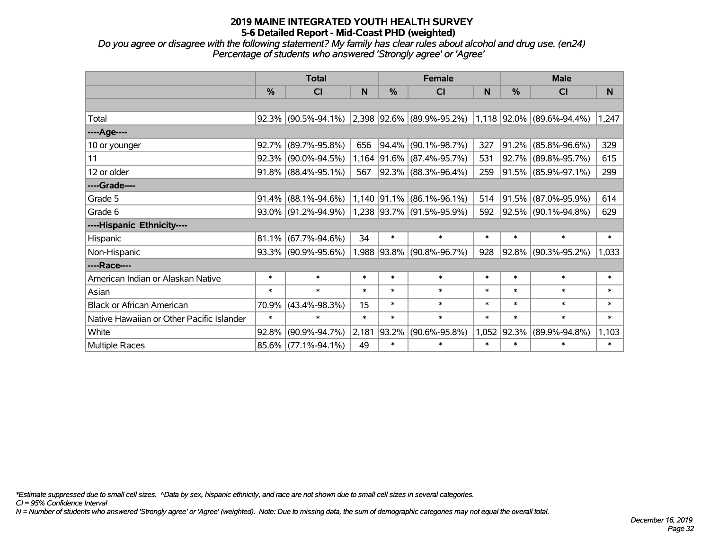*Do you agree or disagree with the following statement? My family has clear rules about alcohol and drug use. (en24) Percentage of students who answered 'Strongly agree' or 'Agree'*

|                                           | <b>Total</b> |                        |        | <b>Female</b> |                                                                                                     | <b>Male</b> |            |                     |        |
|-------------------------------------------|--------------|------------------------|--------|---------------|-----------------------------------------------------------------------------------------------------|-------------|------------|---------------------|--------|
|                                           | $\%$         | <b>CI</b>              | N      | %             | <b>CI</b>                                                                                           | N           | %          | <b>CI</b>           | N      |
|                                           |              |                        |        |               |                                                                                                     |             |            |                     |        |
| Total                                     | 92.3%        | $(90.5\% - 94.1\%)$    |        |               | $\vert 2.398 \vert 92.6\% \vert (89.9\% - 95.2\%) \vert 1.118 \vert 92.0\% \vert (89.6\% - 94.4\%)$ |             |            |                     | 1,247  |
| ----Age----                               |              |                        |        |               |                                                                                                     |             |            |                     |        |
| 10 or younger                             | 92.7%        | $(89.7\% - 95.8\%)$    | 656    | $ 94.4\% $    | $(90.1\% - 98.7\%)$                                                                                 | 327         | $ 91.2\% $ | $(85.8\% - 96.6\%)$ | 329    |
| 11                                        | 92.3%        | $(90.0\% - 94.5\%)$    | 1,164  |               | $ 91.6\% $ (87.4%-95.7%)                                                                            | 531         |            | 92.7% (89.8%-95.7%) | 615    |
| 12 or older                               |              | 91.8% (88.4%-95.1%)    | 567    |               | 92.3% (88.3%-96.4%)                                                                                 | 259         |            | 91.5% (85.9%-97.1%) | 299    |
| ----Grade----                             |              |                        |        |               |                                                                                                     |             |            |                     |        |
| Grade 5                                   | 91.4%        | $(88.1\% - 94.6\%)$    |        | 1,140 91.1%   | $(86.1\% - 96.1\%)$                                                                                 | 514         | $ 91.5\% $ | $(87.0\% - 95.9\%)$ | 614    |
| Grade 6                                   |              | $93.0\%$ (91.2%-94.9%) |        |               | 1,238 93.7% (91.5%-95.9%)                                                                           | 592         |            | 92.5% (90.1%-94.8%) | 629    |
| ----Hispanic Ethnicity----                |              |                        |        |               |                                                                                                     |             |            |                     |        |
| Hispanic                                  | 81.1%        | $(67.7\% - 94.6\%)$    | 34     | $\ast$        | $\ast$                                                                                              | $\ast$      | $\ast$     | $\ast$              | $\ast$ |
| Non-Hispanic                              |              | 93.3% (90.9%-95.6%)    |        |               | 1,988 93.8% (90.8%-96.7%)                                                                           | 928         | $ 92.8\% $ | $(90.3\% - 95.2\%)$ | 1,033  |
| ----Race----                              |              |                        |        |               |                                                                                                     |             |            |                     |        |
| American Indian or Alaskan Native         | $\ast$       | $\ast$                 | $\ast$ | $\ast$        | $\ast$                                                                                              | $\ast$      | $\ast$     | $\ast$              | $\ast$ |
| Asian                                     | $\ast$       | $\ast$                 | $\ast$ | $\ast$        | $\ast$                                                                                              | $\ast$      | $\ast$     | $\ast$              | $\ast$ |
| <b>Black or African American</b>          | 70.9%        | $(43.4\% - 98.3\%)$    | 15     | $\ast$        | $\ast$                                                                                              | $\ast$      | $\ast$     | $\ast$              | $\ast$ |
| Native Hawaiian or Other Pacific Islander | $\ast$       | $\ast$                 | $\ast$ | $\ast$        | $\ast$                                                                                              | $\ast$      | $\ast$     | $\ast$              | $\ast$ |
| White                                     | 92.8%        | $(90.9\% - 94.7\%)$    | 2,181  | 93.2%         | $(90.6\% - 95.8\%)$                                                                                 | 1,052       | $ 92.3\% $ | $(89.9\% - 94.8\%)$ | 1,103  |
| Multiple Races                            |              | 85.6% (77.1%-94.1%)    | 49     | $\ast$        | $\ast$                                                                                              | $\ast$      | $\ast$     | $\ast$              | $\ast$ |

*\*Estimate suppressed due to small cell sizes. ^Data by sex, hispanic ethnicity, and race are not shown due to small cell sizes in several categories.*

*CI = 95% Confidence Interval*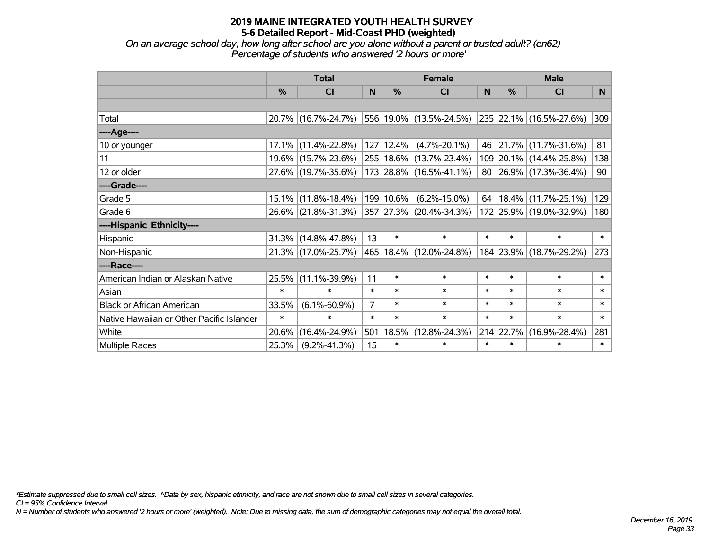*On an average school day, how long after school are you alone without a parent or trusted adult? (en62) Percentage of students who answered '2 hours or more'*

|                                           | <b>Total</b>  |                                             |                | <b>Female</b> | <b>Male</b>             |        |           |                         |        |
|-------------------------------------------|---------------|---------------------------------------------|----------------|---------------|-------------------------|--------|-----------|-------------------------|--------|
|                                           | $\frac{0}{0}$ | <b>CI</b>                                   | N              | $\frac{9}{6}$ | <b>CI</b>               | N      | %         | <b>CI</b>               | N.     |
|                                           |               |                                             |                |               |                         |        |           |                         |        |
| Total                                     |               | 20.7% (16.7%-24.7%)                         |                |               | 556 19.0% (13.5%-24.5%) |        |           | 235 22.1% (16.5%-27.6%) | 309    |
| ----Age----                               |               |                                             |                |               |                         |        |           |                         |        |
| 10 or younger                             | $17.1\%$      | $(11.4\% - 22.8\%)$                         |                | $127$   12.4% | $(4.7\% - 20.1\%)$      | 46     | 21.7%     | $(11.7\% - 31.6\%)$     | 81     |
| 11                                        |               | 19.6% (15.7%-23.6%)                         |                |               | 255 18.6% (13.7%-23.4%) |        |           | 109 20.1% (14.4%-25.8%) | 138    |
| 12 or older                               |               | 27.6% (19.7%-35.6%)                         |                |               | 173 28.8% (16.5%-41.1%) |        |           | 80 26.9% (17.3%-36.4%)  | 90     |
| ----Grade----                             |               |                                             |                |               |                         |        |           |                         |        |
| Grade 5                                   | $15.1\%$      | $(11.8\% - 18.4\%)$                         |                | 199 10.6%     | $(6.2\% - 15.0\%)$      | 64     | 18.4%     | $(11.7\% - 25.1\%)$     | 129    |
| Grade 6                                   |               | 26.6% (21.8%-31.3%) 357 27.3% (20.4%-34.3%) |                |               |                         |        |           | 172 25.9% (19.0%-32.9%) | 180    |
| ----Hispanic Ethnicity----                |               |                                             |                |               |                         |        |           |                         |        |
| Hispanic                                  | 31.3%         | $(14.8\% - 47.8\%)$                         | 13             | $\ast$        | $\ast$                  | $\ast$ | $\ast$    | $\ast$                  | $\ast$ |
| Non-Hispanic                              |               | 21.3% (17.0%-25.7%)                         |                |               | 465 18.4% (12.0%-24.8%) |        | 184 23.9% | $(18.7\% - 29.2\%)$     | 273    |
| ----Race----                              |               |                                             |                |               |                         |        |           |                         |        |
| American Indian or Alaskan Native         | 25.5%         | $(11.1\% - 39.9\%)$                         | 11             | $\ast$        | $\ast$                  | $\ast$ | $\ast$    | $\ast$                  | $\ast$ |
| Asian                                     | $\ast$        | $\ast$                                      | $\ast$         | $\ast$        | $\ast$                  | $\ast$ | $\ast$    | $\ast$                  | $\ast$ |
| <b>Black or African American</b>          | 33.5%         | $(6.1\% - 60.9\%)$                          | $\overline{7}$ | $\ast$        | $\ast$                  | $\ast$ | $\ast$    | $\ast$                  | $\ast$ |
| Native Hawaiian or Other Pacific Islander | $\ast$        | $\ast$                                      | $\ast$         | $\ast$        | $\ast$                  | $\ast$ | $\ast$    | $\ast$                  | $\ast$ |
| White                                     | 20.6%         | $(16.4\% - 24.9\%)$                         | 501            | 18.5%         | $(12.8\% - 24.3\%)$     |        | 214 22.7% | $(16.9\% - 28.4\%)$     | 281    |
| <b>Multiple Races</b>                     | 25.3%         | $(9.2\% - 41.3\%)$                          | 15             | $\ast$        | $\ast$                  | $\ast$ | $\ast$    | $\ast$                  | $\ast$ |

*\*Estimate suppressed due to small cell sizes. ^Data by sex, hispanic ethnicity, and race are not shown due to small cell sizes in several categories.*

*CI = 95% Confidence Interval*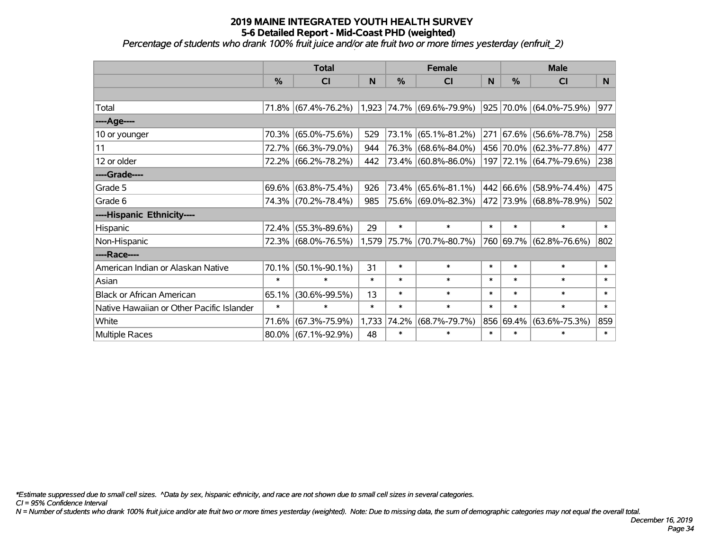*Percentage of students who drank 100% fruit juice and/or ate fruit two or more times yesterday (enfruit\_2)*

|                                           | <b>Total</b>  |                     |        | <b>Female</b> |                           | <b>Male</b> |               |                         |        |
|-------------------------------------------|---------------|---------------------|--------|---------------|---------------------------|-------------|---------------|-------------------------|--------|
|                                           | $\frac{0}{0}$ | <b>CI</b>           | N      | $\%$          | <b>CI</b>                 | N           | $\frac{0}{0}$ | <b>CI</b>               | N.     |
|                                           |               |                     |        |               |                           |             |               |                         |        |
| Total                                     |               | 71.8% (67.4%-76.2%) |        |               | 1,923 74.7% (69.6%-79.9%) |             |               | 925 70.0% (64.0%-75.9%) | 977    |
| ----Age----                               |               |                     |        |               |                           |             |               |                         |        |
| 10 or younger                             | 70.3%         | $(65.0\% - 75.6\%)$ | 529    | 73.1%         | $(65.1\% - 81.2\%)$       | 271         |               | 67.6% (56.6%-78.7%)     | 258    |
| 11                                        | 72.7%         | $(66.3\% - 79.0\%)$ | 944    | 76.3%         | $(68.6\% - 84.0\%)$       |             |               | 456 70.0% (62.3%-77.8%) | 477    |
| 12 or older                               |               | 72.2% (66.2%-78.2%) | 442    |               | $ 73.4\% $ (60.8%-86.0%)  |             |               | 197 72.1% (64.7%-79.6%) | 238    |
| ----Grade----                             |               |                     |        |               |                           |             |               |                         |        |
| Grade 5                                   |               | 69.6% (63.8%-75.4%) | 926    | 73.4%         | $(65.6\% - 81.1\%)$       |             |               | 442 66.6% (58.9%-74.4%) | 475    |
| Grade 6                                   |               | 74.3% (70.2%-78.4%) | 985    |               | 75.6% (69.0%-82.3%)       |             |               | 472 73.9% (68.8%-78.9%) | 502    |
| ----Hispanic Ethnicity----                |               |                     |        |               |                           |             |               |                         |        |
| Hispanic                                  | 72.4%         | $(55.3\% - 89.6\%)$ | 29     | $\ast$        | $\ast$                    | $\ast$      | $\ast$        | $\ast$                  | $\ast$ |
| Non-Hispanic                              |               | 72.3% (68.0%-76.5%) |        | 1,579 75.7%   | $(70.7\% - 80.7\%)$       |             |               | 760 69.7% (62.8%-76.6%) | 802    |
| ----Race----                              |               |                     |        |               |                           |             |               |                         |        |
| American Indian or Alaskan Native         | 70.1%         | $(50.1\% - 90.1\%)$ | 31     | $\ast$        | $\ast$                    | $\ast$      | $\ast$        | $\ast$                  | $\ast$ |
| Asian                                     | $\ast$        | $\ast$              | $\ast$ | $\ast$        | $\ast$                    | $\ast$      | $\ast$        | $\ast$                  | $\ast$ |
| <b>Black or African American</b>          | 65.1%         | $(30.6\% - 99.5\%)$ | 13     | $\ast$        | $\ast$                    | $\ast$      | $\ast$        | $\ast$                  | $\ast$ |
| Native Hawaiian or Other Pacific Islander | $\ast$        | $\ast$              | $\ast$ | $\ast$        | $\ast$                    | $\ast$      | $\ast$        | $\ast$                  | $\ast$ |
| White                                     | 71.6%         | $(67.3\% - 75.9\%)$ | 1,733  | 74.2%         | $(68.7\% - 79.7\%)$       |             | 856 69.4%     | $(63.6\% - 75.3\%)$     | 859    |
| Multiple Races                            |               | 80.0% (67.1%-92.9%) | 48     | $\ast$        | $\ast$                    | $\ast$      | $\ast$        | $\ast$                  | $\ast$ |

*\*Estimate suppressed due to small cell sizes. ^Data by sex, hispanic ethnicity, and race are not shown due to small cell sizes in several categories.*

*CI = 95% Confidence Interval*

*N = Number of students who drank 100% fruit juice and/or ate fruit two or more times yesterday (weighted). Note: Due to missing data, the sum of demographic categories may not equal the overall total.*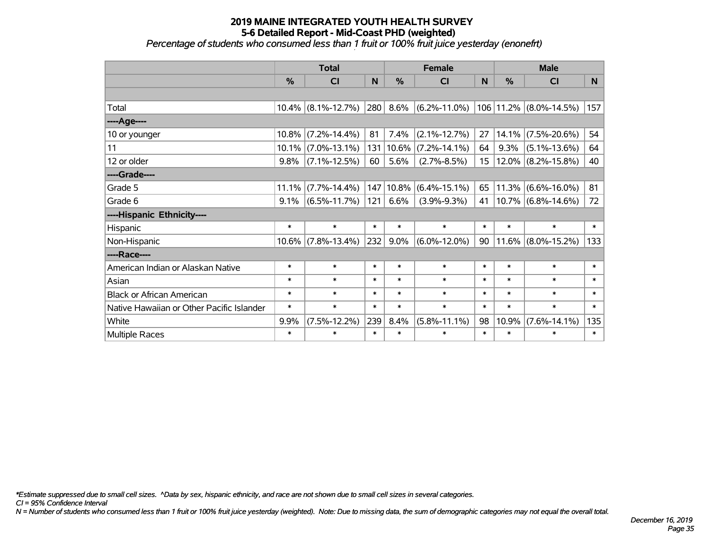#### **2019 MAINE INTEGRATED YOUTH HEALTH SURVEY 5-6 Detailed Report - Mid-Coast PHD (weighted)** *Percentage of students who consumed less than 1 fruit or 100% fruit juice yesterday (enonefrt)*

|                                           | <b>Total</b>  |                       |        |               | <b>Female</b>      | <b>Male</b>     |               |                            |              |
|-------------------------------------------|---------------|-----------------------|--------|---------------|--------------------|-----------------|---------------|----------------------------|--------------|
|                                           | $\frac{0}{0}$ | CI                    | N      | $\frac{0}{0}$ | CI                 | N               | $\frac{0}{0}$ | CI                         | <b>N</b>     |
|                                           |               |                       |        |               |                    |                 |               |                            |              |
| Total                                     |               | $10.4\%$ (8.1%-12.7%) | 280    | 8.6%          | $(6.2\% - 11.0\%)$ |                 |               | 106   11.2%   (8.0%-14.5%) | 157          |
| ----Age----                               |               |                       |        |               |                    |                 |               |                            |              |
| 10 or younger                             | 10.8%         | $(7.2\% - 14.4\%)$    | 81     | 7.4%          | $(2.1\% - 12.7\%)$ | 27              |               | $14.1\%$ (7.5%-20.6%)      | 54           |
| 11                                        |               | $10.1\%$ (7.0%-13.1%) | 131    | 10.6%         | $(7.2\% - 14.1\%)$ | 64              | 9.3%          | $(5.1\% - 13.6\%)$         | 64           |
| 12 or older                               | 9.8%          | $(7.1\% - 12.5\%)$    | 60     | 5.6%          | $(2.7\% - 8.5\%)$  | 15 <sub>1</sub> |               | $12.0\%$ (8.2%-15.8%)      | 40           |
| ----Grade----                             |               |                       |        |               |                    |                 |               |                            |              |
| Grade 5                                   | 11.1%         | $(7.7\% - 14.4\%)$    | 147    | 10.8%         | $(6.4\% - 15.1\%)$ | 65              |               | $11.3\%$ (6.6%-16.0%)      | 81           |
| Grade 6                                   | 9.1%          | $(6.5\% - 11.7\%)$    | 121    | 6.6%          | $(3.9\% - 9.3\%)$  | 41              |               | $ 10.7\% $ (6.8%-14.6%)    | 72           |
| ----Hispanic Ethnicity----                |               |                       |        |               |                    |                 |               |                            |              |
| Hispanic                                  | $\ast$        | $\ast$                | $\ast$ | $\ast$        | $\ast$             | $\ast$          | $\ast$        | $\ast$                     | $\ast$       |
| Non-Hispanic                              |               | $10.6\%$ (7.8%-13.4%) | 232    | 9.0%          | $(6.0\% - 12.0\%)$ | 90              |               | $11.6\%$ (8.0%-15.2%)      | 133          |
| ----Race----                              |               |                       |        |               |                    |                 |               |                            |              |
| American Indian or Alaskan Native         | $\ast$        | $\ast$                | $\ast$ | $\ast$        | $\ast$             | $\ast$          | $\ast$        | $\ast$                     | $\ast$       |
| Asian                                     | $\ast$        | $\ast$                | $\ast$ | $\ast$        | $\ast$             | $\ast$          | $\ast$        | $\ast$                     | $\ast$       |
| <b>Black or African American</b>          | $\ast$        | $\ast$                | $\ast$ | $\ast$        | $\ast$             | $\ast$          | $\ast$        | $\ast$                     | $\pmb{\ast}$ |
| Native Hawaiian or Other Pacific Islander | $\ast$        | $\ast$                | $\ast$ | $\ast$        | $\ast$             | $\ast$          | $\ast$        | $\ast$                     | $\ast$       |
| White                                     | 9.9%          | $(7.5\% - 12.2\%)$    | 239    | 8.4%          | $(5.8\% - 11.1\%)$ | 98              | 10.9%         | $(7.6\% - 14.1\%)$         | 135          |
| Multiple Races                            | $\ast$        | $\ast$                | $\ast$ | $\ast$        | $\ast$             | $\ast$          | $\ast$        | $\ast$                     | $\ast$       |

*\*Estimate suppressed due to small cell sizes. ^Data by sex, hispanic ethnicity, and race are not shown due to small cell sizes in several categories.*

*CI = 95% Confidence Interval*

*N = Number of students who consumed less than 1 fruit or 100% fruit juice yesterday (weighted). Note: Due to missing data, the sum of demographic categories may not equal the overall total.*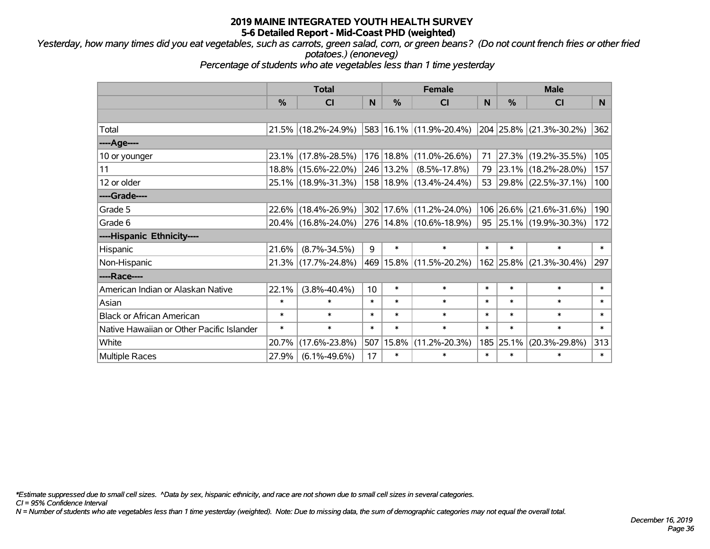*Yesterday, how many times did you eat vegetables, such as carrots, green salad, corn, or green beans? (Do not count french fries or other fried potatoes.) (enoneveg)*

*Percentage of students who ate vegetables less than 1 time yesterday*

|                                           | <b>Total</b>  |                     |        | <b>Female</b> | <b>Male</b>                 |        |               |                         |        |
|-------------------------------------------|---------------|---------------------|--------|---------------|-----------------------------|--------|---------------|-------------------------|--------|
|                                           | $\frac{0}{0}$ | <b>CI</b>           | N      | %             | <b>CI</b>                   | N      | $\frac{0}{0}$ | <b>CI</b>               | N      |
|                                           |               |                     |        |               |                             |        |               |                         |        |
| Total                                     |               | 21.5% (18.2%-24.9%) |        |               | 583 16.1% (11.9%-20.4%)     |        |               | 204 25.8% (21.3%-30.2%) | 362    |
| ----Age----                               |               |                     |        |               |                             |        |               |                         |        |
| 10 or younger                             | $23.1\%$      | $(17.8\% - 28.5\%)$ |        |               | 176   18.8%   (11.0%-26.6%) | 71     | 27.3%         | $(19.2\% - 35.5\%)$     | 105    |
| 11                                        |               | 18.8% (15.6%-22.0%) |        | 246 13.2%     | $(8.5\% - 17.8\%)$          |        |               | 79 23.1% (18.2%-28.0%)  | 157    |
| 12 or older                               |               | 25.1% (18.9%-31.3%) |        |               | 158   18.9%   (13.4%-24.4%) |        |               | 53 29.8% (22.5%-37.1%)  | 100    |
| ----Grade----                             |               |                     |        |               |                             |        |               |                         |        |
| Grade 5                                   |               | 22.6% (18.4%-26.9%) |        | 302 17.6%     | $(11.2\% - 24.0\%)$         | 106    | 26.6%         | $(21.6\% - 31.6\%)$     | 190    |
| Grade 6                                   |               | 20.4% (16.8%-24.0%) |        |               | 276 14.8% (10.6%-18.9%)     |        |               | 95 25.1% (19.9%-30.3%)  | 172    |
| ----Hispanic Ethnicity----                |               |                     |        |               |                             |        |               |                         |        |
| Hispanic                                  | 21.6%         | $(8.7\% - 34.5\%)$  | 9      | $\ast$        | $\ast$                      | $\ast$ | $\ast$        | $\ast$                  | $\ast$ |
| Non-Hispanic                              |               | 21.3% (17.7%-24.8%) |        |               | 469 15.8% (11.5%-20.2%)     |        | 162 25.8%     | $(21.3\% - 30.4\%)$     | 297    |
| ----Race----                              |               |                     |        |               |                             |        |               |                         |        |
| American Indian or Alaskan Native         | 22.1%         | $(3.8\% - 40.4\%)$  | 10     | $\ast$        | $\ast$                      | $\ast$ | $\ast$        | $\ast$                  | $\ast$ |
| Asian                                     | $\ast$        | $\ast$              | $\ast$ | $\ast$        | $\ast$                      | $\ast$ | $\ast$        | $\ast$                  | $\ast$ |
| <b>Black or African American</b>          | $\ast$        | $\ast$              | $\ast$ | $\ast$        | $\ast$                      | $\ast$ | $\ast$        | $\ast$                  | $\ast$ |
| Native Hawaiian or Other Pacific Islander | $\ast$        | $\ast$              | $\ast$ | $\ast$        | $\ast$                      | $\ast$ | $\ast$        | $\ast$                  | $\ast$ |
| White                                     | 20.7%         | $(17.6\% - 23.8\%)$ | 507    | 15.8%         | $(11.2\% - 20.3\%)$         | 185    | 25.1%         | $(20.3\% - 29.8\%)$     | 313    |
| <b>Multiple Races</b>                     | 27.9%         | $(6.1\% - 49.6\%)$  | 17     | $\ast$        | $\ast$                      | $\ast$ | $\ast$        | $\ast$                  | $\ast$ |

*\*Estimate suppressed due to small cell sizes. ^Data by sex, hispanic ethnicity, and race are not shown due to small cell sizes in several categories.*

*CI = 95% Confidence Interval*

*N = Number of students who ate vegetables less than 1 time yesterday (weighted). Note: Due to missing data, the sum of demographic categories may not equal the overall total.*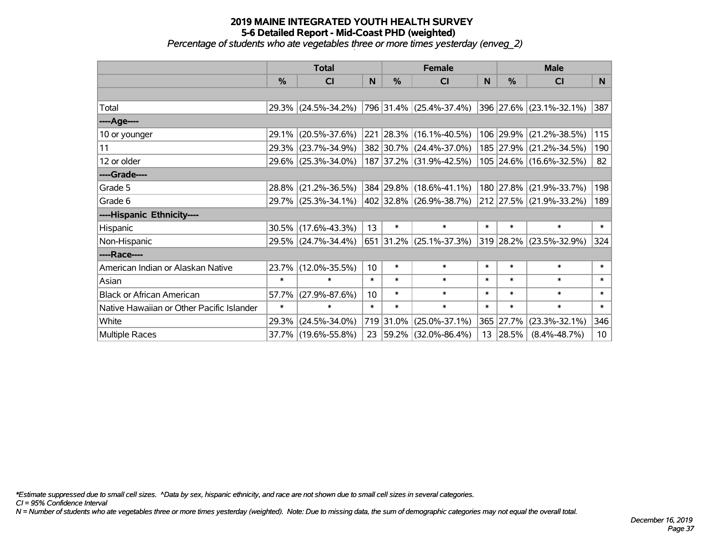*Percentage of students who ate vegetables three or more times yesterday (enveg\_2)*

|                                           | <b>Total</b>  |                     |                 |               | <b>Female</b>               | <b>Male</b> |           |                                  |                 |
|-------------------------------------------|---------------|---------------------|-----------------|---------------|-----------------------------|-------------|-----------|----------------------------------|-----------------|
|                                           | $\frac{0}{0}$ | <b>CI</b>           | N               | $\frac{0}{0}$ | <b>CI</b>                   | N           | %         | <b>CI</b>                        | N <sub>1</sub>  |
|                                           |               |                     |                 |               |                             |             |           |                                  |                 |
| Total                                     |               | 29.3% (24.5%-34.2%) |                 |               | 796 31.4% (25.4%-37.4%)     |             |           | 396 27.6% (23.1%-32.1%)          | 387             |
| ----Age----                               |               |                     |                 |               |                             |             |           |                                  |                 |
| 10 or younger                             | 29.1%         | $(20.5\% - 37.6\%)$ |                 |               | 221 28.3% (16.1%-40.5%)     |             | 106 29.9% | $(21.2\% - 38.5\%)$              | 115             |
| 11                                        | 29.3%         | $(23.7\% - 34.9\%)$ |                 |               | 382 30.7% (24.4%-37.0%)     |             |           | 185 27.9% (21.2%-34.5%)          | 190             |
| 12 or older                               |               | 29.6% (25.3%-34.0%) |                 |               | 187 37.2% (31.9%-42.5%)     |             |           | 105 24.6% (16.6%-32.5%)          | 82              |
| ----Grade----                             |               |                     |                 |               |                             |             |           |                                  |                 |
| Grade 5                                   | 28.8%         | $(21.2\% - 36.5\%)$ |                 |               | 384 29.8% (18.6%-41.1%)     |             | 180 27.8% | $(21.9\% - 33.7\%)$              | 198             |
| Grade 6                                   |               | 29.7% (25.3%-34.1%) |                 |               | 402   32.8%   (26.9%-38.7%) |             |           | $ 212 27.5\%  (21.9\% - 33.2\%)$ | 189             |
| ----Hispanic Ethnicity----                |               |                     |                 |               |                             |             |           |                                  |                 |
| Hispanic                                  | 30.5%         | $(17.6\% - 43.3\%)$ | 13              | $\ast$        | $\ast$                      | $\ast$      | $\ast$    | $\ast$                           | $\ast$          |
| Non-Hispanic                              |               | 29.5% (24.7%-34.4%) |                 |               | 651 31.2% (25.1%-37.3%)     |             |           | 319 28.2% (23.5%-32.9%)          | 324             |
| ----Race----                              |               |                     |                 |               |                             |             |           |                                  |                 |
| American Indian or Alaskan Native         | 23.7%         | $(12.0\% - 35.5\%)$ | 10 <sup>1</sup> | $\ast$        | $\ast$                      | $\ast$      | $\ast$    | $\ast$                           | $\ast$          |
| Asian                                     | $\ast$        | $\ast$              | $\ast$          | $\ast$        | $\ast$                      | $\ast$      | $\ast$    | $\ast$                           | $\ast$          |
| <b>Black or African American</b>          | 57.7%         | $(27.9\% - 87.6\%)$ | 10              | $\ast$        | $\ast$                      | $\ast$      | $\ast$    | $\ast$                           | $\ast$          |
| Native Hawaiian or Other Pacific Islander | $\ast$        | $\ast$              | $\ast$          | $\ast$        | $\ast$                      | $\ast$      | $\ast$    | $\ast$                           | $\ast$          |
| White                                     | 29.3%         | $(24.5\% - 34.0\%)$ | 719             | 31.0%         | $(25.0\% - 37.1\%)$         | 365         | 27.7%     | $(23.3\% - 32.1\%)$              | 346             |
| <b>Multiple Races</b>                     |               | 37.7% (19.6%-55.8%) |                 | 23 59.2%      | $(32.0\% - 86.4\%)$         |             | 13 28.5%  | $(8.4\% - 48.7\%)$               | 10 <sup>1</sup> |

*\*Estimate suppressed due to small cell sizes. ^Data by sex, hispanic ethnicity, and race are not shown due to small cell sizes in several categories.*

*CI = 95% Confidence Interval*

*N = Number of students who ate vegetables three or more times yesterday (weighted). Note: Due to missing data, the sum of demographic categories may not equal the overall total.*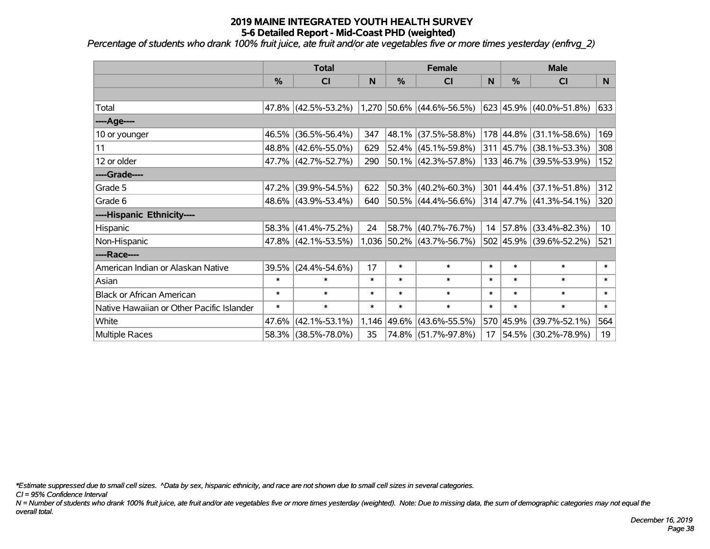*Percentage of students who drank 100% fruit juice, ate fruit and/or ate vegetables five or more times yesterday (enfrvg\_2)*

|                                           | <b>Total</b>  |                     | <b>Female</b> |             |                             | <b>Male</b> |               |                          |        |
|-------------------------------------------|---------------|---------------------|---------------|-------------|-----------------------------|-------------|---------------|--------------------------|--------|
|                                           | $\frac{0}{0}$ | CI                  | N             | $\%$        | CI                          | N           | $\frac{9}{6}$ | CI                       | N      |
|                                           |               |                     |               |             |                             |             |               |                          |        |
| Total                                     |               | 47.8% (42.5%-53.2%) |               |             | $1,270$ 50.6% (44.6%-56.5%) |             |               | 623 45.9% (40.0%-51.8%)  | 633    |
| ----Age----                               |               |                     |               |             |                             |             |               |                          |        |
| 10 or younger                             | 46.5%         | $(36.5\% - 56.4\%)$ | 347           | 48.1%       | $(37.5\% - 58.8\%)$         |             |               | 178 44.8% (31.1%-58.6%)  | 169    |
| 11                                        |               | 48.8% (42.6%-55.0%) | 629           |             | 52.4% (45.1%-59.8%)         |             |               | 311 45.7% (38.1%-53.3%)  | 308    |
| 12 or older                               |               | 47.7% (42.7%-52.7%) | 290           |             | 50.1% (42.3%-57.8%)         |             |               | 133 46.7% (39.5%-53.9%)  | 152    |
| ----Grade----                             |               |                     |               |             |                             |             |               |                          |        |
| Grade 5                                   | 47.2%         | $(39.9\% - 54.5\%)$ | 622           | 50.3%       | $(40.2\% - 60.3\%)$         | 301         |               | $ 44.4\% $ (37.1%-51.8%) | 312    |
| Grade 6                                   |               | 48.6% (43.9%-53.4%) | 640           |             | $ 50.5\% $ (44.4%-56.6%)    |             |               | 314 47.7% (41.3%-54.1%)  | 320    |
| ----Hispanic Ethnicity----                |               |                     |               |             |                             |             |               |                          |        |
| Hispanic                                  |               | 58.3% (41.4%-75.2%) | 24            | 58.7%       | $(40.7\% - 76.7\%)$         | 14          |               | 57.8% (33.4%-82.3%)      | 10     |
| Non-Hispanic                              |               | 47.8% (42.1%-53.5%) |               |             | 1,036 50.2% (43.7%-56.7%)   |             |               | 502 45.9% (39.6%-52.2%)  | 521    |
| ----Race----                              |               |                     |               |             |                             |             |               |                          |        |
| American Indian or Alaskan Native         | 39.5%         | $(24.4\% - 54.6\%)$ | 17            | $\ast$      | $\ast$                      | $\ast$      | $\ast$        | $\ast$                   | $\ast$ |
| Asian                                     | $\ast$        | $\ast$              | $\ast$        | $\ast$      | $\ast$                      | $\ast$      | $\ast$        | $\ast$                   | $\ast$ |
| <b>Black or African American</b>          | $\ast$        | $\ast$              | $\ast$        | $\ast$      | $\ast$                      | $\ast$      | $\ast$        | $\ast$                   | $\ast$ |
| Native Hawaiian or Other Pacific Islander | $\ast$        | $\ast$              | $\ast$        | $\ast$      | $\ast$                      | $\ast$      | $\ast$        | $\ast$                   | $\ast$ |
| White                                     | 47.6%         | $(42.1\% - 53.1\%)$ |               | 1,146 49.6% | $(43.6\% - 55.5\%)$         |             | 570 45.9%     | $(39.7\% - 52.1\%)$      | 564    |
| <b>Multiple Races</b>                     |               | 58.3% (38.5%-78.0%) | 35            |             | 74.8% (51.7%-97.8%)         | 17          |               | 54.5% (30.2%-78.9%)      | 19     |

*\*Estimate suppressed due to small cell sizes. ^Data by sex, hispanic ethnicity, and race are not shown due to small cell sizes in several categories.*

*CI = 95% Confidence Interval*

*N = Number of students who drank 100% fruit juice, ate fruit and/or ate vegetables five or more times yesterday (weighted). Note: Due to missing data, the sum of demographic categories may not equal the overall total.*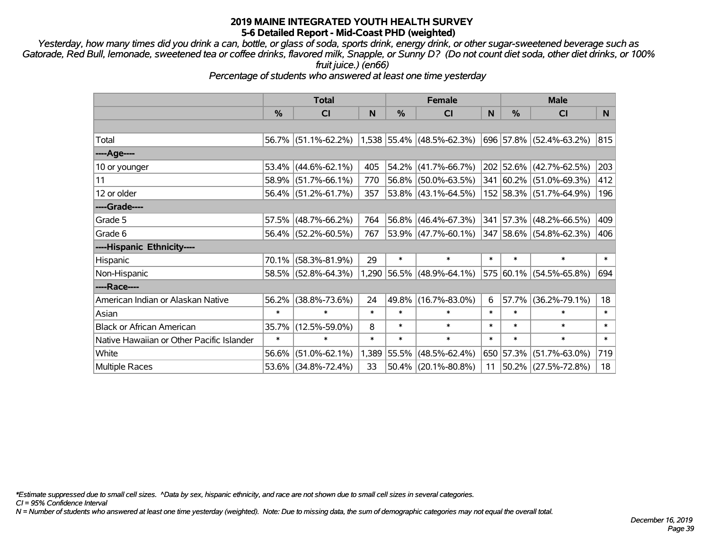*Yesterday, how many times did you drink a can, bottle, or glass of soda, sports drink, energy drink, or other sugar-sweetened beverage such as Gatorade, Red Bull, lemonade, sweetened tea or coffee drinks, flavored milk, Snapple, or Sunny D? (Do not count diet soda, other diet drinks, or 100% fruit juice.) (en66)*

*Percentage of students who answered at least one time yesterday*

|                                           | <b>Total</b> |                        | <b>Female</b> |               |                             | <b>Male</b> |               |                         |              |
|-------------------------------------------|--------------|------------------------|---------------|---------------|-----------------------------|-------------|---------------|-------------------------|--------------|
|                                           | %            | CI                     | N             | $\frac{0}{0}$ | <b>CI</b>                   | N           | $\frac{0}{0}$ | <b>CI</b>               | N            |
|                                           |              |                        |               |               |                             |             |               |                         |              |
| Total                                     |              | $56.7\%$ (51.1%-62.2%) |               |               | $1,538$ 55.4% (48.5%-62.3%) |             |               | 696 57.8% (52.4%-63.2%) | 815          |
| ----Age----                               |              |                        |               |               |                             |             |               |                         |              |
| 10 or younger                             | 53.4%        | $(44.6\% - 62.1\%)$    | 405           | 54.2%         | $(41.7\% - 66.7\%)$         |             |               | 202 52.6% (42.7%-62.5%) | 203          |
| 11                                        |              | $58.9\%$ (51.7%-66.1%) | 770           |               | 56.8% (50.0%-63.5%)         |             |               | 341 60.2% (51.0%-69.3%) | 412          |
| 12 or older                               |              | 56.4% (51.2%-61.7%)    | 357           |               | 53.8% (43.1%-64.5%)         |             |               | 152 58.3% (51.7%-64.9%) | 196          |
| ----Grade----                             |              |                        |               |               |                             |             |               |                         |              |
| Grade 5                                   | 57.5%        | $(48.7\% - 66.2\%)$    | 764           | 56.8%         | $(46.4\% - 67.3\%)$         | 341         | 57.3%         | $(48.2\% - 66.5\%)$     | 409          |
| Grade 6                                   |              | $56.4\%$ (52.2%-60.5%) | 767           |               | 53.9% (47.7%-60.1%)         |             |               | 347 58.6% (54.8%-62.3%) | 406          |
| ----Hispanic Ethnicity----                |              |                        |               |               |                             |             |               |                         |              |
| Hispanic                                  | 70.1%        | $(58.3\% - 81.9\%)$    | 29            | $\ast$        | $\ast$                      | $\ast$      | $\ast$        | $\ast$                  | $\ast$       |
| Non-Hispanic                              |              | 58.5% (52.8%-64.3%)    |               |               | $1,290$ 56.5% (48.9%-64.1%) |             |               | 575 60.1% (54.5%-65.8%) | 694          |
| ----Race----                              |              |                        |               |               |                             |             |               |                         |              |
| American Indian or Alaskan Native         | 56.2%        | $(38.8\% - 73.6\%)$    | 24            | 49.8%         | $(16.7\% - 83.0\%)$         | 6           | 57.7%         | $(36.2\% - 79.1\%)$     | 18           |
| Asian                                     | $\ast$       | $\ast$                 | $\ast$        | $\ast$        | $\ast$                      | $\ast$      | $\ast$        | $\ast$                  | $\ast$       |
| <b>Black or African American</b>          | 35.7%        | $(12.5\% - 59.0\%)$    | 8             | $\ast$        | $\ast$                      | $\ast$      | $\ast$        | $\ast$                  | $\ast$       |
| Native Hawaiian or Other Pacific Islander | $\ast$       | $\ast$                 | $\ast$        | $\ast$        | $\ast$                      | $\ast$      | $\ast$        | $\ast$                  | $\pmb{\ast}$ |
| White                                     | 56.6%        | $(51.0\% - 62.1\%)$    |               | 1,389 55.5%   | $(48.5\% - 62.4\%)$         |             | 650 57.3%     | $(51.7\% - 63.0\%)$     | 719          |
| <b>Multiple Races</b>                     |              | 53.6% (34.8%-72.4%)    | 33            | 50.4%         | $(20.1\% - 80.8\%)$         | 11          |               | 50.2% (27.5%-72.8%)     | 18           |

*\*Estimate suppressed due to small cell sizes. ^Data by sex, hispanic ethnicity, and race are not shown due to small cell sizes in several categories.*

*CI = 95% Confidence Interval*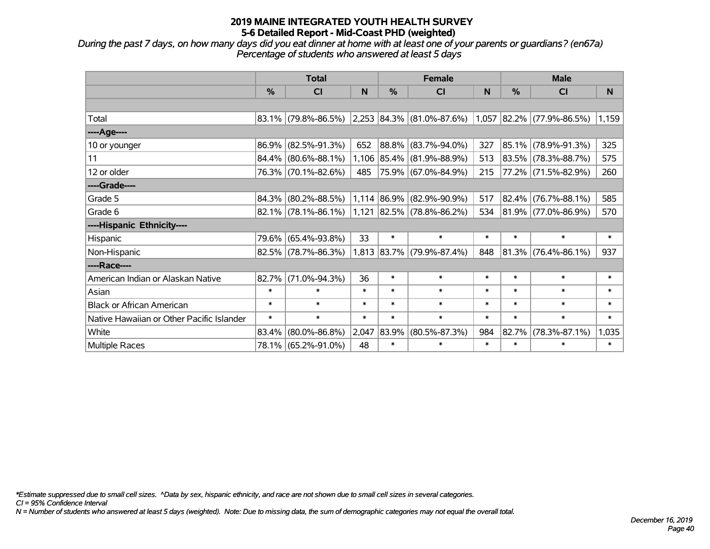*During the past 7 days, on how many days did you eat dinner at home with at least one of your parents or guardians? (en67a) Percentage of students who answered at least 5 days*

|                                           | <b>Total</b> |                        |        | <b>Female</b> |                                                          | <b>Male</b> |            |                          |        |
|-------------------------------------------|--------------|------------------------|--------|---------------|----------------------------------------------------------|-------------|------------|--------------------------|--------|
|                                           | $\%$         | <b>CI</b>              | N      | $\frac{0}{0}$ | <b>CI</b>                                                | N           | %          | <b>CI</b>                | N      |
|                                           |              |                        |        |               |                                                          |             |            |                          |        |
| Total                                     |              | $83.1\%$ (79.8%-86.5%) |        |               | $ 2,253 84.3\% $ (81.0%-87.6%) 1,057 82.2% (77.9%-86.5%) |             |            |                          | 1,159  |
| ----Age----                               |              |                        |        |               |                                                          |             |            |                          |        |
| 10 or younger                             | 86.9%        | $(82.5\% - 91.3\%)$    | 652    | $ 88.8\% $    | $(83.7\% - 94.0\%)$                                      | 327         | $85.1\%$   | $(78.9\% - 91.3\%)$      | 325    |
| 11                                        |              | 84.4% (80.6%-88.1%)    |        |               | 1,106 85.4% (81.9%-88.9%)                                | 513         |            | 83.5% (78.3%-88.7%)      | 575    |
| 12 or older                               |              | 76.3% (70.1%-82.6%)    | 485    |               | 75.9% (67.0%-84.9%)                                      | 215         |            | 77.2% (71.5%-82.9%)      | 260    |
| ----Grade----                             |              |                        |        |               |                                                          |             |            |                          |        |
| Grade 5                                   | 84.3%        | $(80.2\% - 88.5\%)$    |        |               | 1,114 86.9% (82.9%-90.9%)                                | 517         | 82.4%      | $(76.7\% - 88.1\%)$      | 585    |
| Grade 6                                   |              | $82.1\%$ (78.1%-86.1%) |        |               | 1,121 82.5% (78.8%-86.2%)                                | 534         |            | $ 81.9\% $ (77.0%-86.9%) | 570    |
| ----Hispanic Ethnicity----                |              |                        |        |               |                                                          |             |            |                          |        |
| Hispanic                                  | 79.6%        | $(65.4\% - 93.8\%)$    | 33     | $\ast$        | $\ast$                                                   | $\ast$      | $\ast$     | $\ast$                   | $\ast$ |
| Non-Hispanic                              |              | 82.5% (78.7%-86.3%)    |        |               | 1,813 83.7% (79.9%-87.4%)                                | 848         | $ 81.3\% $ | $(76.4\% - 86.1\%)$      | 937    |
| ----Race----                              |              |                        |        |               |                                                          |             |            |                          |        |
| American Indian or Alaskan Native         | 82.7%        | $(71.0\% - 94.3\%)$    | 36     | $\ast$        | $\ast$                                                   | $\ast$      | $\ast$     | $\ast$                   | $\ast$ |
| Asian                                     | $\ast$       | $\ast$                 | $\ast$ | $\ast$        | $\ast$                                                   | $\ast$      | $\ast$     | $\ast$                   | $\ast$ |
| <b>Black or African American</b>          | $\ast$       | $\ast$                 | $\ast$ | $\ast$        | $\ast$                                                   | $\ast$      | $\ast$     | $\ast$                   | $\ast$ |
| Native Hawaiian or Other Pacific Islander | $\ast$       | $\ast$                 | $\ast$ | $\ast$        | $\ast$                                                   | $\ast$      | $\ast$     | $\ast$                   | $\ast$ |
| White                                     | 83.4%        | $(80.0\% - 86.8\%)$    | 2,047  | 83.9%         | $(80.5\% - 87.3\%)$                                      | 984         | 82.7%      | $(78.3\% - 87.1\%)$      | 1,035  |
| Multiple Races                            |              | 78.1% (65.2%-91.0%)    | 48     | $\ast$        | $\ast$                                                   | $\ast$      | $\ast$     | $\ast$                   | $\ast$ |

*\*Estimate suppressed due to small cell sizes. ^Data by sex, hispanic ethnicity, and race are not shown due to small cell sizes in several categories.*

*CI = 95% Confidence Interval*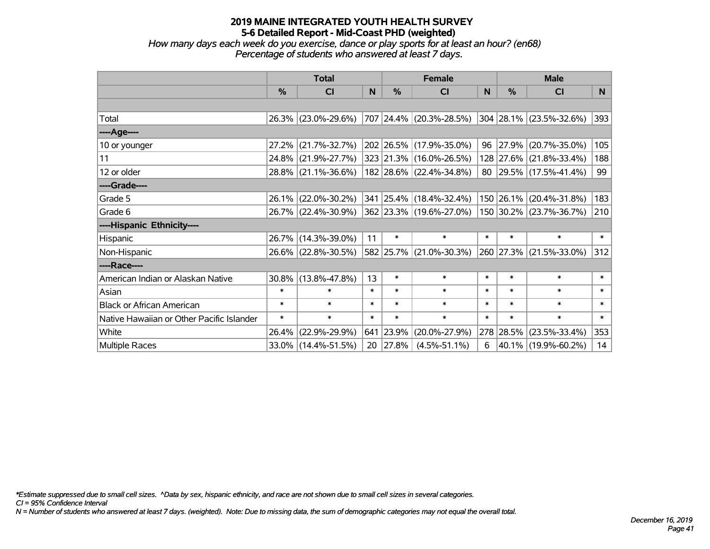*How many days each week do you exercise, dance or play sports for at least an hour? (en68) Percentage of students who answered at least 7 days.*

|                                           | <b>Total</b>  |                     |        | <b>Female</b> | <b>Male</b>             |        |           |                         |        |
|-------------------------------------------|---------------|---------------------|--------|---------------|-------------------------|--------|-----------|-------------------------|--------|
|                                           | $\frac{0}{0}$ | CI                  | N      | %             | CI                      | N      | %         | <b>CI</b>               | N      |
|                                           |               |                     |        |               |                         |        |           |                         |        |
| Total                                     |               | 26.3% (23.0%-29.6%) |        |               | 707 24.4% (20.3%-28.5%) |        |           | 304 28.1% (23.5%-32.6%) | 393    |
| ----Age----                               |               |                     |        |               |                         |        |           |                         |        |
| 10 or younger                             | 27.2%         | $(21.7\% - 32.7\%)$ |        |               | 202 26.5% (17.9%-35.0%) |        | 96 27.9%  | $(20.7\% - 35.0\%)$     | 105    |
| 11                                        | 24.8%         | $(21.9\% - 27.7\%)$ |        |               | 323 21.3% (16.0%-26.5%) |        | 128 27.6% | $(21.8\% - 33.4\%)$     | 188    |
| 12 or older                               |               | 28.8% (21.1%-36.6%) |        |               | 182 28.6% (22.4%-34.8%) |        |           | 80 29.5% (17.5%-41.4%)  | 99     |
| ----Grade----                             |               |                     |        |               |                         |        |           |                         |        |
| Grade 5                                   | $26.1\%$      | $(22.0\% - 30.2\%)$ |        |               | 341 25.4% (18.4%-32.4%) |        | 150 26.1% | $(20.4\% - 31.8\%)$     | 183    |
| Grade 6                                   |               | 26.7% (22.4%-30.9%) |        |               | 362 23.3% (19.6%-27.0%) |        |           | 150 30.2% (23.7%-36.7%) | 210    |
| ----Hispanic Ethnicity----                |               |                     |        |               |                         |        |           |                         |        |
| Hispanic                                  |               | 26.7% (14.3%-39.0%) | 11     | $\ast$        | $\ast$                  | $\ast$ | $\ast$    | $\ast$                  | $\ast$ |
| Non-Hispanic                              |               | 26.6% (22.8%-30.5%) |        |               | 582 25.7% (21.0%-30.3%) |        | 260 27.3% | $(21.5\% - 33.0\%)$     | 312    |
| ----Race----                              |               |                     |        |               |                         |        |           |                         |        |
| American Indian or Alaskan Native         | $30.8\%$      | $(13.8\% - 47.8\%)$ | 13     | $\ast$        | $\ast$                  | $\ast$ | $\ast$    | $\ast$                  | $\ast$ |
| Asian                                     | $\ast$        | $\ast$              | $\ast$ | $\ast$        | $\ast$                  | $\ast$ | $\ast$    | $\ast$                  | $\ast$ |
| <b>Black or African American</b>          | $\ast$        | $\ast$              | $\ast$ | $\ast$        | $\ast$                  | $\ast$ | $\ast$    | $\ast$                  | $\ast$ |
| Native Hawaiian or Other Pacific Islander | $\ast$        | $\ast$              | $\ast$ | $\ast$        | $\ast$                  | $\ast$ | $\ast$    | $\ast$                  | $\ast$ |
| White                                     | 26.4%         | $(22.9\% - 29.9\%)$ | 641    | 23.9%         | $(20.0\% - 27.9\%)$     |        | 278 28.5% | $(23.5\% - 33.4\%)$     | 353    |
| Multiple Races                            |               | 33.0% (14.4%-51.5%) | 20     | 27.8%         | $(4.5\% - 51.1\%)$      | 6      |           | 40.1% (19.9%-60.2%)     | 14     |

*\*Estimate suppressed due to small cell sizes. ^Data by sex, hispanic ethnicity, and race are not shown due to small cell sizes in several categories.*

*CI = 95% Confidence Interval*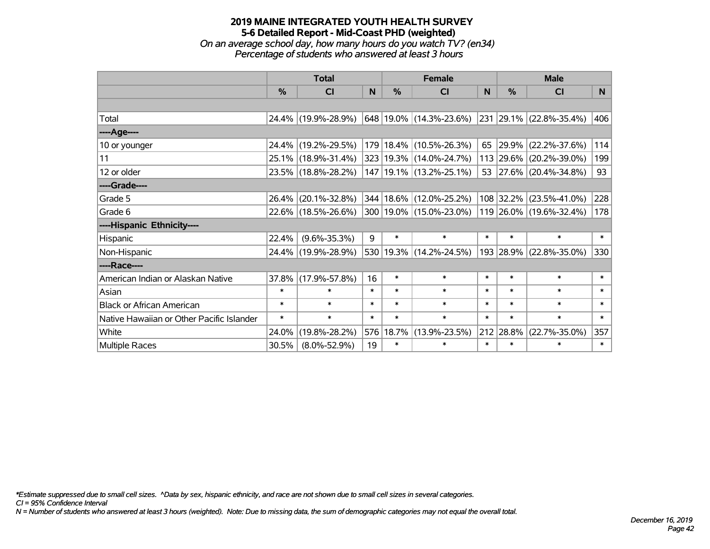*On an average school day, how many hours do you watch TV? (en34) Percentage of students who answered at least 3 hours*

|                                           | <b>Total</b>  |                     | <b>Female</b> |               |                             | <b>Male</b> |           |                         |                |
|-------------------------------------------|---------------|---------------------|---------------|---------------|-----------------------------|-------------|-----------|-------------------------|----------------|
|                                           | $\frac{0}{0}$ | CI                  | N.            | $\frac{0}{0}$ | CI                          | <b>N</b>    | %         | CI                      | N <sub>1</sub> |
|                                           |               |                     |               |               |                             |             |           |                         |                |
| Total                                     |               | 24.4% (19.9%-28.9%) |               |               | 648 19.0% (14.3%-23.6%)     |             |           | 231 29.1% (22.8%-35.4%) | 406            |
| ----Age----                               |               |                     |               |               |                             |             |           |                         |                |
| 10 or younger                             |               | 24.4% (19.2%-29.5%) |               |               | 179   18.4%   (10.5%-26.3%) | 65          | 29.9%     | $(22.2\% - 37.6\%)$     | 114            |
| 11                                        |               | 25.1% (18.9%-31.4%) |               |               | 323 19.3% (14.0%-24.7%)     |             |           | 113 29.6% (20.2%-39.0%) | 199            |
| 12 or older                               |               | 23.5% (18.8%-28.2%) |               |               | 147   19.1%   (13.2%-25.1%) |             |           | 53 27.6% (20.4%-34.8%)  | 93             |
| ----Grade----                             |               |                     |               |               |                             |             |           |                         |                |
| Grade 5                                   | 26.4%         | $(20.1\% - 32.8\%)$ |               |               | 344   18.6%   (12.0%-25.2%) |             | 108 32.2% | $(23.5\% - 41.0\%)$     | 228            |
| Grade 6                                   |               | 22.6% (18.5%-26.6%) |               |               | 300   19.0%   (15.0%-23.0%) |             |           | 119 26.0% (19.6%-32.4%) | 178            |
| ----Hispanic Ethnicity----                |               |                     |               |               |                             |             |           |                         |                |
| Hispanic                                  | 22.4%         | $(9.6\% - 35.3\%)$  | 9             | $\ast$        | $\ast$                      | $\ast$      | $\ast$    | $\ast$                  | $\ast$         |
| Non-Hispanic                              |               | 24.4% (19.9%-28.9%) |               |               | 530 19.3% (14.2%-24.5%)     |             |           | 193 28.9% (22.8%-35.0%) | 330            |
| ----Race----                              |               |                     |               |               |                             |             |           |                         |                |
| American Indian or Alaskan Native         | 37.8%         | $(17.9\% - 57.8\%)$ | 16            | $\ast$        | $\ast$                      | $\ast$      | $\ast$    | $\ast$                  | $\ast$         |
| Asian                                     | $\ast$        | $\ast$              | $\ast$        | $\ast$        | $\ast$                      | $\ast$      | $\ast$    | $\ast$                  | $\ast$         |
| <b>Black or African American</b>          | $\ast$        | $\ast$              | $\ast$        | $\ast$        | $\ast$                      | $\ast$      | $\ast$    | $\ast$                  | $\ast$         |
| Native Hawaiian or Other Pacific Islander | $\ast$        | $\ast$              | $\ast$        | $\ast$        | $\ast$                      | $\ast$      | $\ast$    | $\ast$                  | $\ast$         |
| White                                     | 24.0%         | $(19.8\% - 28.2\%)$ |               | 576 18.7%     | $(13.9\% - 23.5\%)$         |             | 212 28.8% | $(22.7\% - 35.0\%)$     | 357            |
| <b>Multiple Races</b>                     | 30.5%         | $(8.0\% - 52.9\%)$  | 19            | $\ast$        | $\ast$                      | $\ast$      | $\ast$    | $\ast$                  | $\ast$         |

*\*Estimate suppressed due to small cell sizes. ^Data by sex, hispanic ethnicity, and race are not shown due to small cell sizes in several categories.*

*CI = 95% Confidence Interval*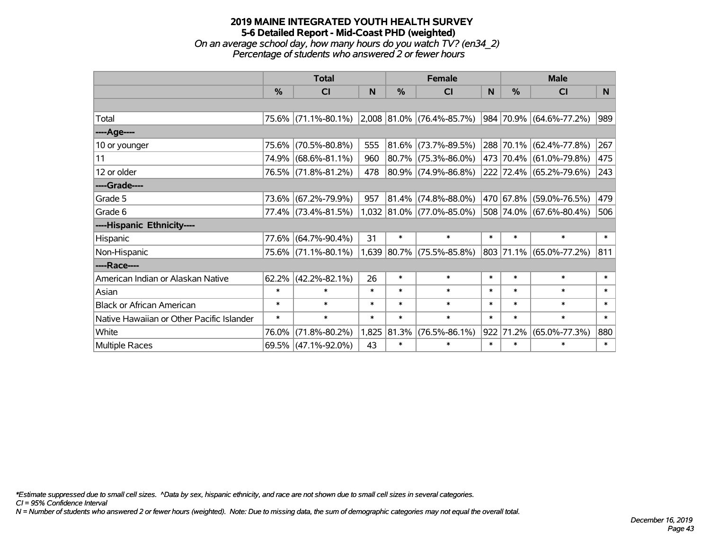# **2019 MAINE INTEGRATED YOUTH HEALTH SURVEY 5-6 Detailed Report - Mid-Coast PHD (weighted)** *On an average school day, how many hours do you watch TV? (en34\_2)*

*Percentage of students who answered 2 or fewer hours*

|                                           | <b>Total</b>  |                                               |        |            | <b>Female</b>               |        | <b>Male</b>   |                         |        |
|-------------------------------------------|---------------|-----------------------------------------------|--------|------------|-----------------------------|--------|---------------|-------------------------|--------|
|                                           | $\frac{0}{0}$ | CI                                            | N      | %          | <b>CI</b>                   | N      | $\frac{0}{0}$ | <b>CI</b>               | N.     |
|                                           |               |                                               |        |            |                             |        |               |                         |        |
| Total                                     |               | 75.6% (71.1%-80.1%) 2,008 81.0% (76.4%-85.7%) |        |            |                             |        |               | 984 70.9% (64.6%-77.2%) | 989    |
| ----Age----                               |               |                                               |        |            |                             |        |               |                         |        |
| 10 or younger                             | 75.6%         | $(70.5\% - 80.8\%)$                           | 555    | $ 81.6\% $ | $(73.7\% - 89.5\%)$         |        |               | 288 70.1% (62.4%-77.8%) | 267    |
| 11                                        |               | 74.9% (68.6%-81.1%)                           | 960    |            | 80.7% (75.3%-86.0%)         |        |               | 473 70.4% (61.0%-79.8%) | 475    |
| 12 or older                               |               | 76.5% (71.8%-81.2%)                           | 478    |            | 80.9% (74.9%-86.8%)         |        |               | 222 72.4% (65.2%-79.6%) | 243    |
| ----Grade----                             |               |                                               |        |            |                             |        |               |                         |        |
| Grade 5                                   |               | 73.6% (67.2%-79.9%)                           | 957    | 81.4%      | $(74.8\% - 88.0\%)$         |        |               | 470 67.8% (59.0%-76.5%) | 479    |
| Grade 6                                   |               | 77.4% (73.4%-81.5%)                           |        |            | $1,032$ 81.0% (77.0%-85.0%) |        |               | 508 74.0% (67.6%-80.4%) | 506    |
| ----Hispanic Ethnicity----                |               |                                               |        |            |                             |        |               |                         |        |
| Hispanic                                  | 77.6%         | $(64.7\% - 90.4\%)$                           | 31     | $\ast$     | $\ast$                      | $\ast$ | $\ast$        | $\ast$                  | $\ast$ |
| Non-Hispanic                              |               | 75.6% (71.1%-80.1%)                           |        |            | $1,639$ 80.7% (75.5%-85.8%) |        |               | 803 71.1% (65.0%-77.2%) | 811    |
| ----Race----                              |               |                                               |        |            |                             |        |               |                         |        |
| American Indian or Alaskan Native         | 62.2%         | $(42.2\% - 82.1\%)$                           | 26     | $\ast$     | $\ast$                      | $\ast$ | $\ast$        | $\ast$                  | $\ast$ |
| Asian                                     | $\ast$        | $\ast$                                        | $\ast$ | $\ast$     | $\ast$                      | $\ast$ | $\ast$        | $\ast$                  | $\ast$ |
| <b>Black or African American</b>          | $\ast$        | $\ast$                                        | $\ast$ | $\ast$     | $\ast$                      | $\ast$ | $\ast$        | $\ast$                  | $\ast$ |
| Native Hawaiian or Other Pacific Islander | $\ast$        | $\ast$                                        | $\ast$ | $\ast$     | $\ast$                      | $\ast$ | $\ast$        | $\ast$                  | $\ast$ |
| White                                     | 76.0%         | $(71.8\% - 80.2\%)$                           | 1,825  | 81.3%      | $(76.5\% - 86.1\%)$         | 922    | 71.2%         | $(65.0\% - 77.3\%)$     | 880    |
| Multiple Races                            |               | 69.5% (47.1%-92.0%)                           | 43     | $\ast$     | $\ast$                      | $\ast$ | $\ast$        | $\ast$                  | $\ast$ |

*\*Estimate suppressed due to small cell sizes. ^Data by sex, hispanic ethnicity, and race are not shown due to small cell sizes in several categories.*

*CI = 95% Confidence Interval*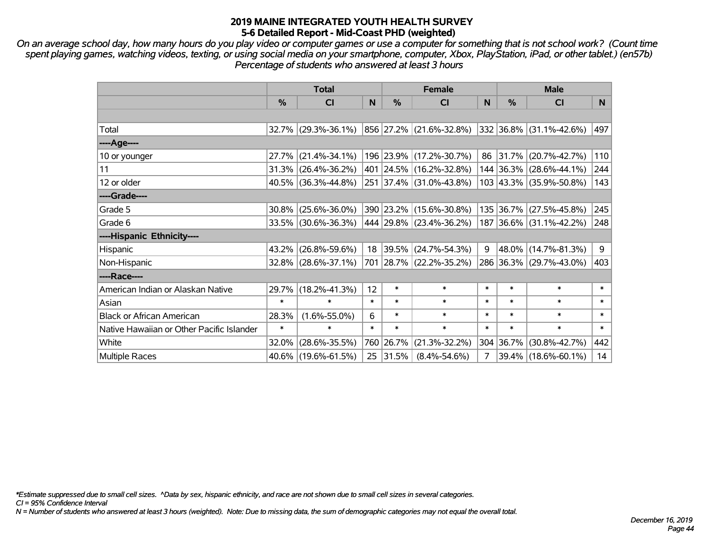*On an average school day, how many hours do you play video or computer games or use a computer for something that is not school work? (Count time spent playing games, watching videos, texting, or using social media on your smartphone, computer, Xbox, PlayStation, iPad, or other tablet.) (en57b) Percentage of students who answered at least 3 hours*

|                                           | <b>Total</b>  |                        | <b>Female</b> |           |                              | <b>Male</b> |           |                                  |        |
|-------------------------------------------|---------------|------------------------|---------------|-----------|------------------------------|-------------|-----------|----------------------------------|--------|
|                                           | $\frac{0}{0}$ | <b>CI</b>              | N             | $\%$      | <b>CI</b>                    | N           | %         | <b>CI</b>                        | N.     |
|                                           |               |                        |               |           |                              |             |           |                                  |        |
| Total                                     |               | $32.7\%$ (29.3%-36.1%) |               |           | 856 27.2% (21.6%-32.8%)      |             |           | $ 332 36.8\%  (31.1\% - 42.6\%)$ | 497    |
| ----Age----                               |               |                        |               |           |                              |             |           |                                  |        |
| 10 or younger                             |               | 27.7% (21.4%-34.1%)    |               |           | 196 23.9% (17.2%-30.7%)      |             | 86 31.7%  | $(20.7\% - 42.7\%)$              | 110    |
| 11                                        |               | $31.3\%$ (26.4%-36.2%) |               |           | 401 24.5% (16.2%-32.8%)      |             |           | 144 36.3% (28.6%-44.1%)          | 244    |
| 12 or older                               |               | $40.5\%$ (36.3%-44.8%) |               |           | 251 37.4% (31.0%-43.8%)      |             |           | 103 43.3% (35.9%-50.8%)          | 143    |
| ----Grade----                             |               |                        |               |           |                              |             |           |                                  |        |
| Grade 5                                   |               | $30.8\%$ (25.6%-36.0%) |               |           | 390 23.2% (15.6%-30.8%)      |             | 135 36.7% | $(27.5\% - 45.8\%)$              | 245    |
| Grade 6                                   |               | 33.5% (30.6%-36.3%)    |               |           | $ 444 29.8\% $ (23.4%-36.2%) |             |           | 187 36.6% (31.1%-42.2%)          | 248    |
| ----Hispanic Ethnicity----                |               |                        |               |           |                              |             |           |                                  |        |
| Hispanic                                  |               | 43.2% (26.8%-59.6%)    |               | 18 39.5%  | $(24.7\% - 54.3\%)$          | 9           | 48.0%     | $(14.7\% - 81.3\%)$              | 9      |
| Non-Hispanic                              |               | 32.8% (28.6%-37.1%)    |               |           | 701 28.7% (22.2%-35.2%)      |             |           | 286 36.3% (29.7%-43.0%)          | 403    |
| ----Race----                              |               |                        |               |           |                              |             |           |                                  |        |
| American Indian or Alaskan Native         |               | 29.7% (18.2%-41.3%)    | 12            | $\ast$    | $\ast$                       | $\ast$      | $\ast$    | $\ast$                           | $\ast$ |
| Asian                                     | $\ast$        | $\ast$                 | $\ast$        | $\ast$    | $\ast$                       | $\ast$      | $\ast$    | $\ast$                           | $\ast$ |
| <b>Black or African American</b>          | 28.3%         | $(1.6\% - 55.0\%)$     | 6             | $\ast$    | $\ast$                       | $\ast$      | $\ast$    | $\ast$                           | $\ast$ |
| Native Hawaiian or Other Pacific Islander | $\ast$        | $\ast$                 | $\ast$        | $\ast$    | $\ast$                       | $\ast$      | $\ast$    | $\ast$                           | $\ast$ |
| White                                     | 32.0%         | $(28.6\% - 35.5\%)$    |               | 760 26.7% | $(21.3\% - 32.2\%)$          | 304         | 36.7%     | $(30.8\% - 42.7\%)$              | 442    |
| Multiple Races                            |               | 40.6% (19.6%-61.5%)    |               | 25 31.5%  | $(8.4\% - 54.6\%)$           | 7           |           | 39.4% (18.6%-60.1%)              | 14     |

*\*Estimate suppressed due to small cell sizes. ^Data by sex, hispanic ethnicity, and race are not shown due to small cell sizes in several categories.*

*CI = 95% Confidence Interval*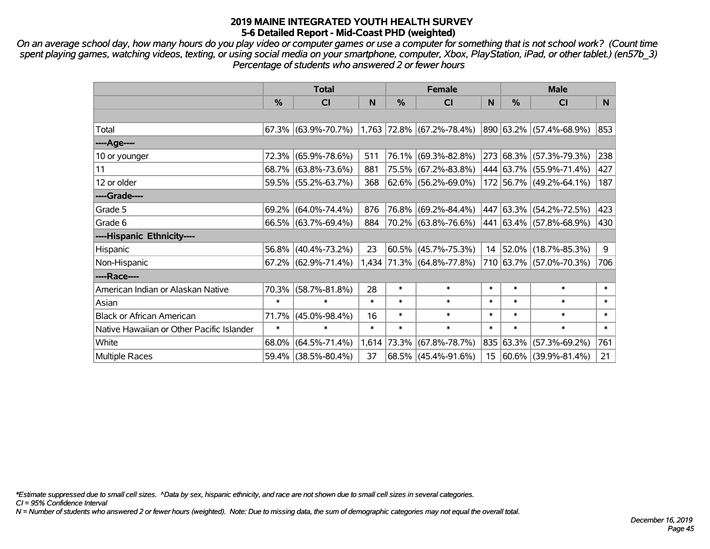*On an average school day, how many hours do you play video or computer games or use a computer for something that is not school work? (Count time spent playing games, watching videos, texting, or using social media on your smartphone, computer, Xbox, PlayStation, iPad, or other tablet.) (en57b\_3) Percentage of students who answered 2 or fewer hours*

|                                           | <b>Total</b>  |                                                  | <b>Female</b> |             |                           | <b>Male</b>     |           |                          |           |
|-------------------------------------------|---------------|--------------------------------------------------|---------------|-------------|---------------------------|-----------------|-----------|--------------------------|-----------|
|                                           | $\frac{0}{0}$ | <b>CI</b>                                        | N             | %           | <b>CI</b>                 | N               | %         | <b>CI</b>                | N.        |
|                                           |               |                                                  |               |             |                           |                 |           |                          |           |
| Total                                     |               | $67.3\%$ (63.9%-70.7%) 1,763 72.8% (67.2%-78.4%) |               |             |                           |                 |           | 890 63.2% (57.4%-68.9%)  | 853       |
| ----Age----                               |               |                                                  |               |             |                           |                 |           |                          |           |
| 10 or younger                             | 72.3%         | $(65.9\% - 78.6\%)$                              | 511           |             | 76.1% (69.3%-82.8%)       |                 |           | 273 68.3% (57.3%-79.3%)  | 238       |
| 11                                        |               | 68.7% (63.8%-73.6%)                              | 881           |             | 75.5% (67.2%-83.8%)       |                 |           | 444 63.7% (55.9%-71.4%)  | 427       |
| 12 or older                               |               | 59.5% (55.2%-63.7%)                              | 368           |             | 62.6% (56.2%-69.0%)       |                 |           | 172 56.7% (49.2%-64.1%)  | 187       |
| ----Grade----                             |               |                                                  |               |             |                           |                 |           |                          |           |
| Grade 5                                   |               | $69.2\%$ (64.0%-74.4%)                           | 876           |             | 76.8% (69.2%-84.4%)       | 447             |           | 63.3% (54.2%-72.5%)      | 423       |
| Grade 6                                   |               | 66.5% (63.7%-69.4%)                              | 884           |             | 70.2% (63.8%-76.6%)       |                 |           | 441 63.4% (57.8%-68.9%)  | 430       |
| ----Hispanic Ethnicity----                |               |                                                  |               |             |                           |                 |           |                          |           |
| Hispanic                                  | 56.8%         | $(40.4\% - 73.2\%)$                              | 23            |             | $60.5\%$ (45.7%-75.3%)    | 14              |           | 52.0% (18.7%-85.3%)      | 9         |
| Non-Hispanic                              |               | 67.2% (62.9%-71.4%)                              |               |             | 1,434 71.3% (64.8%-77.8%) |                 |           | 710 63.7% (57.0%-70.3%)  | 706       |
| ----Race----                              |               |                                                  |               |             |                           |                 |           |                          |           |
| American Indian or Alaskan Native         | 70.3%         | $(58.7\% - 81.8\%)$                              | 28            | $\ast$      | $\ast$                    | $\ast$          | $\ast$    | $\ast$                   | $\ast$    |
| Asian                                     | $\ast$        | $\ast$                                           | $\ast$        | $\ast$      | $\ast$                    | $\ast$          | $\ast$    | $\ast$                   | $\ast$    |
| <b>Black or African American</b>          | 71.7%         | $(45.0\% - 98.4\%)$                              | 16            | $\ast$      | $\ast$                    | $\ast$          | $\ast$    | $\ast$                   | $\ast$    |
| Native Hawaiian or Other Pacific Islander | $\ast$        | $\ast$                                           | $\ast$        | $\ast$      | $\ast$                    | $\ast$          | $\ast$    | $\ast$                   | $\ast$    |
| White                                     | 68.0%         | $(64.5\% - 71.4\%)$                              |               | 1,614 73.3% | $(67.8\% - 78.7\%)$       |                 | 835 63.3% | $(57.3\% - 69.2\%)$      | 761       |
| <b>Multiple Races</b>                     |               | 59.4% (38.5%-80.4%)                              | 37            |             | $68.5\%$ (45.4%-91.6%)    | 15 <sub>1</sub> |           | $ 60.6\% $ (39.9%-81.4%) | $21 \mid$ |

*\*Estimate suppressed due to small cell sizes. ^Data by sex, hispanic ethnicity, and race are not shown due to small cell sizes in several categories.*

*CI = 95% Confidence Interval*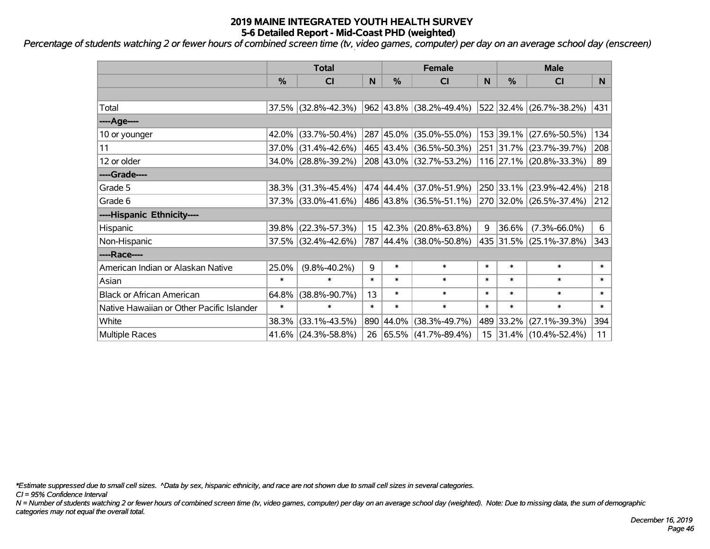*Percentage of students watching 2 or fewer hours of combined screen time (tv, video games, computer) per day on an average school day (enscreen)*

|                                           | <b>Total</b> |                        | <b>Female</b>   |           |                                          | <b>Male</b> |           |                         |        |
|-------------------------------------------|--------------|------------------------|-----------------|-----------|------------------------------------------|-------------|-----------|-------------------------|--------|
|                                           | %            | C <sub>l</sub>         | N               | %         | CI                                       | N           | %         | <b>CI</b>               | N.     |
|                                           |              |                        |                 |           |                                          |             |           |                         |        |
| Total                                     |              | 37.5% (32.8%-42.3%)    |                 |           | $962 \mid 43.8\% \mid (38.2\% - 49.4\%)$ |             |           | 522 32.4% (26.7%-38.2%) | 431    |
| ----Age----                               |              |                        |                 |           |                                          |             |           |                         |        |
| 10 or younger                             | 42.0%        | $(33.7\% - 50.4\%)$    |                 |           | 287 45.0% (35.0%-55.0%)                  |             | 153 39.1% | $(27.6\% - 50.5\%)$     | 134    |
| 11                                        |              | $37.0\%$ (31.4%-42.6%) |                 |           | 465 43.4% (36.5%-50.3%)                  |             |           | 251 31.7% (23.7%-39.7%) | 208    |
| 12 or older                               |              | 34.0% (28.8%-39.2%)    |                 |           | 208 43.0% (32.7%-53.2%)                  |             |           | 116 27.1% (20.8%-33.3%) | 89     |
| ----Grade----                             |              |                        |                 |           |                                          |             |           |                         |        |
| Grade 5                                   | 38.3%        | $(31.3\% - 45.4\%)$    |                 |           | 474 44.4% (37.0%-51.9%)                  |             | 250 33.1% | $(23.9\% - 42.4\%)$     | 218    |
| Grade 6                                   |              | 37.3% (33.0%-41.6%)    |                 |           | 486 43.8% (36.5%-51.1%)                  |             |           | 270 32.0% (26.5%-37.4%) | 212    |
| ----Hispanic Ethnicity----                |              |                        |                 |           |                                          |             |           |                         |        |
| Hispanic                                  | 39.8%        | $(22.3\% - 57.3\%)$    | 15 <sub>1</sub> | 42.3%     | $(20.8\% - 63.8\%)$                      | 9           | 36.6%     | $(7.3\% - 66.0\%)$      | 6      |
| Non-Hispanic                              |              | 37.5% (32.4%-42.6%)    |                 |           | 787 44.4% (38.0%-50.8%)                  |             |           | 435 31.5% (25.1%-37.8%) | 343    |
| ----Race----                              |              |                        |                 |           |                                          |             |           |                         |        |
| American Indian or Alaskan Native         | 25.0%        | $(9.8\% - 40.2\%)$     | 9               | $\ast$    | $\ast$                                   | $\ast$      | $\ast$    | $\ast$                  | $\ast$ |
| Asian                                     | $\ast$       | $\ast$                 | $\ast$          | $\ast$    | $\ast$                                   | $\ast$      | $\ast$    | $\ast$                  | $\ast$ |
| <b>Black or African American</b>          | 64.8%        | $(38.8\% - 90.7\%)$    | 13              | $\ast$    | $\ast$                                   | $\ast$      | $\ast$    | $\ast$                  | $\ast$ |
| Native Hawaiian or Other Pacific Islander | $\ast$       | $\ast$                 | $\ast$          | $\ast$    | $\ast$                                   | $\ast$      | $\ast$    | $\ast$                  | $\ast$ |
| White                                     | 38.3%        | $(33.1\% - 43.5\%)$    |                 | 890 44.0% | $(38.3\% - 49.7\%)$                      |             | 489 33.2% | $(27.1\% - 39.3\%)$     | 394    |
| Multiple Races                            |              | 41.6% (24.3%-58.8%)    | 26              |           | $ 65.5\% $ (41.7%-89.4%)                 |             |           | 15 31.4% (10.4%-52.4%)  | 11     |

*\*Estimate suppressed due to small cell sizes. ^Data by sex, hispanic ethnicity, and race are not shown due to small cell sizes in several categories.*

*CI = 95% Confidence Interval*

*N = Number of students watching 2 or fewer hours of combined screen time (tv, video games, computer) per day on an average school day (weighted). Note: Due to missing data, the sum of demographic categories may not equal the overall total.*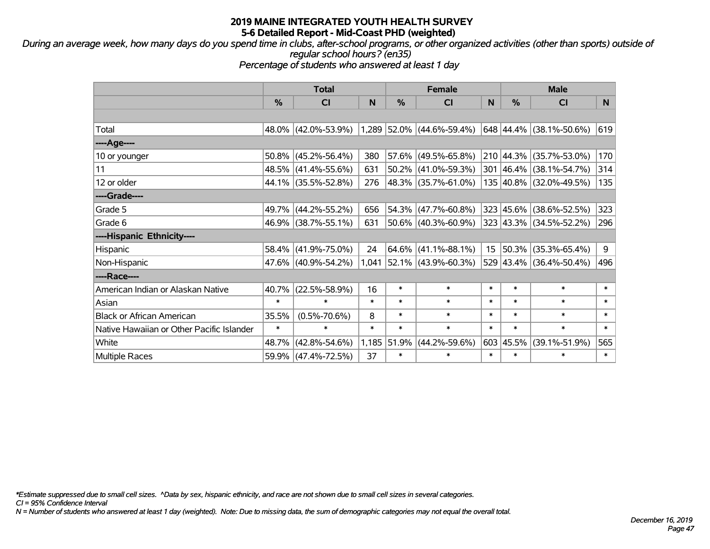*During an average week, how many days do you spend time in clubs, after-school programs, or other organized activities (other than sports) outside of regular school hours? (en35)*

*Percentage of students who answered at least 1 day*

|                                           | <b>Total</b> |                     | <b>Female</b> |        |                           | <b>Male</b>     |           |                         |        |
|-------------------------------------------|--------------|---------------------|---------------|--------|---------------------------|-----------------|-----------|-------------------------|--------|
|                                           | %            | <b>CI</b>           | N             | %      | <b>CI</b>                 | N               | %         | <b>CI</b>               | N.     |
|                                           |              |                     |               |        |                           |                 |           |                         |        |
| Total                                     |              | 48.0% (42.0%-53.9%) |               |        | 1,289 52.0% (44.6%-59.4%) |                 |           | 648 44.4% (38.1%-50.6%) | 619    |
| ----Age----                               |              |                     |               |        |                           |                 |           |                         |        |
| 10 or younger                             | 50.8%        | $(45.2\% - 56.4\%)$ | 380           | 57.6%  | $(49.5\% - 65.8\%)$       |                 | 210 44.3% | $(35.7\% - 53.0\%)$     | 170    |
| 11                                        |              | 48.5% (41.4%-55.6%) | 631           |        | $50.2\%$ (41.0%-59.3%)    |                 |           | 301 46.4% (38.1%-54.7%) | 314    |
| 12 or older                               |              | 44.1% (35.5%-52.8%) | 276           |        | 48.3% (35.7%-61.0%)       |                 |           | 135 40.8% (32.0%-49.5%) | 135    |
| ----Grade----                             |              |                     |               |        |                           |                 |           |                         |        |
| Grade 5                                   | 49.7%        | $(44.2\% - 55.2\%)$ | 656           | 54.3%  | $(47.7\% - 60.8\%)$       | 323             | 45.6%     | $(38.6\% - 52.5\%)$     | 323    |
| Grade 6                                   |              | 46.9% (38.7%-55.1%) | 631           |        | $50.6\%$ (40.3%-60.9%)    |                 |           | 323 43.3% (34.5%-52.2%) | 296    |
| ----Hispanic Ethnicity----                |              |                     |               |        |                           |                 |           |                         |        |
| Hispanic                                  | 58.4%        | $(41.9\% - 75.0\%)$ | 24            |        | $64.6\%$ (41.1%-88.1%)    | 15 <sub>1</sub> | 50.3%     | $(35.3\% - 65.4\%)$     | 9      |
| Non-Hispanic                              |              | 47.6% (40.9%-54.2%) | 1,041         |        | $ 52.1\% $ (43.9%-60.3%)  |                 |           | 529 43.4% (36.4%-50.4%) | 496    |
| ----Race----                              |              |                     |               |        |                           |                 |           |                         |        |
| American Indian or Alaskan Native         | 40.7%        | $(22.5\% - 58.9\%)$ | 16            | $\ast$ | $\ast$                    | $\ast$          | $\ast$    | $\ast$                  | $\ast$ |
| Asian                                     | $\ast$       | $\ast$              | $\ast$        | $\ast$ | $\ast$                    | $\ast$          | $\ast$    | $\ast$                  | $\ast$ |
| <b>Black or African American</b>          | 35.5%        | $(0.5\% - 70.6\%)$  | 8             | $\ast$ | $\ast$                    | $\ast$          | $\ast$    | $\ast$                  | $\ast$ |
| Native Hawaiian or Other Pacific Islander | $\ast$       | $\ast$              | $\ast$        | $\ast$ | $\ast$                    | $\ast$          | $\ast$    | $\ast$                  | $\ast$ |
| White                                     | 48.7%        | $(42.8\% - 54.6\%)$ | 1,185         | 51.9%  | $(44.2\% - 59.6\%)$       | 603             | 45.5%     | $(39.1\% - 51.9\%)$     | 565    |
| <b>Multiple Races</b>                     |              | 59.9% (47.4%-72.5%) | 37            | $\ast$ | $\ast$                    | $\ast$          | $\ast$    | $\ast$                  | $\ast$ |

*\*Estimate suppressed due to small cell sizes. ^Data by sex, hispanic ethnicity, and race are not shown due to small cell sizes in several categories.*

*CI = 95% Confidence Interval*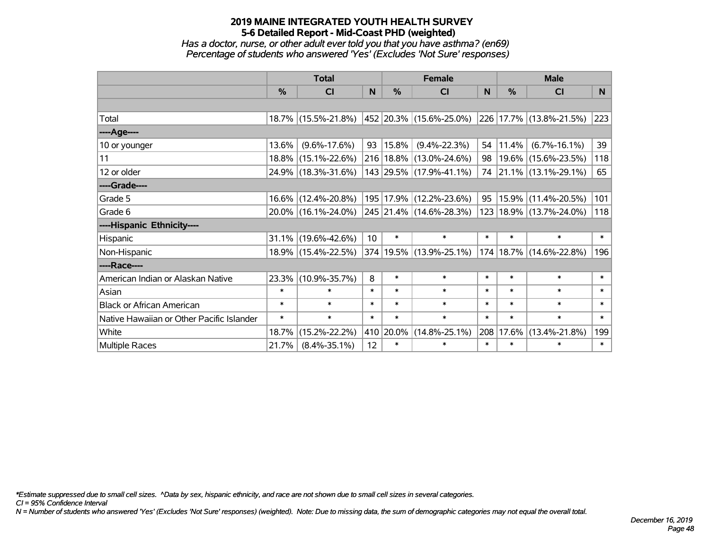*Has a doctor, nurse, or other adult ever told you that you have asthma? (en69) Percentage of students who answered 'Yes' (Excludes 'Not Sure' responses)*

|                                           | <b>Total</b>  |                     | <b>Female</b>   |            |                                 | <b>Male</b> |        |                         |        |
|-------------------------------------------|---------------|---------------------|-----------------|------------|---------------------------------|-------------|--------|-------------------------|--------|
|                                           | $\frac{0}{2}$ | CI                  | N               | $\%$       | <b>CI</b>                       | N           | $\%$   | CI                      | N      |
|                                           |               |                     |                 |            |                                 |             |        |                         |        |
| Total                                     |               | 18.7% (15.5%-21.8%) |                 |            | $ 452 20.3\% $ (15.6%-25.0%)    |             |        | 226 17.7% (13.8%-21.5%) | 223    |
| ----Age----                               |               |                     |                 |            |                                 |             |        |                         |        |
| 10 or younger                             | 13.6%         | $(9.6\% - 17.6\%)$  | 93              | $ 15.8\% $ | $(9.4\% - 22.3\%)$              | 54          | 11.4%  | $(6.7\% - 16.1\%)$      | 39     |
| 11                                        |               | 18.8% (15.1%-22.6%) |                 |            | 216 18.8% (13.0%-24.6%)         | 98          |        | 19.6% (15.6%-23.5%)     | 118    |
| 12 or older                               |               | 24.9% (18.3%-31.6%) |                 |            | $143$ 29.5% (17.9%-41.1%)       |             |        | 74 21.1% (13.1%-29.1%)  | 65     |
| ----Grade----                             |               |                     |                 |            |                                 |             |        |                         |        |
| Grade 5                                   |               | 16.6% (12.4%-20.8%) |                 |            | 195 17.9% (12.2%-23.6%)         | 95          | 15.9%  | $(11.4\% - 20.5\%)$     | 101    |
| Grade 6                                   |               | 20.0% (16.1%-24.0%) |                 |            | $ 245 21.4\% (14.6\% - 28.3\%)$ |             |        | 123 18.9% (13.7%-24.0%) | 118    |
| ----Hispanic Ethnicity----                |               |                     |                 |            |                                 |             |        |                         |        |
| Hispanic                                  | 31.1%         | $(19.6\% - 42.6\%)$ | 10 <sup>°</sup> | $\ast$     | $\ast$                          | $\ast$      | $\ast$ | $\ast$                  | $\ast$ |
| Non-Hispanic                              |               | 18.9% (15.4%-22.5%) |                 |            | 374 19.5% (13.9%-25.1%)         | 174         |        | 18.7% (14.6%-22.8%)     | 196    |
| ----Race----                              |               |                     |                 |            |                                 |             |        |                         |        |
| American Indian or Alaskan Native         |               | 23.3% (10.9%-35.7%) | 8               | $\ast$     | $\ast$                          | $\ast$      | $\ast$ | $\ast$                  | $\ast$ |
| Asian                                     | $\ast$        | $\ast$              | $\ast$          | $\ast$     | $\ast$                          | $\ast$      | $\ast$ | $\ast$                  | $\ast$ |
| <b>Black or African American</b>          | $\ast$        | $\ast$              | $\ast$          | $\ast$     | $\ast$                          | $\ast$      | $\ast$ | $\ast$                  | $\ast$ |
| Native Hawaiian or Other Pacific Islander | $\ast$        | $\ast$              | $\ast$          | $\ast$     | $\ast$                          | $\ast$      | $\ast$ | $\ast$                  | $\ast$ |
| White                                     | 18.7%         | $(15.2\% - 22.2\%)$ |                 | 410 20.0%  | $(14.8\% - 25.1\%)$             | 208         | 17.6%  | $(13.4\% - 21.8\%)$     | 199    |
| Multiple Races                            | 21.7%         | $(8.4\% - 35.1\%)$  | 12              | $\ast$     | $\ast$                          | $\ast$      | $\ast$ | $\ast$                  | $\ast$ |

*\*Estimate suppressed due to small cell sizes. ^Data by sex, hispanic ethnicity, and race are not shown due to small cell sizes in several categories.*

*CI = 95% Confidence Interval*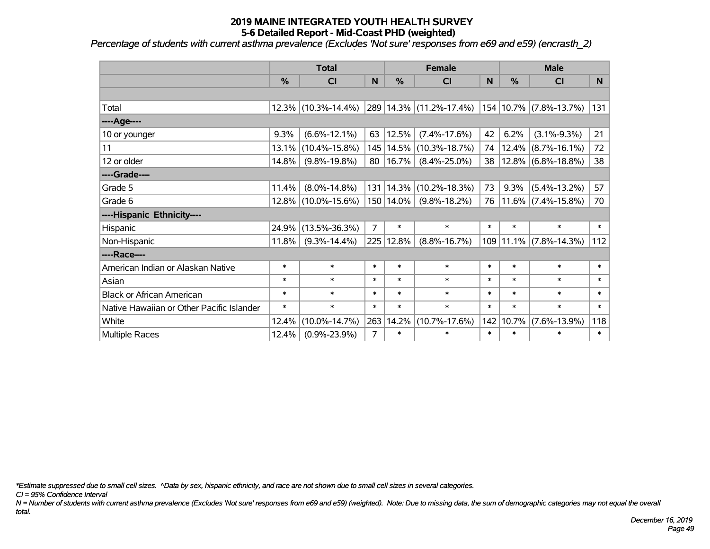*Percentage of students with current asthma prevalence (Excludes 'Not sure' responses from e69 and e59) (encrasth\_2)*

|                                           | <b>Total</b> |                     |        | <b>Female</b> |                         |        | <b>Male</b> |                            |        |
|-------------------------------------------|--------------|---------------------|--------|---------------|-------------------------|--------|-------------|----------------------------|--------|
|                                           | %            | <b>CI</b>           | N      | $\frac{0}{0}$ | <b>CI</b>               | N      | %           | <b>CI</b>                  | N      |
|                                           |              |                     |        |               |                         |        |             |                            |        |
| Total                                     |              | 12.3% (10.3%-14.4%) |        |               | 289 14.3% (11.2%-17.4%) |        |             | $154 10.7\% $ (7.8%-13.7%) | 131    |
| ----Age----                               |              |                     |        |               |                         |        |             |                            |        |
| 10 or younger                             | 9.3%         | $(6.6\% - 12.1\%)$  | 63     | 12.5%         | $(7.4\% - 17.6\%)$      | 42     | 6.2%        | $(3.1\% - 9.3\%)$          | 21     |
| 11                                        | 13.1%        | $(10.4\% - 15.8\%)$ |        | 145 14.5%     | $(10.3\% - 18.7\%)$     | 74     | $12.4\%$    | $(8.7\% - 16.1\%)$         | 72     |
| 12 or older                               | 14.8%        | $(9.8\% - 19.8\%)$  | 80     | 16.7%         | $(8.4\% - 25.0\%)$      | 38     |             | $ 12.8\% $ (6.8%-18.8%)    | 38     |
| ----Grade----                             |              |                     |        |               |                         |        |             |                            |        |
| Grade 5                                   | 11.4%        | $(8.0\% - 14.8\%)$  |        | 131 14.3%     | $(10.2\% - 18.3\%)$     | 73     | 9.3%        | $(5.4\% - 13.2\%)$         | 57     |
| Grade 6                                   |              | 12.8% (10.0%-15.6%) |        | 150 14.0%     | $(9.8\% - 18.2\%)$      | 76     |             | $11.6\%$ (7.4%-15.8%)      | 70     |
| ----Hispanic Ethnicity----                |              |                     |        |               |                         |        |             |                            |        |
| Hispanic                                  | 24.9%        | $(13.5\% - 36.3\%)$ | 7      | $\ast$        | $\ast$                  | $\ast$ | $\ast$      | $\ast$                     | $\ast$ |
| Non-Hispanic                              | 11.8%        | $(9.3\% - 14.4\%)$  |        | 225 12.8%     | $(8.8\% - 16.7\%)$      |        |             | 109 11.1% (7.8%-14.3%)     | 112    |
| ----Race----                              |              |                     |        |               |                         |        |             |                            |        |
| American Indian or Alaskan Native         | $\ast$       | $\ast$              | $\ast$ | $\ast$        | $\ast$                  | $\ast$ | $\ast$      | $\ast$                     | $\ast$ |
| Asian                                     | $\ast$       | $\ast$              | $\ast$ | $\ast$        | $\ast$                  | $\ast$ | $\ast$      | $\ast$                     | $\ast$ |
| <b>Black or African American</b>          | $\ast$       | $\ast$              | $\ast$ | $\ast$        | $\ast$                  | $\ast$ | $\ast$      | $\ast$                     | $\ast$ |
| Native Hawaiian or Other Pacific Islander | $\ast$       | $\ast$              | $\ast$ | $\ast$        | $\ast$                  | $\ast$ | $\ast$      | $\ast$                     | $\ast$ |
| White                                     | 12.4%        | $(10.0\% - 14.7\%)$ | 263    | 14.2%         | $(10.7\% - 17.6\%)$     | 142    | 10.7%       | $(7.6\% - 13.9\%)$         | 118    |
| <b>Multiple Races</b>                     | 12.4%        | $(0.9\% - 23.9\%)$  | 7      | $\ast$        | $\ast$                  | $\ast$ | $\ast$      | $\ast$                     | $\ast$ |

*\*Estimate suppressed due to small cell sizes. ^Data by sex, hispanic ethnicity, and race are not shown due to small cell sizes in several categories.*

*CI = 95% Confidence Interval*

*N = Number of students with current asthma prevalence (Excludes 'Not sure' responses from e69 and e59) (weighted). Note: Due to missing data, the sum of demographic categories may not equal the overall total.*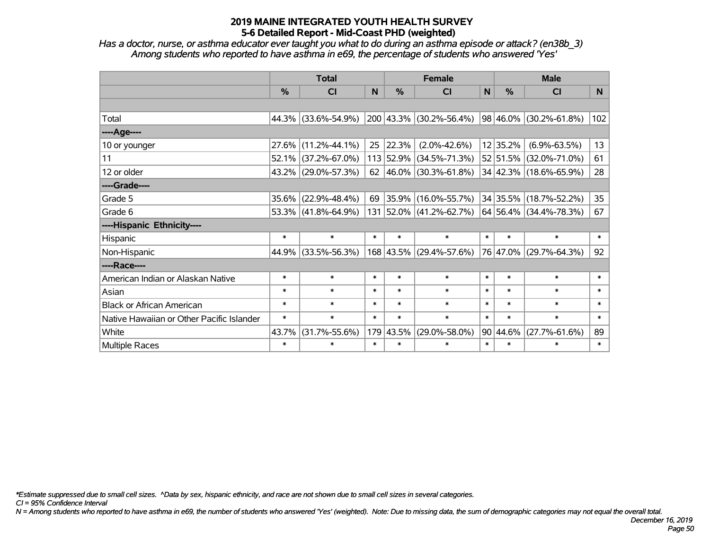*Has a doctor, nurse, or asthma educator ever taught you what to do during an asthma episode or attack? (en38b\_3) Among students who reported to have asthma in e69, the percentage of students who answered 'Yes'*

|                                           | <b>Total</b>  |                     |        |           | <b>Female</b>              |        | <b>Male</b>   |                        |                 |
|-------------------------------------------|---------------|---------------------|--------|-----------|----------------------------|--------|---------------|------------------------|-----------------|
|                                           | $\frac{0}{0}$ | CI                  | N      | $\%$      | <b>CI</b>                  | N      | %             | <b>CI</b>              | N <sub>1</sub>  |
|                                           |               |                     |        |           |                            |        |               |                        |                 |
| Total                                     |               | 44.3% (33.6%-54.9%) |        |           | 200 43.3% (30.2%-56.4%)    |        | $ 98 46.0\% $ | $(30.2\% - 61.8\%)$    | 102             |
| ----Age----                               |               |                     |        |           |                            |        |               |                        |                 |
| 10 or younger                             | 27.6%         | $(11.2\% - 44.1\%)$ | 25     | 22.3%     | $(2.0\% - 42.6\%)$         |        | 12 35.2%      | $(6.9\% - 63.5\%)$     | 13              |
| 11                                        | 52.1%         | $(37.2\% - 67.0\%)$ |        | 113 52.9% | $(34.5\% - 71.3\%)$        |        | 52 51.5%      | $(32.0\% - 71.0\%)$    | 61              |
| 12 or older                               |               | 43.2% (29.0%-57.3%) |        |           | 62   46.0%   (30.3%-61.8%) |        |               | 34 42.3% (18.6%-65.9%) | 28              |
| ----Grade----                             |               |                     |        |           |                            |        |               |                        |                 |
| Grade 5                                   | 35.6%         | $(22.9\% - 48.4\%)$ | 69     | 35.9%     | $(16.0\% - 55.7\%)$        |        | 34 35.5%      | $(18.7\% - 52.2\%)$    | 35 <sub>2</sub> |
| Grade 6                                   |               | 53.3% (41.8%-64.9%) |        |           | 131 52.0% (41.2%-62.7%)    |        |               | 64 56.4% (34.4%-78.3%) | 67              |
| ----Hispanic Ethnicity----                |               |                     |        |           |                            |        |               |                        |                 |
| Hispanic                                  | $\ast$        | $\ast$              | $\ast$ | $\ast$    | $\ast$                     | $\ast$ | $\ast$        | $\ast$                 | $\ast$          |
| Non-Hispanic                              | 44.9%         | $(33.5\% - 56.3\%)$ |        |           | 168 43.5% (29.4%-57.6%)    |        | 76 47.0%      | $(29.7\% - 64.3\%)$    | 92              |
| ----Race----                              |               |                     |        |           |                            |        |               |                        |                 |
| American Indian or Alaskan Native         | $\ast$        | $\ast$              | $\ast$ | $\ast$    | $\ast$                     | $\ast$ | $\ast$        | $\ast$                 | $\ast$          |
| Asian                                     | $\ast$        | $\ast$              | $\ast$ | $\ast$    | $\ast$                     | $\ast$ | $\ast$        | $\ast$                 | $\ast$          |
| <b>Black or African American</b>          | $\ast$        | $\ast$              | $\ast$ | $\ast$    | $\ast$                     | $\ast$ | $\ast$        | $\ast$                 | $\ast$          |
| Native Hawaiian or Other Pacific Islander | $\ast$        | $\ast$              | $\ast$ | $\ast$    | $\ast$                     | $\ast$ | $\ast$        | $\ast$                 | $\ast$          |
| White                                     | 43.7%         | $(31.7\% - 55.6\%)$ | 179    | 43.5%     | $(29.0\% - 58.0\%)$        |        | 90 44.6%      | $(27.7\% - 61.6\%)$    | 89              |
| <b>Multiple Races</b>                     | $\ast$        | $\ast$              | $\ast$ | $\ast$    | $\ast$                     | $\ast$ | $\ast$        | $\ast$                 | $\ast$          |

*\*Estimate suppressed due to small cell sizes. ^Data by sex, hispanic ethnicity, and race are not shown due to small cell sizes in several categories.*

*CI = 95% Confidence Interval*

*N = Among students who reported to have asthma in e69, the number of students who answered 'Yes' (weighted). Note: Due to missing data, the sum of demographic categories may not equal the overall total.*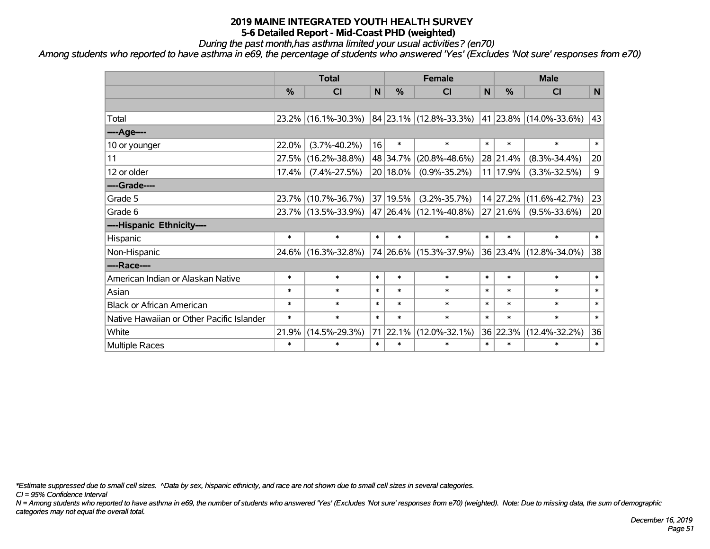*During the past month,has asthma limited your usual activities? (en70)*

*Among students who reported to have asthma in e69, the percentage of students who answered 'Yes' (Excludes 'Not sure' responses from e70)*

|                                           | <b>Total</b> |                     |        |               | <b>Female</b>                                           | <b>Male</b> |          |                        |        |
|-------------------------------------------|--------------|---------------------|--------|---------------|---------------------------------------------------------|-------------|----------|------------------------|--------|
|                                           | %            | <b>CI</b>           | N      | $\frac{0}{0}$ | <b>CI</b>                                               | N           | %        | <b>CI</b>              | N      |
|                                           |              |                     |        |               |                                                         |             |          |                        |        |
| Total                                     |              | 23.2% (16.1%-30.3%) |        |               | $ 84 23.1\% $ (12.8%-33.3%) $ 41 23.8\% $ (14.0%-33.6%) |             |          |                        | 43     |
| ----Age----                               |              |                     |        |               |                                                         |             |          |                        |        |
| 10 or younger                             | 22.0%        | $(3.7\% - 40.2\%)$  | 16     | $\ast$        | $\ast$                                                  | $\ast$      | $\ast$   | $\ast$                 | $\ast$ |
| 11                                        | 27.5%        | $(16.2\% - 38.8\%)$ |        | 48 34.7%      | $(20.8\% - 48.6\%)$                                     |             | 28 21.4% | $(8.3\% - 34.4\%)$     | 20     |
| 12 or older                               | 17.4%        | $(7.4\% - 27.5\%)$  |        | 20 18.0%      | $(0.9\% - 35.2\%)$                                      |             | 11 17.9% | $(3.3\% - 32.5\%)$     | 9      |
| ----Grade----                             |              |                     |        |               |                                                         |             |          |                        |        |
| Grade 5                                   | 23.7%        | $(10.7\% - 36.7\%)$ |        | 37 19.5%      | $(3.2\% - 35.7\%)$                                      |             | 14 27.2% | $(11.6\% - 42.7\%)$    | 23     |
| Grade 6                                   |              | 23.7% (13.5%-33.9%) |        |               | 47   26.4%   (12.1%-40.8%)                              |             | 27 21.6% | $(9.5\% - 33.6\%)$     | 20     |
| ----Hispanic Ethnicity----                |              |                     |        |               |                                                         |             |          |                        |        |
| Hispanic                                  | $\ast$       | $\ast$              | $\ast$ | $\ast$        | $\ast$                                                  | $\ast$      | $\ast$   | $\ast$                 | $\ast$ |
| Non-Hispanic                              |              | 24.6% (16.3%-32.8%) |        |               | 74 26.6% (15.3%-37.9%)                                  |             |          | 36 23.4% (12.8%-34.0%) | 38     |
| ----Race----                              |              |                     |        |               |                                                         |             |          |                        |        |
| American Indian or Alaskan Native         | $\ast$       | $\ast$              | $\ast$ | $\ast$        | $\ast$                                                  | $\ast$      | $\ast$   | $\ast$                 | $\ast$ |
| Asian                                     | $\ast$       | $\ast$              | $\ast$ | $\ast$        | $\ast$                                                  | $\ast$      | $\ast$   | $\ast$                 | $\ast$ |
| <b>Black or African American</b>          | $\ast$       | $\ast$              | $\ast$ | $\ast$        | $\ast$                                                  | $\ast$      | $\ast$   | $\ast$                 | $\ast$ |
| Native Hawaiian or Other Pacific Islander | $\ast$       | $\ast$              | $\ast$ | $\ast$        | $\ast$                                                  | $\ast$      | $\ast$   | $\ast$                 | $\ast$ |
| White                                     | 21.9%        | $(14.5\% - 29.3\%)$ |        | 71 22.1%      | $(12.0\% - 32.1\%)$                                     |             | 36 22.3% | $(12.4\% - 32.2\%)$    | 36     |
| Multiple Races                            | $\ast$       | $\ast$              | $\ast$ | $\ast$        | $\ast$                                                  | $\ast$      | $\ast$   | $\ast$                 | $\ast$ |

*\*Estimate suppressed due to small cell sizes. ^Data by sex, hispanic ethnicity, and race are not shown due to small cell sizes in several categories.*

*CI = 95% Confidence Interval*

*N = Among students who reported to have asthma in e69, the number of students who answered 'Yes' (Excludes 'Not sure' responses from e70) (weighted). Note: Due to missing data, the sum of demographic categories may not equal the overall total.*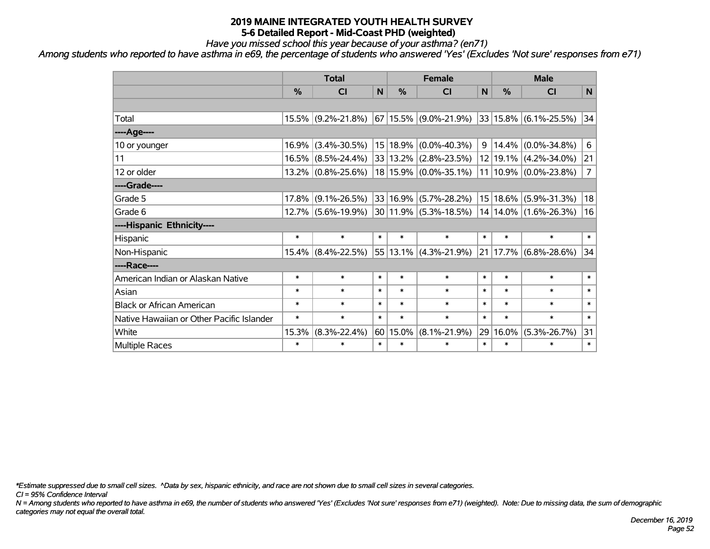*Have you missed school this year because of your asthma? (en71)*

*Among students who reported to have asthma in e69, the percentage of students who answered 'Yes' (Excludes 'Not sure' responses from e71)*

|                                           | <b>Total</b> |                    |        | <b>Female</b> |                           |                 | <b>Male</b>  |                    |                |  |
|-------------------------------------------|--------------|--------------------|--------|---------------|---------------------------|-----------------|--------------|--------------------|----------------|--|
|                                           | %            | CI                 | N      | %             | <b>CI</b>                 | N               | %            | <b>CI</b>          | N              |  |
|                                           |              |                    |        |               |                           |                 |              |                    |                |  |
| Total                                     |              | 15.5% (9.2%-21.8%) |        |               | $67 15.5\% $ (9.0%-21.9%) |                 | 33 15.8%     | $(6.1\% - 25.5\%)$ | 34             |  |
| ---- Age----                              |              |                    |        |               |                           |                 |              |                    |                |  |
| 10 or younger                             | 16.9%        | $(3.4\% - 30.5\%)$ |        | 15 18.9%      | $(0.0\% - 40.3\%)$        | 9               | 14.4%        | $(0.0\% - 34.8\%)$ | 6              |  |
| 11                                        |              | 16.5% (8.5%-24.4%) |        |               | 33 13.2% (2.8%-23.5%)     |                 | 12 19.1%     | $(4.2\% - 34.0\%)$ | 21             |  |
| 12 or older                               |              | 13.2% (0.8%-25.6%) |        |               | 18 15.9% (0.0%-35.1%)     |                 | $11 10.9\% $ | $(0.0\% - 23.8\%)$ | $\overline{7}$ |  |
| ----Grade----                             |              |                    |        |               |                           |                 |              |                    |                |  |
| Grade 5                                   | 17.8%        | $(9.1\% - 26.5\%)$ |        | 33 16.9%      | $(5.7\% - 28.2\%)$        | 15 <sup>1</sup> | 18.6%        | $(5.9\% - 31.3\%)$ | 18             |  |
| Grade 6                                   |              | 12.7% (5.6%-19.9%) |        |               | $30 11.9\% $ (5.3%-18.5%) |                 | $14 14.0\% $ | $(1.6\% - 26.3\%)$ | 16             |  |
| ----Hispanic Ethnicity----                |              |                    |        |               |                           |                 |              |                    |                |  |
| Hispanic                                  | $\ast$       | $\ast$             | $\ast$ | $\ast$        | $\ast$                    | $\ast$          | $\ast$       | $\ast$             | $\ast$         |  |
| Non-Hispanic                              |              | 15.4% (8.4%-22.5%) |        |               | 55 13.1% (4.3%-21.9%)     | 21              | 17.7%        | $(6.8\% - 28.6\%)$ | 34             |  |
| ----Race----                              |              |                    |        |               |                           |                 |              |                    |                |  |
| American Indian or Alaskan Native         | $\ast$       | $\ast$             | $\ast$ | $\ast$        | $\ast$                    | $\ast$          | $\ast$       | $\ast$             | $\ast$         |  |
| Asian                                     | $\ast$       | $\ast$             | $\ast$ | $\ast$        | $\ast$                    | $\ast$          | $\ast$       | $\ast$             | $\ast$         |  |
| <b>Black or African American</b>          | $\ast$       | $\ast$             | $\ast$ | $\ast$        | $\ast$                    | $\ast$          | $\ast$       | $\ast$             | $\ast$         |  |
| Native Hawaiian or Other Pacific Islander | $\ast$       | $\ast$             | $\ast$ | $\ast$        | $\ast$                    | $\ast$          | $\ast$       | $\ast$             | $\ast$         |  |
| White                                     | 15.3%        | $(8.3\% - 22.4\%)$ | 60     | 15.0%         | $(8.1\% - 21.9\%)$        | 29              | 16.0%        | $(5.3\% - 26.7\%)$ | 31             |  |
| Multiple Races                            | $\ast$       | $\ast$             | $\ast$ | $\ast$        | $\ast$                    | $\ast$          | $\ast$       | $\ast$             | $\ast$         |  |

*\*Estimate suppressed due to small cell sizes. ^Data by sex, hispanic ethnicity, and race are not shown due to small cell sizes in several categories.*

*CI = 95% Confidence Interval*

*N = Among students who reported to have asthma in e69, the number of students who answered 'Yes' (Excludes 'Not sure' responses from e71) (weighted). Note: Due to missing data, the sum of demographic categories may not equal the overall total.*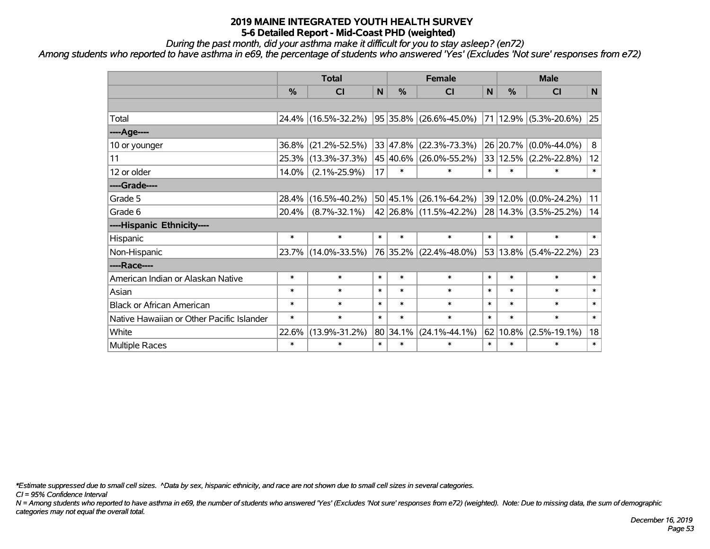*During the past month, did your asthma make it difficult for you to stay asleep? (en72)*

*Among students who reported to have asthma in e69, the percentage of students who answered 'Yes' (Excludes 'Not sure' responses from e72)*

|                                           | <b>Total</b> |                     |              | <b>Female</b> |                        |        | <b>Male</b> |                       |        |  |
|-------------------------------------------|--------------|---------------------|--------------|---------------|------------------------|--------|-------------|-----------------------|--------|--|
|                                           | $\%$         | <b>CI</b>           | $\mathsf{N}$ | $\frac{0}{0}$ | CI                     | N      | $\%$        | <b>CI</b>             | N      |  |
|                                           |              |                     |              |               |                        |        |             |                       |        |  |
| Total                                     | 24.4%        | $(16.5\% - 32.2\%)$ |              |               | 95 35.8% (26.6%-45.0%) |        |             | 71 12.9% (5.3%-20.6%) | 25     |  |
| ---- Age----                              |              |                     |              |               |                        |        |             |                       |        |  |
| 10 or younger                             | 36.8%        | $(21.2\% - 52.5\%)$ |              | 33 47.8%      | $(22.3\% - 73.3\%)$    |        | 26 20.7%    | $(0.0\% - 44.0\%)$    | 8      |  |
| 11                                        | 25.3%        | $(13.3\% - 37.3\%)$ |              | 45 40.6%      | $(26.0\% - 55.2\%)$    |        | 33 12.5%    | $(2.2\% - 22.8\%)$    | 12     |  |
| 12 or older                               | 14.0%        | $(2.1\% - 25.9\%)$  | 17           | $\ast$        | $\ast$                 | $\ast$ | $\ast$      | *                     | $\ast$ |  |
| ----Grade----                             |              |                     |              |               |                        |        |             |                       |        |  |
| Grade 5                                   | 28.4%        | $(16.5\% - 40.2\%)$ |              | 50 45.1%      | $(26.1\% - 64.2\%)$    |        | 39 12.0%    | $(0.0\% - 24.2\%)$    | 11     |  |
| Grade 6                                   | 20.4%        | $(8.7\% - 32.1\%)$  |              |               | 42 26.8% (11.5%-42.2%) |        |             | 28 14.3% (3.5%-25.2%) | 14     |  |
| ----Hispanic Ethnicity----                |              |                     |              |               |                        |        |             |                       |        |  |
| Hispanic                                  | $\ast$       | $\ast$              | $\ast$       | $\ast$        | $\ast$                 | $\ast$ | $\ast$      | $\ast$                | $\ast$ |  |
| Non-Hispanic                              | 23.7%        | $(14.0\% - 33.5\%)$ |              | 76 35.2%      | $(22.4\% - 48.0\%)$    |        | 53 13.8%    | $(5.4\% - 22.2\%)$    | 23     |  |
| ----Race----                              |              |                     |              |               |                        |        |             |                       |        |  |
| American Indian or Alaskan Native         | $\ast$       | $\ast$              | $\ast$       | $\ast$        | $\ast$                 | $\ast$ | $\ast$      | $\ast$                | $\ast$ |  |
| Asian                                     | $\ast$       | $\ast$              | $\ast$       | $\ast$        | $\ast$                 | $\ast$ | $\ast$      | $\ast$                | $\ast$ |  |
| <b>Black or African American</b>          | $\ast$       | $\ast$              | $\ast$       | $\ast$        | $\ast$                 | $\ast$ | $\ast$      | $\ast$                | $\ast$ |  |
| Native Hawaiian or Other Pacific Islander | $\ast$       | $\ast$              | $\ast$       | $\ast$        | $\ast$                 | $\ast$ | $\ast$      | $\ast$                | $\ast$ |  |
| White                                     | 22.6%        | $(13.9\% - 31.2\%)$ |              | 80 34.1%      | $(24.1\% - 44.1\%)$    |        | 62 10.8%    | $(2.5\% - 19.1\%)$    | 18     |  |
| Multiple Races                            | $\ast$       | $\ast$              | $\ast$       | $\ast$        | $\ast$                 | $\ast$ | $\ast$      | $\ast$                | $\ast$ |  |

*\*Estimate suppressed due to small cell sizes. ^Data by sex, hispanic ethnicity, and race are not shown due to small cell sizes in several categories.*

*CI = 95% Confidence Interval*

*N = Among students who reported to have asthma in e69, the number of students who answered 'Yes' (Excludes 'Not sure' responses from e72) (weighted). Note: Due to missing data, the sum of demographic categories may not equal the overall total.*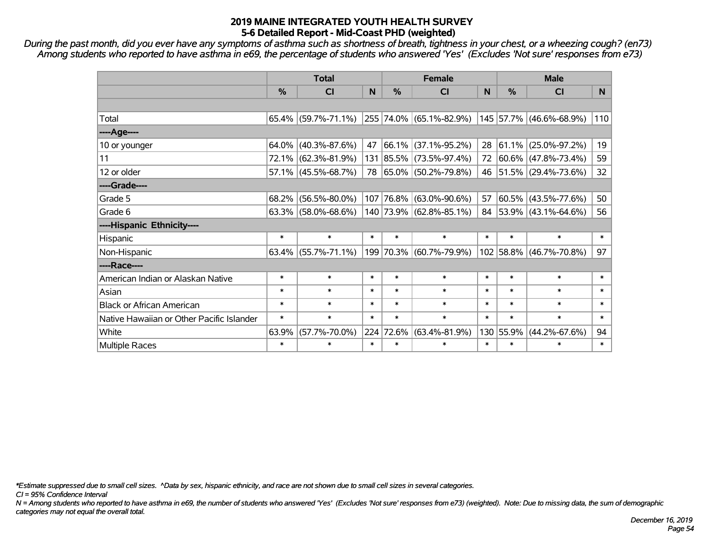*During the past month, did you ever have any symptoms of asthma such as shortness of breath, tightness in your chest, or a wheezing cough? (en73) Among students who reported to have asthma in e69, the percentage of students who answered 'Yes' (Excludes 'Not sure' responses from e73)*

|                                           | <b>Total</b> |                        |        | <b>Female</b> | <b>Male</b>              |        |               |                          |        |
|-------------------------------------------|--------------|------------------------|--------|---------------|--------------------------|--------|---------------|--------------------------|--------|
|                                           | %            | <b>CI</b>              | N      | $\frac{9}{6}$ | <b>CI</b>                | N      | $\frac{0}{0}$ | <b>CI</b>                | N.     |
|                                           |              |                        |        |               |                          |        |               |                          |        |
| Total                                     |              | $65.4\%$ (59.7%-71.1%) |        |               | 255 74.0% (65.1%-82.9%)  |        |               | 145 57.7% (46.6%-68.9%)  | 110    |
| ----Age----                               |              |                        |        |               |                          |        |               |                          |        |
| 10 or younger                             |              | $64.0\%$ (40.3%-87.6%) | 47     | 66.1%         | $(37.1\% - 95.2\%)$      | 28     | $ 61.1\% $    | $(25.0\% - 97.2\%)$      | 19     |
| 11                                        |              | 72.1% (62.3%-81.9%)    |        |               | 131 85.5% (73.5%-97.4%)  | 72     |               | $ 60.6\% $ (47.8%-73.4%) | 59     |
| 12 or older                               |              | $57.1\%$ (45.5%-68.7%) | 78     |               | $ 65.0\% $ (50.2%-79.8%) |        |               | 46 51.5% (29.4%-73.6%)   | 32     |
| ----Grade----                             |              |                        |        |               |                          |        |               |                          |        |
| Grade 5                                   | $68.2\%$     | $(56.5\% - 80.0\%)$    |        |               | 107 76.8% (63.0%-90.6%)  | 57     | 60.5%         | $(43.5\% - 77.6\%)$      | 50     |
| Grade 6                                   |              | $63.3\%$ (58.0%-68.6%) |        |               | 140 73.9% (62.8%-85.1%)  |        |               | 84 53.9% (43.1%-64.6%)   | 56     |
| ----Hispanic Ethnicity----                |              |                        |        |               |                          |        |               |                          |        |
| Hispanic                                  | $\ast$       | $\ast$                 | $\ast$ | $\ast$        | $\ast$                   | $\ast$ | $\ast$        | $\ast$                   | $\ast$ |
| Non-Hispanic                              |              | $63.4\%$ (55.7%-71.1%) |        |               | 199 70.3% (60.7%-79.9%)  |        | 102 58.8%     | $(46.7\% - 70.8\%)$      | 97     |
| ----Race----                              |              |                        |        |               |                          |        |               |                          |        |
| American Indian or Alaskan Native         | $\ast$       | $\ast$                 | $\ast$ | $\ast$        | $\ast$                   | $\ast$ | $\ast$        | $\ast$                   | $\ast$ |
| Asian                                     | $\ast$       | $\ast$                 | $\ast$ | $\ast$        | $\ast$                   | $\ast$ | $\ast$        | $\ast$                   | $\ast$ |
| <b>Black or African American</b>          | $\ast$       | $\ast$                 | $\ast$ | $\ast$        | $\ast$                   | $\ast$ | $\ast$        | $\ast$                   | $\ast$ |
| Native Hawaiian or Other Pacific Islander | $\ast$       | $\ast$                 | $\ast$ | $\ast$        | $\ast$                   | $\ast$ | $\ast$        | $\ast$                   | $\ast$ |
| White                                     | 63.9%        | $(57.7\% - 70.0\%)$    |        | 224 72.6%     | $(63.4\% - 81.9\%)$      | 130    | 55.9%         | $(44.2\% - 67.6\%)$      | 94     |
| <b>Multiple Races</b>                     | $\ast$       | $\ast$                 | $\ast$ | $\ast$        | $\ast$                   | $\ast$ | $\ast$        | $\ast$                   | $\ast$ |

*\*Estimate suppressed due to small cell sizes. ^Data by sex, hispanic ethnicity, and race are not shown due to small cell sizes in several categories.*

*CI = 95% Confidence Interval*

*N = Among students who reported to have asthma in e69, the number of students who answered 'Yes' (Excludes 'Not sure' responses from e73) (weighted). Note: Due to missing data, the sum of demographic categories may not equal the overall total.*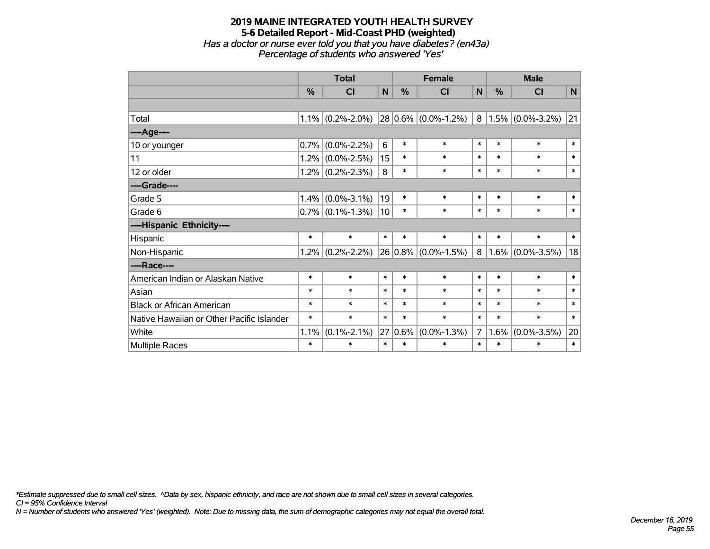#### **2019 MAINE INTEGRATED YOUTH HEALTH SURVEY 5-6 Detailed Report - Mid-Coast PHD (weighted)** *Has a doctor or nurse ever told you that you have diabetes? (en43a) Percentage of students who answered 'Yes'*

|                                           | <b>Total</b> |                     |                 | <b>Female</b> |                          |        | <b>Male</b> |                        |        |  |
|-------------------------------------------|--------------|---------------------|-----------------|---------------|--------------------------|--------|-------------|------------------------|--------|--|
|                                           | $\%$         | C <sub>l</sub>      | $\mathbf N$     | %             | <b>CI</b>                | N      | $\%$        | <b>CI</b>              | N      |  |
|                                           |              |                     |                 |               |                          |        |             |                        |        |  |
| Total                                     |              | $1.1\%$ (0.2%-2.0%) |                 |               | $ 28 0.6\% $ (0.0%-1.2%) |        |             | $8 1.5\% $ (0.0%-3.2%) | 21     |  |
| ----Age----                               |              |                     |                 |               |                          |        |             |                        |        |  |
| 10 or younger                             | 0.7%         | $(0.0\% - 2.2\%)$   | 6               | $\ast$        | $\ast$                   | $\ast$ | $\ast$      | $\ast$                 | $\ast$ |  |
| 11                                        |              | $1.2\%$ (0.0%-2.5%) | 15              | $\ast$        | $\ast$                   | $\ast$ | $\ast$      | $\ast$                 | $\ast$ |  |
| 12 or older                               |              | $1.2\%$ (0.2%-2.3%) | 8               | $\ast$        | $\ast$                   | $\ast$ | $\ast$      | $\ast$                 | $\ast$ |  |
| ----Grade----                             |              |                     |                 |               |                          |        |             |                        |        |  |
| Grade 5                                   | 1.4%         | $(0.0\% - 3.1\%)$   | 19              | $\ast$        | $\ast$                   | $\ast$ | $\ast$      | $\ast$                 | $\ast$ |  |
| Grade 6                                   |              | $0.7\%$ (0.1%-1.3%) | 10 <sup>1</sup> | $\ast$        | $\ast$                   | $\ast$ | $\ast$      | $\ast$                 | $\ast$ |  |
| ----Hispanic Ethnicity----                |              |                     |                 |               |                          |        |             |                        |        |  |
| Hispanic                                  | $\ast$       | $\ast$              | $\ast$          | $\ast$        | $\ast$                   | $\ast$ | $\ast$      | $\ast$                 | $\ast$ |  |
| Non-Hispanic                              |              | $1.2\%$ (0.2%-2.2%) |                 | $26 0.8\% $   | $(0.0\% - 1.5\%)$        | 8      |             | $1.6\%$ (0.0%-3.5%)    | 18     |  |
| ----Race----                              |              |                     |                 |               |                          |        |             |                        |        |  |
| American Indian or Alaskan Native         | $\ast$       | $\ast$              | $\ast$          | $\ast$        | $\ast$                   | $\ast$ | $\ast$      | $\ast$                 | $\ast$ |  |
| Asian                                     | $\ast$       | $\ast$              | $\ast$          | $\ast$        | *                        | $\ast$ | $\ast$      | $\ast$                 | $\ast$ |  |
| <b>Black or African American</b>          | $\ast$       | $\ast$              | $\ast$          | $\ast$        | $\ast$                   | $\ast$ | $\ast$      | $\ast$                 | $\ast$ |  |
| Native Hawaiian or Other Pacific Islander | $\ast$       | $\ast$              | $\ast$          | $\ast$        | $\ast$                   | $\ast$ | $\ast$      | $\ast$                 | $\ast$ |  |
| White                                     | 1.1%         | $(0.1\% - 2.1\%)$   | 27              | 0.6%          | $(0.0\% - 1.3\%)$        | 7      | $1.6\%$     | $(0.0\% - 3.5\%)$      | 20     |  |
| Multiple Races                            | $\ast$       | $\ast$              | $\ast$          | $\ast$        | *                        | $\ast$ | $\ast$      | $\ast$                 | $\ast$ |  |

*\*Estimate suppressed due to small cell sizes. ^Data by sex, hispanic ethnicity, and race are not shown due to small cell sizes in several categories.*

*CI = 95% Confidence Interval*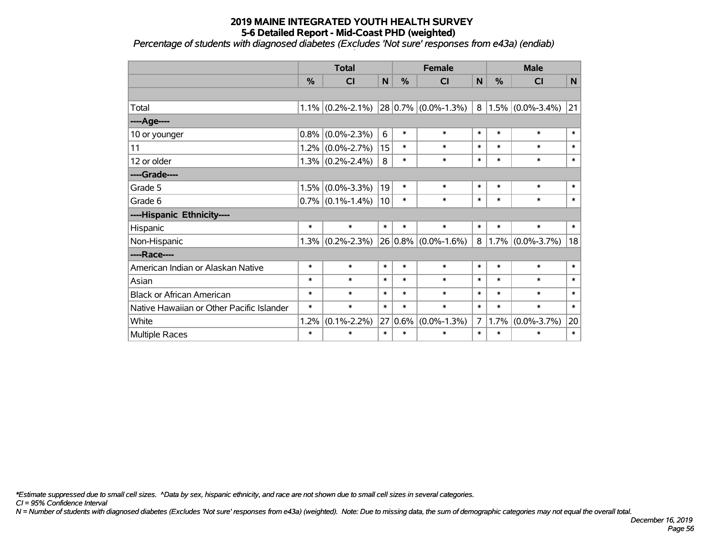*Percentage of students with diagnosed diabetes (Excludes 'Not sure' responses from e43a) (endiab)*

|                                           | <b>Total</b> |                     |             | <b>Female</b> |                         |                | <b>Male</b> |                     |        |  |
|-------------------------------------------|--------------|---------------------|-------------|---------------|-------------------------|----------------|-------------|---------------------|--------|--|
|                                           | %            | <b>CI</b>           | $\mathbf N$ | %             | <b>CI</b>               | N              | $\%$        | <b>CI</b>           | N      |  |
|                                           |              |                     |             |               |                         |                |             |                     |        |  |
| Total                                     |              | $1.1\%$ (0.2%-2.1%) |             |               | $28 0.7\% $ (0.0%-1.3%) | 8              |             | $1.5\%$ (0.0%-3.4%) | 21     |  |
| ----Age----                               |              |                     |             |               |                         |                |             |                     |        |  |
| 10 or younger                             | 0.8%         | $(0.0\% - 2.3\%)$   | 6           | $\ast$        | $\ast$                  | $\ast$         | $\ast$      | $\ast$              | $\ast$ |  |
| 11                                        |              | $1.2\%$ (0.0%-2.7%) | 15          | $\ast$        | $\ast$                  | $\ast$         | $\ast$      | $\ast$              | $\ast$ |  |
| 12 or older                               |              | $1.3\%$ (0.2%-2.4%) | 8           | $\ast$        | $\ast$                  | $\ast$         | $\ast$      | $\ast$              | $\ast$ |  |
| ----Grade----                             |              |                     |             |               |                         |                |             |                     |        |  |
| Grade 5                                   | 1.5%         | $(0.0\% - 3.3\%)$   | 19          | $\ast$        | $\ast$                  | $\ast$         | $\ast$      | $\ast$              | $\ast$ |  |
| Grade 6                                   |              | $0.7\%$ (0.1%-1.4%) | 10          | $\ast$        | $\ast$                  | $\ast$         | $\ast$      | $\ast$              | $\ast$ |  |
| ----Hispanic Ethnicity----                |              |                     |             |               |                         |                |             |                     |        |  |
| Hispanic                                  | $\ast$       | $\ast$              | $\ast$      | $\ast$        | $\ast$                  | $\ast$         | $\ast$      | $\ast$              | $\ast$ |  |
| Non-Hispanic                              | 1.3%         | $(0.2\% - 2.3\%)$   |             |               | $26 0.8\% $ (0.0%-1.6%) | 8              |             | $1.7\%$ (0.0%-3.7%) | 18     |  |
| ----Race----                              |              |                     |             |               |                         |                |             |                     |        |  |
| American Indian or Alaskan Native         | $\ast$       | $\ast$              | $\ast$      | $\ast$        | $\ast$                  | $\ast$         | $\ast$      | $\ast$              | $\ast$ |  |
| Asian                                     | $\ast$       | $\ast$              | $\ast$      | $\ast$        | $\ast$                  | $\ast$         | $\ast$      | $\ast$              | $\ast$ |  |
| <b>Black or African American</b>          | $\ast$       | $\ast$              | $\ast$      | $\ast$        | $\ast$                  | $\ast$         | $\ast$      | $\ast$              | $\ast$ |  |
| Native Hawaiian or Other Pacific Islander | $\ast$       | $\ast$              | $\ast$      | $\ast$        | $\ast$                  | $\ast$         | $\ast$      | $\ast$              | $\ast$ |  |
| White                                     | 1.2%         | $(0.1\% - 2.2\%)$   | 27          | 0.6%          | $(0.0\% - 1.3\%)$       | $\overline{7}$ | 1.7%        | $(0.0\% - 3.7\%)$   | 20     |  |
| Multiple Races                            | $\ast$       | $\ast$              | $\ast$      | $\ast$        | $\ast$                  | $\ast$         | $\ast$      | $\ast$              | $\ast$ |  |

*\*Estimate suppressed due to small cell sizes. ^Data by sex, hispanic ethnicity, and race are not shown due to small cell sizes in several categories.*

*CI = 95% Confidence Interval*

*N = Number of students with diagnosed diabetes (Excludes 'Not sure' responses from e43a) (weighted). Note: Due to missing data, the sum of demographic categories may not equal the overall total.*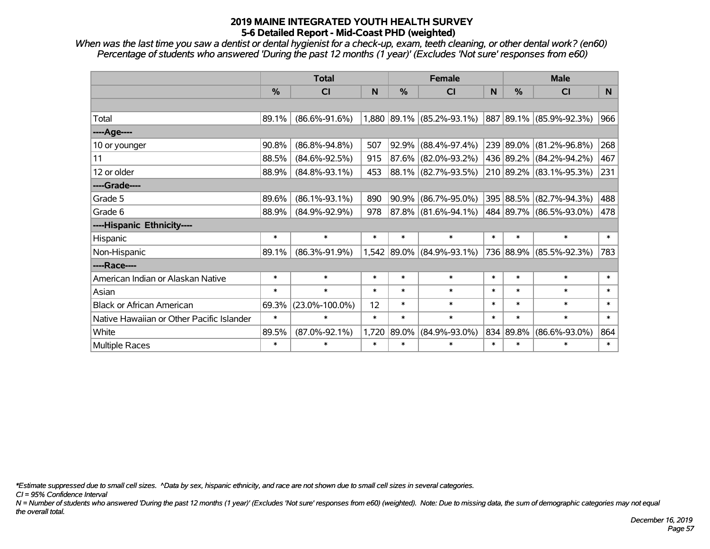*When was the last time you saw a dentist or dental hygienist for a check-up, exam, teeth cleaning, or other dental work? (en60) Percentage of students who answered 'During the past 12 months (1 year)' (Excludes 'Not sure' responses from e60)*

|                                           | <b>Total</b>  |                      | <b>Female</b> |               |                          | <b>Male</b> |               |                         |                |
|-------------------------------------------|---------------|----------------------|---------------|---------------|--------------------------|-------------|---------------|-------------------------|----------------|
|                                           | $\frac{0}{0}$ | <b>CI</b>            | N             | $\frac{0}{0}$ | <b>CI</b>                | N           | $\frac{0}{0}$ | <b>CI</b>               | N <sub>1</sub> |
|                                           |               |                      |               |               |                          |             |               |                         |                |
| Total                                     | 89.1%         | $(86.6\% - 91.6\%)$  | 1,880         |               | $ 89.1\% $ (85.2%-93.1%) |             |               | 887 89.1% (85.9%-92.3%) | 966            |
| ----Age----                               |               |                      |               |               |                          |             |               |                         |                |
| 10 or younger                             | 90.8%         | $(86.8\% - 94.8\%)$  | 507           | 92.9%         | $(88.4\% - 97.4\%)$      |             | 239 89.0%     | $(81.2\% - 96.8\%)$     | 268            |
| 11                                        | 88.5%         | $(84.6\% - 92.5\%)$  | 915           | 87.6%         | $(82.0\% - 93.2\%)$      |             |               | 436 89.2% (84.2%-94.2%) | 467            |
| 12 or older                               | 88.9%         | $(84.8\% - 93.1\%)$  | 453           |               | 88.1% (82.7%-93.5%)      |             |               | 210 89.2% (83.1%-95.3%) | 231            |
| ----Grade----                             |               |                      |               |               |                          |             |               |                         |                |
| Grade 5                                   | 89.6%         | $(86.1\% - 93.1\%)$  | 890           | 90.9%         | $(86.7\% - 95.0\%)$      |             | 395 88.5%     | $(82.7\% - 94.3\%)$     | 488            |
| Grade 6                                   | 88.9%         | $(84.9\% - 92.9\%)$  | 978           |               | 87.8% (81.6%-94.1%)      |             |               | 484 89.7% (86.5%-93.0%) | 478            |
| ----Hispanic Ethnicity----                |               |                      |               |               |                          |             |               |                         |                |
| Hispanic                                  | $\ast$        | $\ast$               | $\ast$        | $\ast$        | $\ast$                   | $\ast$      | $\ast$        | $\ast$                  | $\ast$         |
| Non-Hispanic                              | 89.1%         | $(86.3\% - 91.9\%)$  | 1,542         | 89.0%         | $(84.9\% - 93.1\%)$      |             |               | 736 88.9% (85.5%-92.3%) | 783            |
| ----Race----                              |               |                      |               |               |                          |             |               |                         |                |
| American Indian or Alaskan Native         | $\ast$        | $\ast$               | $\ast$        | $\ast$        | $\ast$                   | $\ast$      | $\ast$        | $\ast$                  | $\ast$         |
| Asian                                     | $\ast$        | $\ast$               | $\ast$        | $\ast$        | $\ast$                   | $\ast$      | $\ast$        | $\ast$                  | $\ast$         |
| <b>Black or African American</b>          | 69.3%         | $(23.0\% - 100.0\%)$ | 12            | $\ast$        | $\ast$                   | $\ast$      | $\ast$        | $\ast$                  | $\ast$         |
| Native Hawaiian or Other Pacific Islander | $\ast$        | $\ast$               | $\ast$        | $\ast$        | $\ast$                   | $\ast$      | $\ast$        | $\ast$                  | $\ast$         |
| White                                     | 89.5%         | $(87.0\% - 92.1\%)$  | 1,720         | 89.0%         | $(84.9\% - 93.0\%)$      | 834         | 89.8%         | $(86.6\% - 93.0\%)$     | 864            |
| <b>Multiple Races</b>                     | $\ast$        | $\ast$               | $\ast$        | $\ast$        | $\ast$                   | $\ast$      | $\ast$        | $\ast$                  | $\ast$         |

*\*Estimate suppressed due to small cell sizes. ^Data by sex, hispanic ethnicity, and race are not shown due to small cell sizes in several categories.*

*CI = 95% Confidence Interval*

*N = Number of students who answered 'During the past 12 months (1 year)' (Excludes 'Not sure' responses from e60) (weighted). Note: Due to missing data, the sum of demographic categories may not equal the overall total.*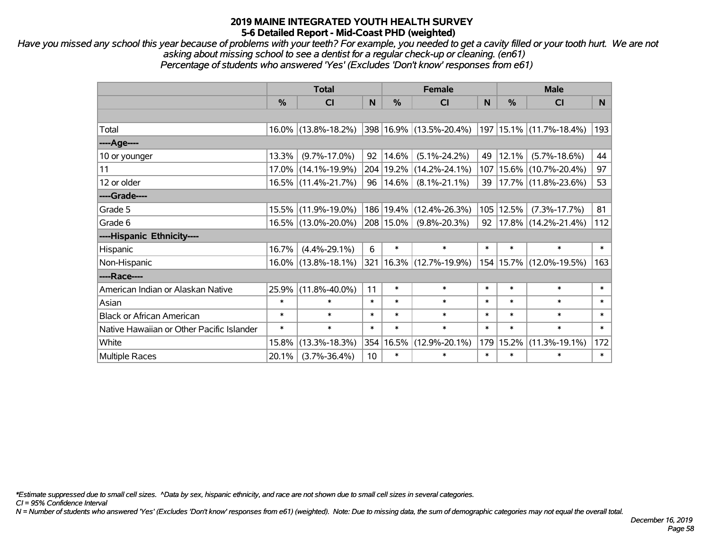*Have you missed any school this year because of problems with your teeth? For example, you needed to get a cavity filled or your tooth hurt. We are not asking about missing school to see a dentist for a regular check-up or cleaning. (en61) Percentage of students who answered 'Yes' (Excludes 'Don't know' responses from e61)*

|                                           | <b>Total</b>  |                        | <b>Female</b>   |               |                          | <b>Male</b> |             |                             |        |
|-------------------------------------------|---------------|------------------------|-----------------|---------------|--------------------------|-------------|-------------|-----------------------------|--------|
|                                           | $\frac{0}{0}$ | CI                     | N               | $\frac{0}{0}$ | <b>CI</b>                | N           | %           | <b>CI</b>                   | N.     |
|                                           |               |                        |                 |               |                          |             |             |                             |        |
| Total                                     |               | $16.0\%$ (13.8%-18.2%) |                 |               | 398 16.9% (13.5%-20.4%)  |             |             | 197   15.1%   (11.7%-18.4%) | 193    |
| ----Age----                               |               |                        |                 |               |                          |             |             |                             |        |
| 10 or younger                             | 13.3%         | $(9.7\% - 17.0\%)$     | 92              | 14.6%         | $(5.1\% - 24.2\%)$       | 49          | 12.1%       | $(5.7\% - 18.6\%)$          | 44     |
| 11                                        |               | 17.0% (14.1%-19.9%)    | 204             | 19.2%         | $(14.2\% - 24.1\%)$      |             | 107   15.6% | $(10.7\% - 20.4\%)$         | 97     |
| 12 or older                               |               | 16.5% (11.4%-21.7%)    | 96              | 14.6%         | $(8.1\% - 21.1\%)$       | 39          |             | $ 17.7\% $ (11.8%-23.6%)    | 53     |
| ----Grade----                             |               |                        |                 |               |                          |             |             |                             |        |
| Grade 5                                   |               | 15.5% (11.9%-19.0%)    |                 | 186 19.4%     | $(12.4\% - 26.3\%)$      |             | 105 12.5%   | $(7.3\% - 17.7\%)$          | 81     |
| Grade 6                                   |               | 16.5% (13.0%-20.0%)    |                 | 208 15.0%     | $(9.8\% - 20.3\%)$       | 92          |             | $ 17.8\% $ (14.2%-21.4%)    | 112    |
| ----Hispanic Ethnicity----                |               |                        |                 |               |                          |             |             |                             |        |
| Hispanic                                  | 16.7%         | $(4.4\% - 29.1\%)$     | 6               | $\ast$        | $\ast$                   | $\ast$      | $\ast$      | $\ast$                      | $\ast$ |
| Non-Hispanic                              |               | $16.0\%$ (13.8%-18.1%) | 321             |               | $ 16.3\% $ (12.7%-19.9%) |             |             | 154   15.7%   (12.0%-19.5%) | 163    |
| ----Race----                              |               |                        |                 |               |                          |             |             |                             |        |
| American Indian or Alaskan Native         | 25.9%         | $(11.8\% - 40.0\%)$    | 11              | $\ast$        | $\ast$                   | $\ast$      | $\ast$      | $\ast$                      | $\ast$ |
| Asian                                     | $\ast$        | $\ast$                 | $\ast$          | $\ast$        | $\ast$                   | $\ast$      | $\ast$      | $\ast$                      | $\ast$ |
| <b>Black or African American</b>          | $\ast$        | $\ast$                 | $\ast$          | $\ast$        | $\ast$                   | $\ast$      | $\ast$      | $\ast$                      | $\ast$ |
| Native Hawaiian or Other Pacific Islander | $\ast$        | $\ast$                 | $\ast$          | $\ast$        | $\ast$                   | $\ast$      | $\ast$      | $\ast$                      | $\ast$ |
| White                                     | 15.8%         | $(13.3\% - 18.3\%)$    | 354             | 16.5%         | $(12.9\% - 20.1\%)$      |             | 179 15.2%   | $(11.3\% - 19.1\%)$         | 172    |
| <b>Multiple Races</b>                     | 20.1%         | $(3.7\% - 36.4\%)$     | 10 <sup>1</sup> | $\ast$        | $\ast$                   | $\ast$      | $\ast$      | $\ast$                      | $\ast$ |

*\*Estimate suppressed due to small cell sizes. ^Data by sex, hispanic ethnicity, and race are not shown due to small cell sizes in several categories.*

*CI = 95% Confidence Interval*

*N = Number of students who answered 'Yes' (Excludes 'Don't know' responses from e61) (weighted). Note: Due to missing data, the sum of demographic categories may not equal the overall total.*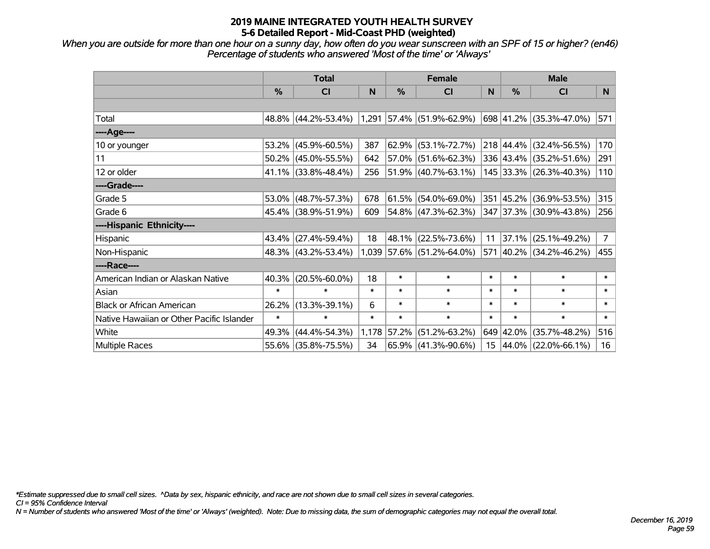*When you are outside for more than one hour on a sunny day, how often do you wear sunscreen with an SPF of 15 or higher? (en46) Percentage of students who answered 'Most of the time' or 'Always'*

|                                           | <b>Total</b>  |                        |        | <b>Female</b> |                             | <b>Male</b> |               |                         |             |
|-------------------------------------------|---------------|------------------------|--------|---------------|-----------------------------|-------------|---------------|-------------------------|-------------|
|                                           | $\frac{0}{0}$ | CI                     | N      | %             | <b>CI</b>                   | N           | $\frac{0}{0}$ | <b>CI</b>               | N.          |
|                                           |               |                        |        |               |                             |             |               |                         |             |
| Total                                     |               | 48.8% (44.2%-53.4%)    |        |               | 1,291 57.4% (51.9%-62.9%)   |             |               | 698 41.2% (35.3%-47.0%) | 571         |
| ----Age----                               |               |                        |        |               |                             |             |               |                         |             |
| 10 or younger                             | 53.2%         | $(45.9\% - 60.5\%)$    | 387    | 62.9%         | $(53.1\% - 72.7\%)$         |             |               | 218 44.4% (32.4%-56.5%) | 170         |
| 11                                        |               | $50.2\%$ (45.0%-55.5%) | 642    | 57.0%         | $(51.6\% - 62.3\%)$         |             |               | 336 43.4% (35.2%-51.6%) | 291         |
| 12 or older                               |               | $41.1\%$ (33.8%-48.4%) | 256    |               | $ 51.9\% $ (40.7%-63.1%)    |             |               | 145 33.3% (26.3%-40.3%) | 110         |
| ----Grade----                             |               |                        |        |               |                             |             |               |                         |             |
| Grade 5                                   |               | 53.0% (48.7%-57.3%)    | 678    | 61.5%         | $(54.0\% - 69.0\%)$         |             |               | 351 45.2% (36.9%-53.5%) | 315         |
| Grade 6                                   |               | 45.4% (38.9%-51.9%)    | 609    |               | $ 54.8\% $ (47.3%-62.3%)    |             |               | 347 37.3% (30.9%-43.8%) | 256         |
| ----Hispanic Ethnicity----                |               |                        |        |               |                             |             |               |                         |             |
| Hispanic                                  | 43.4%         | $(27.4\% - 59.4\%)$    | 18     | 48.1%         | $(22.5\% - 73.6\%)$         | 11          | $ 37.1\% $    | $(25.1\% - 49.2\%)$     | $7^{\circ}$ |
| Non-Hispanic                              |               | 48.3% (43.2%-53.4%)    |        |               | $1,039$ 57.6% (51.2%-64.0%) |             |               | 571 40.2% (34.2%-46.2%) | 455         |
| ----Race----                              |               |                        |        |               |                             |             |               |                         |             |
| American Indian or Alaskan Native         | 40.3%         | $(20.5\% - 60.0\%)$    | 18     | $\ast$        | $\ast$                      | $\ast$      | $\ast$        | $\ast$                  | $\ast$      |
| Asian                                     | $\ast$        | $\ast$                 | $\ast$ | $\ast$        | $\ast$                      | $\ast$      | $\ast$        | $\ast$                  | $\ast$      |
| <b>Black or African American</b>          | 26.2%         | $(13.3\% - 39.1\%)$    | 6      | $\ast$        | $\ast$                      | $\ast$      | $\ast$        | $\ast$                  | $\ast$      |
| Native Hawaiian or Other Pacific Islander | $\ast$        | $\ast$                 | $\ast$ | $\ast$        | $\ast$                      | $\ast$      | $\ast$        | $\ast$                  | $\ast$      |
| White                                     | 49.3%         | $(44.4\% - 54.3\%)$    |        | 1,178 57.2%   | $(51.2\% - 63.2\%)$         |             | 649 42.0%     | $(35.7\% - 48.2\%)$     | 516         |
| Multiple Races                            |               | 55.6% (35.8%-75.5%)    | 34     |               | $65.9\%$ (41.3%-90.6%)      |             |               | 15 44.0% (22.0%-66.1%)  | 16          |

*\*Estimate suppressed due to small cell sizes. ^Data by sex, hispanic ethnicity, and race are not shown due to small cell sizes in several categories.*

*CI = 95% Confidence Interval*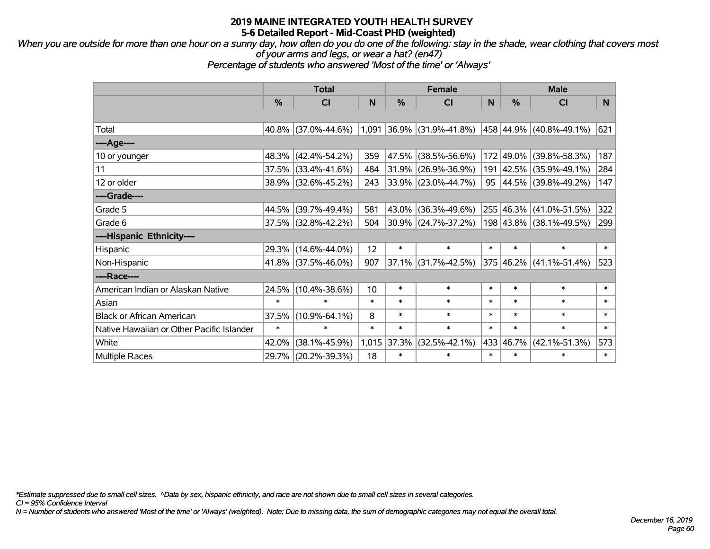*When you are outside for more than one hour on a sunny day, how often do you do one of the following: stay in the shade, wear clothing that covers most of your arms and legs, or wear a hat? (en47)*

*Percentage of students who answered 'Most of the time' or 'Always'*

|                                           |        | <b>Total</b>           |        |        | <b>Female</b>                                       |        |           | <b>Male</b>             |        |  |
|-------------------------------------------|--------|------------------------|--------|--------|-----------------------------------------------------|--------|-----------|-------------------------|--------|--|
|                                           | %      | CI                     | N      | %      | <b>CI</b>                                           | N      | %         | <b>CI</b>               | N      |  |
|                                           |        |                        |        |        |                                                     |        |           |                         |        |  |
| Total                                     |        | $40.8\%$ (37.0%-44.6%) |        |        | $1,091$ 36.9% (31.9%-41.8%) 458 44.9% (40.8%-49.1%) |        |           |                         | 621    |  |
| ----Age----                               |        |                        |        |        |                                                     |        |           |                         |        |  |
| 10 or younger                             |        | 48.3% (42.4%-54.2%)    | 359    | 47.5%  | $(38.5\% - 56.6\%)$                                 | 172    | 49.0%     | $(39.8\% - 58.3\%)$     | 187    |  |
| 11                                        |        | 37.5% (33.4%-41.6%)    | 484    |        | 31.9% (26.9%-36.9%)                                 |        |           | 191 42.5% (35.9%-49.1%) | 284    |  |
| 12 or older                               |        | 38.9% (32.6%-45.2%)    | 243    |        | $ 33.9\% $ (23.0%-44.7%)                            |        |           | 95 44.5% (39.8%-49.2%)  | 147    |  |
| ----Grade----                             |        |                        |        |        |                                                     |        |           |                         |        |  |
| Grade 5                                   | 44.5%  | $(39.7\% - 49.4\%)$    | 581    | 43.0%  | $(36.3\% - 49.6\%)$                                 |        | 255 46.3% | $(41.0\% - 51.5\%)$     | 322    |  |
| Grade 6                                   |        | 37.5% (32.8%-42.2%)    | 504    |        | 30.9% (24.7%-37.2%)                                 |        |           | 198 43.8% (38.1%-49.5%) | 299    |  |
| ----Hispanic Ethnicity----                |        |                        |        |        |                                                     |        |           |                         |        |  |
| Hispanic                                  | 29.3%  | $(14.6\% - 44.0\%)$    | 12     | $\ast$ | $\ast$                                              | $\ast$ | $\ast$    | $\ast$                  | $\ast$ |  |
| Non-Hispanic                              |        | 41.8% (37.5%-46.0%)    | 907    | 37.1%  | $(31.7\% - 42.5\%)$                                 |        |           | 375 46.2% (41.1%-51.4%) | 523    |  |
| ----Race----                              |        |                        |        |        |                                                     |        |           |                         |        |  |
| American Indian or Alaskan Native         | 24.5%  | $(10.4\% - 38.6\%)$    | 10     | $\ast$ | $\ast$                                              | $\ast$ | $\ast$    | $\ast$                  | $\ast$ |  |
| Asian                                     | $\ast$ | $\ast$                 | $\ast$ | $\ast$ | $\ast$                                              | $\ast$ | $\ast$    | $\ast$                  | $\ast$ |  |
| <b>Black or African American</b>          | 37.5%  | $(10.9\% - 64.1\%)$    | 8      | $\ast$ | $\ast$                                              | $\ast$ | $\ast$    | $\ast$                  | $\ast$ |  |
| Native Hawaiian or Other Pacific Islander | $\ast$ | $\ast$                 | $\ast$ | $\ast$ | $\ast$                                              | $\ast$ | $\ast$    | $\ast$                  | $\ast$ |  |
| White                                     | 42.0%  | $(38.1\% - 45.9\%)$    | 1,015  | 37.3%  | $(32.5\% - 42.1\%)$                                 | 433    | 46.7%     | $(42.1\% - 51.3\%)$     | 573    |  |
| <b>Multiple Races</b>                     |        | 29.7% (20.2%-39.3%)    | 18     | $\ast$ | $\ast$                                              | $\ast$ | $\ast$    | $\ast$                  | $\ast$ |  |

*\*Estimate suppressed due to small cell sizes. ^Data by sex, hispanic ethnicity, and race are not shown due to small cell sizes in several categories.*

*CI = 95% Confidence Interval*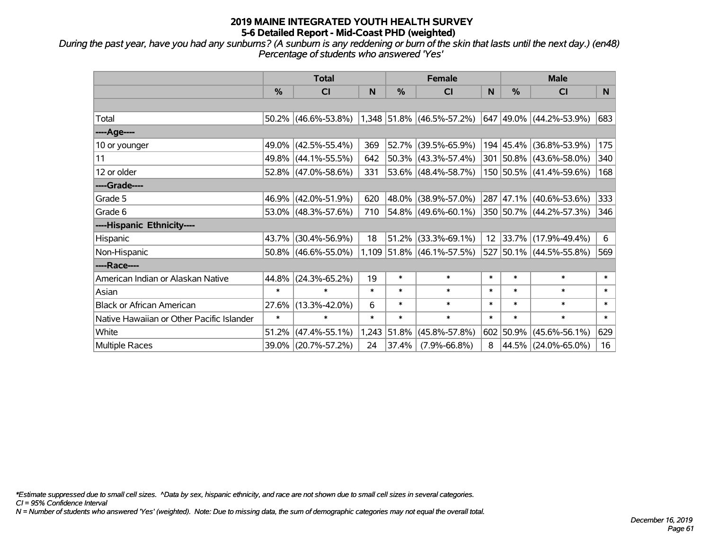*During the past year, have you had any sunburns? (A sunburn is any reddening or burn of the skin that lasts until the next day.) (en48) Percentage of students who answered 'Yes'*

|                                           | <b>Total</b>  |                        |        | <b>Female</b> | <b>Male</b>                 |        |               |                         |        |
|-------------------------------------------|---------------|------------------------|--------|---------------|-----------------------------|--------|---------------|-------------------------|--------|
|                                           | $\frac{0}{0}$ | <b>CI</b>              | N      | $\frac{0}{0}$ | <b>CI</b>                   | N      | $\frac{0}{0}$ | <b>CI</b>               | N.     |
|                                           |               |                        |        |               |                             |        |               |                         |        |
| Total                                     |               | $50.2\%$ (46.6%-53.8%) |        |               | 1,348 51.8% (46.5%-57.2%)   |        |               | 647 49.0% (44.2%-53.9%) | 683    |
| ----Age----                               |               |                        |        |               |                             |        |               |                         |        |
| 10 or younger                             |               | 49.0% (42.5%-55.4%)    | 369    | 52.7%         | $(39.5\% - 65.9\%)$         |        |               | 194 45.4% (36.8%-53.9%) | 175    |
| 11                                        |               | 49.8% (44.1%-55.5%)    | 642    |               | $50.3\%$ (43.3%-57.4%)      |        |               | 301 50.8% (43.6%-58.0%) | 340    |
| 12 or older                               |               | 52.8% (47.0%-58.6%)    | 331    |               | 53.6% (48.4%-58.7%)         |        |               | 150 50.5% (41.4%-59.6%) | 168    |
| ----Grade----                             |               |                        |        |               |                             |        |               |                         |        |
| Grade 5                                   |               | 46.9% (42.0%-51.9%)    | 620    | 48.0%         | $(38.9\% - 57.0\%)$         |        |               | 287 47.1% (40.6%-53.6%) | 333    |
| Grade 6                                   |               | 53.0% (48.3%-57.6%)    | 710    |               | $ 54.8\% $ (49.6%-60.1%)    |        |               | 350 50.7% (44.2%-57.3%) | 346    |
| ----Hispanic Ethnicity----                |               |                        |        |               |                             |        |               |                         |        |
| Hispanic                                  | 43.7%         | $(30.4\% - 56.9\%)$    | 18     | 51.2%         | $(33.3\% - 69.1\%)$         | 12     |               | 33.7% (17.9%-49.4%)     | 6      |
| Non-Hispanic                              |               | $50.8\%$ (46.6%-55.0%) |        |               | $1,109$ 51.8% (46.1%-57.5%) |        |               | 527 50.1% (44.5%-55.8%) | 569    |
| ----Race----                              |               |                        |        |               |                             |        |               |                         |        |
| American Indian or Alaskan Native         | 44.8%         | $(24.3\% - 65.2\%)$    | 19     | $\ast$        | $\ast$                      | $\ast$ | $\ast$        | $\ast$                  | $\ast$ |
| Asian                                     | $\ast$        | $\ast$                 | $\ast$ | $\ast$        | $\ast$                      | $\ast$ | $\ast$        | $\ast$                  | $\ast$ |
| <b>Black or African American</b>          | 27.6%         | $(13.3\% - 42.0\%)$    | 6      | $\ast$        | $\ast$                      | $\ast$ | $\ast$        | $\ast$                  | $\ast$ |
| Native Hawaiian or Other Pacific Islander | $\ast$        | $\ast$                 | $\ast$ | $\ast$        | $\ast$                      | $\ast$ | $\ast$        | $\ast$                  | $\ast$ |
| White                                     | 51.2%         | $(47.4\% - 55.1\%)$    | 1,243  | 51.8%         | $(45.8\% - 57.8\%)$         |        | 602 50.9%     | $(45.6\% - 56.1\%)$     | 629    |
| Multiple Races                            |               | 39.0% (20.7%-57.2%)    | 24     | 37.4%         | $(7.9\% - 66.8\%)$          | 8      |               | 44.5% (24.0%-65.0%)     | 16     |

*\*Estimate suppressed due to small cell sizes. ^Data by sex, hispanic ethnicity, and race are not shown due to small cell sizes in several categories.*

*CI = 95% Confidence Interval*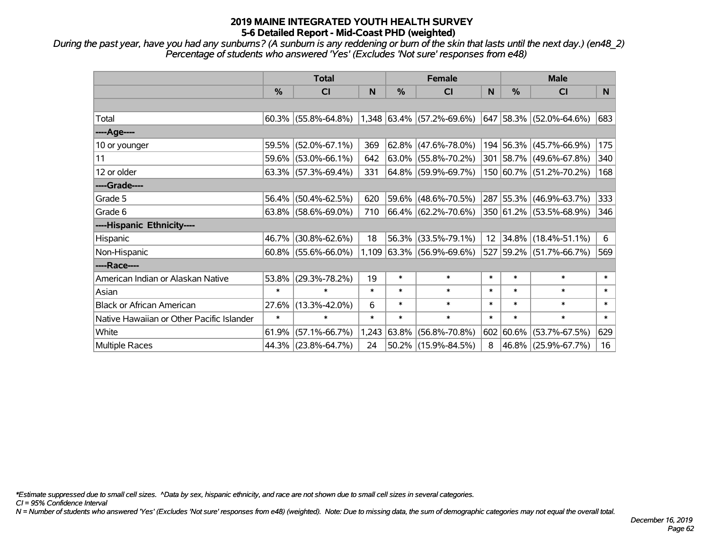*During the past year, have you had any sunburns? (A sunburn is any reddening or burn of the skin that lasts until the next day.) (en48\_2) Percentage of students who answered 'Yes' (Excludes 'Not sure' responses from e48)*

|                                           | <b>Total</b>  |                        |        | <b>Female</b> |                             |        | <b>Male</b> |                          |                |
|-------------------------------------------|---------------|------------------------|--------|---------------|-----------------------------|--------|-------------|--------------------------|----------------|
|                                           | $\frac{0}{0}$ | <b>CI</b>              | N      | %             | <b>CI</b>                   | N      | %           | <b>CI</b>                | N <sub>1</sub> |
|                                           |               |                        |        |               |                             |        |             |                          |                |
| Total                                     |               | $60.3\%$ (55.8%-64.8%) |        |               | $1,348$ 63.4% (57.2%-69.6%) | 647    |             | $ 58.3\% $ (52.0%-64.6%) | 683            |
| ----Age----                               |               |                        |        |               |                             |        |             |                          |                |
| 10 or younger                             | 59.5%         | $(52.0\% - 67.1\%)$    | 369    | 62.8%         | $(47.6\% - 78.0\%)$         |        |             | 194 56.3% (45.7%-66.9%)  | 175            |
| 11                                        |               | 59.6% (53.0%-66.1%)    | 642    |               | $63.0\%$ (55.8%-70.2%)      |        |             | 301 58.7% (49.6%-67.8%)  | 340            |
| 12 or older                               |               | $63.3\%$ (57.3%-69.4%) | 331    |               | 64.8% (59.9%-69.7%)         |        |             | 150 60.7% (51.2%-70.2%)  | 168            |
| ----Grade----                             |               |                        |        |               |                             |        |             |                          |                |
| Grade 5                                   | 56.4%         | $(50.4\% - 62.5\%)$    | 620    | 59.6%         | $(48.6\% - 70.5\%)$         |        |             | 287 55.3% (46.9%-63.7%)  | 333            |
| Grade 6                                   |               | $63.8\%$ (58.6%-69.0%) | 710    |               | 66.4% (62.2%-70.6%)         |        |             | 350 61.2% (53.5%-68.9%)  | 346            |
| ----Hispanic Ethnicity----                |               |                        |        |               |                             |        |             |                          |                |
| Hispanic                                  | 46.7%         | $(30.8\% - 62.6\%)$    | 18     | 56.3%         | $(33.5\% - 79.1\%)$         | 12     | 34.8%       | $(18.4\% - 51.1\%)$      | 6              |
| Non-Hispanic                              |               | $60.8\%$ (55.6%-66.0%) |        |               | $1,109$ 63.3% (56.9%-69.6%) |        |             | 527 59.2% (51.7%-66.7%)  | 569            |
| ----Race----                              |               |                        |        |               |                             |        |             |                          |                |
| American Indian or Alaskan Native         | 53.8%         | $(29.3\% - 78.2\%)$    | 19     | $\ast$        | $\ast$                      | $\ast$ | $\ast$      | $\ast$                   | $\ast$         |
| Asian                                     | $\ast$        | $\ast$                 | $\ast$ | $\ast$        | $\ast$                      | $\ast$ | $\ast$      | $\ast$                   | $\ast$         |
| <b>Black or African American</b>          | 27.6%         | $(13.3\% - 42.0\%)$    | 6      | $\ast$        | $\ast$                      | $\ast$ | $\ast$      | $\ast$                   | $\ast$         |
| Native Hawaiian or Other Pacific Islander | $\ast$        | $\ast$                 | $\ast$ | $\ast$        | $\ast$                      | $\ast$ | $\ast$      | $\ast$                   | $\ast$         |
| White                                     | 61.9%         | $(57.1\% - 66.7\%)$    |        | 1,243 63.8%   | $(56.8\% - 70.8\%)$         | 602    | 60.6%       | $(53.7\% - 67.5\%)$      | 629            |
| <b>Multiple Races</b>                     |               | 44.3% (23.8%-64.7%)    | 24     |               | 50.2% (15.9%-84.5%)         | 8      |             | 46.8% (25.9%-67.7%)      | 16             |

*\*Estimate suppressed due to small cell sizes. ^Data by sex, hispanic ethnicity, and race are not shown due to small cell sizes in several categories.*

*CI = 95% Confidence Interval*

*N = Number of students who answered 'Yes' (Excludes 'Not sure' responses from e48) (weighted). Note: Due to missing data, the sum of demographic categories may not equal the overall total.*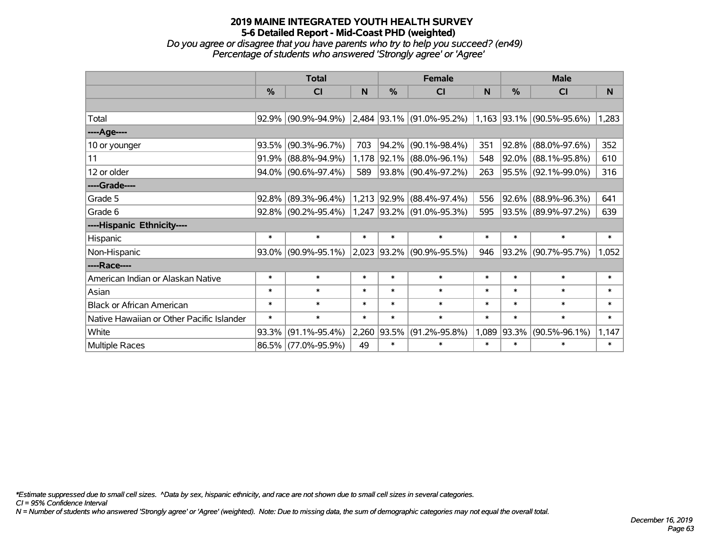*Do you agree or disagree that you have parents who try to help you succeed? (en49) Percentage of students who answered 'Strongly agree' or 'Agree'*

|                                           | <b>Total</b>  |                        |        | <b>Female</b> |                                                                                                     |        | <b>Male</b> |                     |        |
|-------------------------------------------|---------------|------------------------|--------|---------------|-----------------------------------------------------------------------------------------------------|--------|-------------|---------------------|--------|
|                                           | $\frac{0}{0}$ | CI                     | N      | $\%$          | <b>CI</b>                                                                                           | N      | %           | <b>CI</b>           | N      |
|                                           |               |                        |        |               |                                                                                                     |        |             |                     |        |
| Total                                     | 92.9%         | $(90.9\% - 94.9\%)$    |        |               | $\vert 2,484 \vert 93.1\% \vert (91.0\% - 95.2\%) \vert 1,163 \vert 93.1\% \vert (90.5\% - 95.6\%)$ |        |             |                     | 1,283  |
| ----Age----                               |               |                        |        |               |                                                                                                     |        |             |                     |        |
| 10 or younger                             | 93.5%         | $(90.3\% - 96.7\%)$    | 703    | 94.2%         | $(90.1\% - 98.4\%)$                                                                                 | 351    | $ 92.8\% $  | $(88.0\% - 97.6\%)$ | 352    |
| 11                                        | 91.9%         | $(88.8\% - 94.9\%)$    | 1,178  |               | $ 92.1\% $ (88.0%-96.1%)                                                                            | 548    |             | 92.0% (88.1%-95.8%) | 610    |
| 12 or older                               |               | 94.0% (90.6%-97.4%)    | 589    |               | 93.8% (90.4%-97.2%)                                                                                 | 263    |             | 95.5% (92.1%-99.0%) | 316    |
| ----Grade----                             |               |                        |        |               |                                                                                                     |        |             |                     |        |
| Grade 5                                   | 92.8%         | $(89.3\% - 96.4\%)$    | 1,213  | $ 92.9\% $    | $(88.4\% - 97.4\%)$                                                                                 | 556    | $ 92.6\% $  | $(88.9\% - 96.3\%)$ | 641    |
| Grade 6                                   |               | $92.8\%$ (90.2%-95.4%) |        |               | 1,247 93.2% (91.0%-95.3%)                                                                           | 595    |             | 93.5% (89.9%-97.2%) | 639    |
| ----Hispanic Ethnicity----                |               |                        |        |               |                                                                                                     |        |             |                     |        |
| Hispanic                                  | $\ast$        | $\ast$                 | $\ast$ | $\ast$        | $\ast$                                                                                              | $\ast$ | $\ast$      | $\ast$              | $\ast$ |
| Non-Hispanic                              | $93.0\%$      | $(90.9\% - 95.1\%)$    |        |               | 2,023 93.2% (90.9%-95.5%)                                                                           | 946    | $ 93.2\% $  | $(90.7\% - 95.7\%)$ | 1,052  |
| ----Race----                              |               |                        |        |               |                                                                                                     |        |             |                     |        |
| American Indian or Alaskan Native         | $\ast$        | $\ast$                 | $\ast$ | $\ast$        | $\ast$                                                                                              | $\ast$ | $\ast$      | $\ast$              | $\ast$ |
| Asian                                     | $\ast$        | $\ast$                 | $\ast$ | $\ast$        | $\ast$                                                                                              | $\ast$ | $\ast$      | $\ast$              | $\ast$ |
| <b>Black or African American</b>          | $\ast$        | $\ast$                 | $\ast$ | $\ast$        | $\ast$                                                                                              | $\ast$ | $\ast$      | $\ast$              | $\ast$ |
| Native Hawaiian or Other Pacific Islander | $\ast$        | $\ast$                 | $\ast$ | $\ast$        | $\ast$                                                                                              | $\ast$ | $\ast$      | $\ast$              | $\ast$ |
| White                                     | 93.3%         | $(91.1\% - 95.4\%)$    | 2,260  | 93.5%         | $(91.2\% - 95.8\%)$                                                                                 | 1,089  | $ 93.3\% $  | $(90.5\% - 96.1\%)$ | 1,147  |
| Multiple Races                            | 86.5%         | $(77.0\% - 95.9\%)$    | 49     | $\ast$        | $\ast$                                                                                              | $\ast$ | $\ast$      | $\ast$              | $\ast$ |

*\*Estimate suppressed due to small cell sizes. ^Data by sex, hispanic ethnicity, and race are not shown due to small cell sizes in several categories.*

*CI = 95% Confidence Interval*